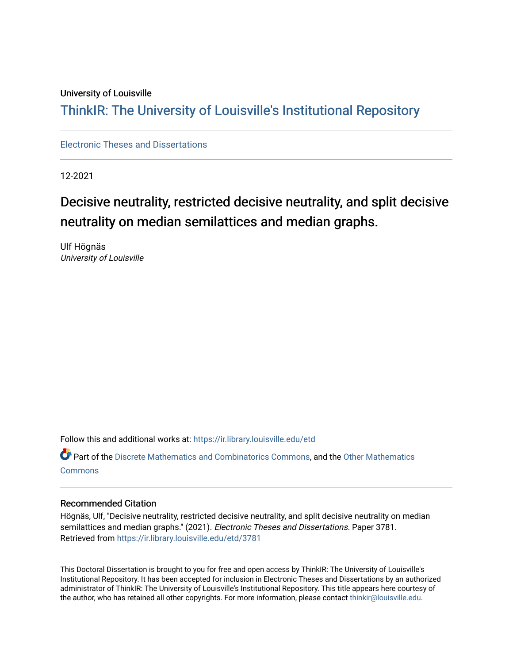### University of Louisville

# ThinkIR: The Univ[ersity of Louisville's Institutional Reposit](https://ir.library.louisville.edu/)ory

[Electronic Theses and Dissertations](https://ir.library.louisville.edu/etd)

12-2021

# Decisive neutrality, restricted decisive neutrality, and split decisive neutrality on median semilattices and median graphs.

Ulf Högnäs University of Louisville

Follow this and additional works at: [https://ir.library.louisville.edu/etd](https://ir.library.louisville.edu/etd?utm_source=ir.library.louisville.edu%2Fetd%2F3781&utm_medium=PDF&utm_campaign=PDFCoverPages) 

Part of the [Discrete Mathematics and Combinatorics Commons,](https://network.bepress.com/hgg/discipline/178?utm_source=ir.library.louisville.edu%2Fetd%2F3781&utm_medium=PDF&utm_campaign=PDFCoverPages) and the [Other Mathematics](https://network.bepress.com/hgg/discipline/185?utm_source=ir.library.louisville.edu%2Fetd%2F3781&utm_medium=PDF&utm_campaign=PDFCoverPages) **[Commons](https://network.bepress.com/hgg/discipline/185?utm_source=ir.library.louisville.edu%2Fetd%2F3781&utm_medium=PDF&utm_campaign=PDFCoverPages)** 

### Recommended Citation

Högnäs, Ulf, "Decisive neutrality, restricted decisive neutrality, and split decisive neutrality on median semilattices and median graphs." (2021). Electronic Theses and Dissertations. Paper 3781. Retrieved from [https://ir.library.louisville.edu/etd/3781](https://ir.library.louisville.edu/etd/3781?utm_source=ir.library.louisville.edu%2Fetd%2F3781&utm_medium=PDF&utm_campaign=PDFCoverPages) 

This Doctoral Dissertation is brought to you for free and open access by ThinkIR: The University of Louisville's Institutional Repository. It has been accepted for inclusion in Electronic Theses and Dissertations by an authorized administrator of ThinkIR: The University of Louisville's Institutional Repository. This title appears here courtesy of the author, who has retained all other copyrights. For more information, please contact [thinkir@louisville.edu.](mailto:thinkir@louisville.edu)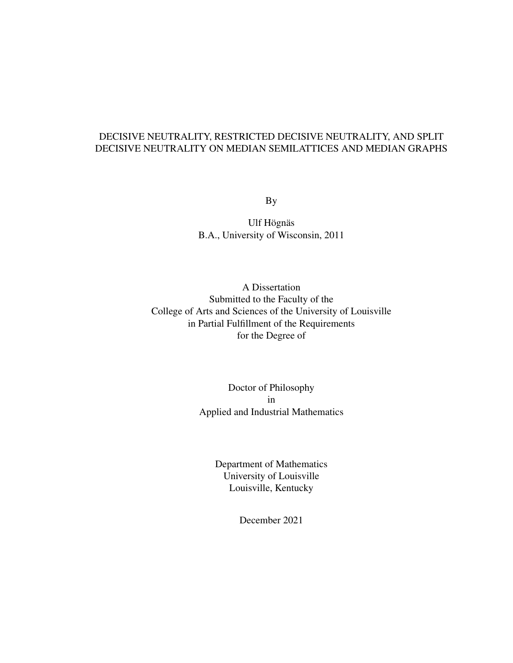### DECISIVE NEUTRALITY, RESTRICTED DECISIVE NEUTRALITY, AND SPLIT DECISIVE NEUTRALITY ON MEDIAN SEMILATTICES AND MEDIAN GRAPHS

By

Ulf Högnäs B.A., University of Wisconsin, 2011

A Dissertation Submitted to the Faculty of the College of Arts and Sciences of the University of Louisville in Partial Fulfillment of the Requirements for the Degree of

> Doctor of Philosophy in Applied and Industrial Mathematics

> > Department of Mathematics University of Louisville Louisville, Kentucky

> > > December 2021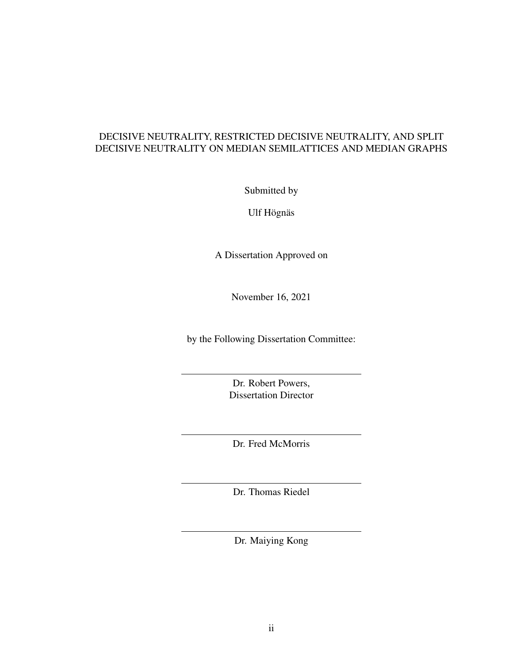### DECISIVE NEUTRALITY, RESTRICTED DECISIVE NEUTRALITY, AND SPLIT DECISIVE NEUTRALITY ON MEDIAN SEMILATTICES AND MEDIAN GRAPHS

Submitted by

Ulf Högnäs

A Dissertation Approved on

November 16, 2021

by the Following Dissertation Committee:

Dr. Robert Powers, Dissertation Director

Dr. Fred McMorris

Dr. Thomas Riedel

Dr. Maiying Kong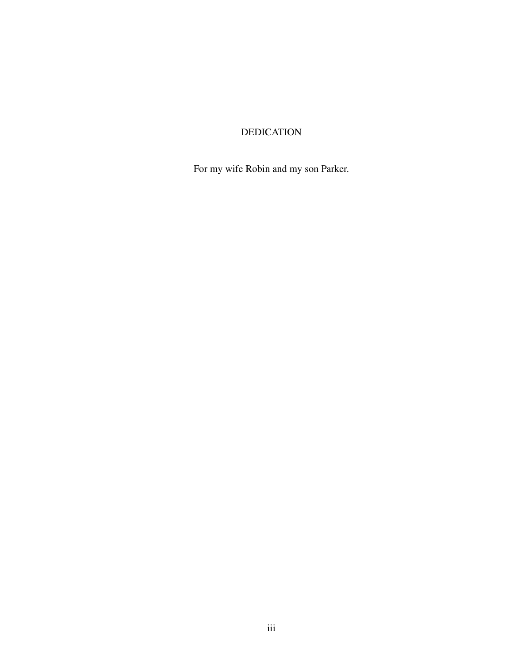# DEDICATION

For my wife Robin and my son Parker.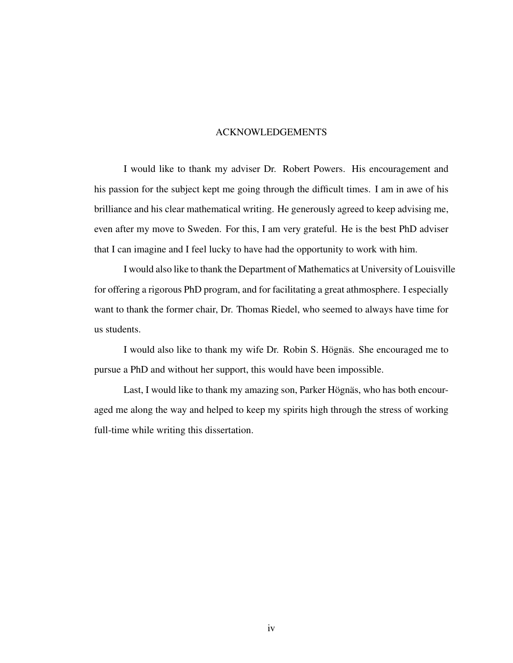### ACKNOWLEDGEMENTS

I would like to thank my adviser Dr. Robert Powers. His encouragement and his passion for the subject kept me going through the difficult times. I am in awe of his brilliance and his clear mathematical writing. He generously agreed to keep advising me, even after my move to Sweden. For this, I am very grateful. He is the best PhD adviser that I can imagine and I feel lucky to have had the opportunity to work with him.

I would also like to thank the Department of Mathematics at University of Louisville for offering a rigorous PhD program, and for facilitating a great athmosphere. I especially want to thank the former chair, Dr. Thomas Riedel, who seemed to always have time for us students.

I would also like to thank my wife Dr. Robin S. Högnäs. She encouraged me to pursue a PhD and without her support, this would have been impossible.

Last, I would like to thank my amazing son, Parker Högnäs, who has both encouraged me along the way and helped to keep my spirits high through the stress of working full-time while writing this dissertation.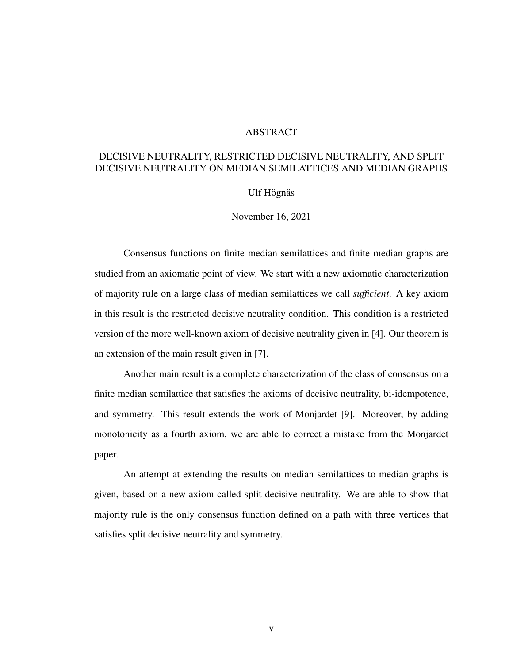#### ABSTRACT

### DECISIVE NEUTRALITY, RESTRICTED DECISIVE NEUTRALITY, AND SPLIT DECISIVE NEUTRALITY ON MEDIAN SEMILATTICES AND MEDIAN GRAPHS

### Ulf Högnäs

November 16, 2021

Consensus functions on finite median semilattices and finite median graphs are studied from an axiomatic point of view. We start with a new axiomatic characterization of majority rule on a large class of median semilattices we call *sufficient*. A key axiom in this result is the restricted decisive neutrality condition. This condition is a restricted version of the more well-known axiom of decisive neutrality given in [4]. Our theorem is an extension of the main result given in [7].

Another main result is a complete characterization of the class of consensus on a finite median semilattice that satisfies the axioms of decisive neutrality, bi-idempotence, and symmetry. This result extends the work of Monjardet [9]. Moreover, by adding monotonicity as a fourth axiom, we are able to correct a mistake from the Monjardet paper.

An attempt at extending the results on median semilattices to median graphs is given, based on a new axiom called split decisive neutrality. We are able to show that majority rule is the only consensus function defined on a path with three vertices that satisfies split decisive neutrality and symmetry.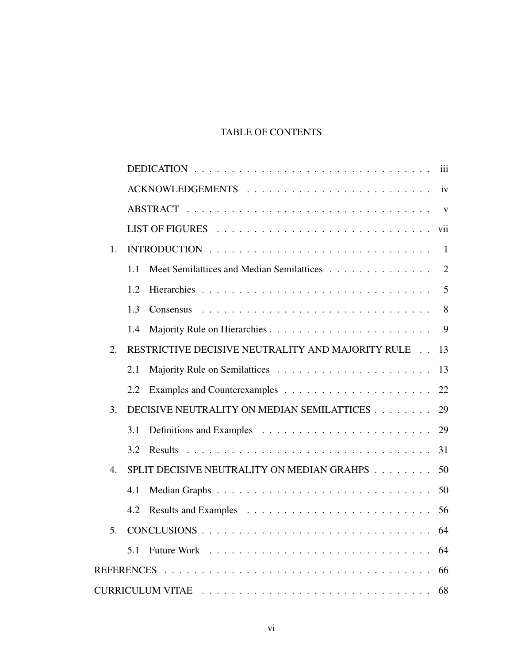# TABLE OF CONTENTS

|                  |     |                                                   | iii            |  |
|------------------|-----|---------------------------------------------------|----------------|--|
|                  |     |                                                   | iv             |  |
|                  |     |                                                   | $\mathbf{V}$   |  |
|                  |     |                                                   | vii            |  |
| 1.               |     |                                                   | $\overline{1}$ |  |
|                  | 1.1 | Meet Semilattices and Median Semilattices         | $\overline{2}$ |  |
|                  | 1.2 |                                                   | 5              |  |
|                  | 1.3 |                                                   | 8              |  |
|                  | 1.4 |                                                   | 9              |  |
| 2.               |     | RESTRICTIVE DECISIVE NEUTRALITY AND MAJORITY RULE | 13             |  |
|                  | 2.1 |                                                   | 13             |  |
|                  | 2.2 |                                                   | 22             |  |
| 3.               |     | DECISIVE NEUTRALITY ON MEDIAN SEMILATTICES        | 29             |  |
|                  | 3.1 |                                                   | 29             |  |
|                  | 3.2 |                                                   | 31             |  |
| $\overline{4}$ . |     | SPLIT DECISIVE NEUTRALITY ON MEDIAN GRAHPS        | 50             |  |
|                  | 4.1 |                                                   | 50             |  |
|                  | 4.2 |                                                   | 56             |  |
| 5 <sub>1</sub>   |     |                                                   | 64             |  |
|                  | 5.1 |                                                   | 64             |  |
|                  |     |                                                   |                |  |
| 68               |     |                                                   |                |  |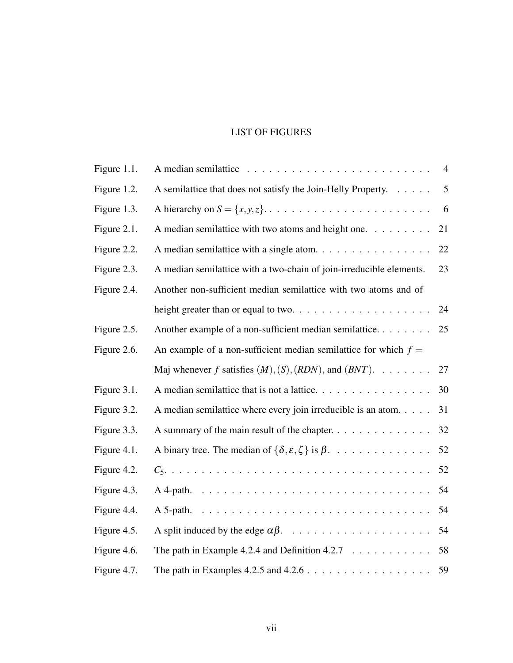### LIST OF FIGURES

| Figure 1.1. |                                                                                            | $\overline{4}$ |
|-------------|--------------------------------------------------------------------------------------------|----------------|
| Figure 1.2. | A semilattice that does not satisfy the Join-Helly Property.                               | 5              |
| Figure 1.3. |                                                                                            | 6              |
| Figure 2.1. | A median semilattice with two atoms and height one.                                        | 21             |
| Figure 2.2. | A median semilattice with a single atom.                                                   | 22             |
| Figure 2.3. | A median semilattice with a two-chain of join-irreducible elements.                        | 23             |
| Figure 2.4. | Another non-sufficient median semilattice with two atoms and of                            |                |
|             |                                                                                            | 24             |
| Figure 2.5. | Another example of a non-sufficient median semilattice                                     | 25             |
| Figure 2.6. | An example of a non-sufficient median semilattice for which $f =$                          |                |
|             | Maj whenever f satisfies $(M), (S), (RDN)$ , and $(BNT)$ .                                 | 27             |
| Figure 3.1. | A median semilattice that is not a lattice.                                                | 30             |
| Figure 3.2. | A median semilattice where every join irreducible is an atom.                              | 31             |
| Figure 3.3. | A summary of the main result of the chapter.                                               | 32             |
| Figure 4.1. | A binary tree. The median of $\{\delta, \varepsilon, \zeta\}$ is $\beta$ .                 | 52             |
| Figure 4.2. |                                                                                            | 52             |
| Figure 4.3. |                                                                                            | 54             |
| Figure 4.4. |                                                                                            | 54             |
| Figure 4.5. |                                                                                            | 54             |
| Figure 4.6. | The path in Example 4.2.4 and Definition 4.2.7 $\ldots \ldots \ldots$                      | 58             |
| Figure 4.7. | The path in Examples 4.2.5 and $4.2.6 \ldots \ldots \ldots \ldots \ldots \ldots \ldots 59$ |                |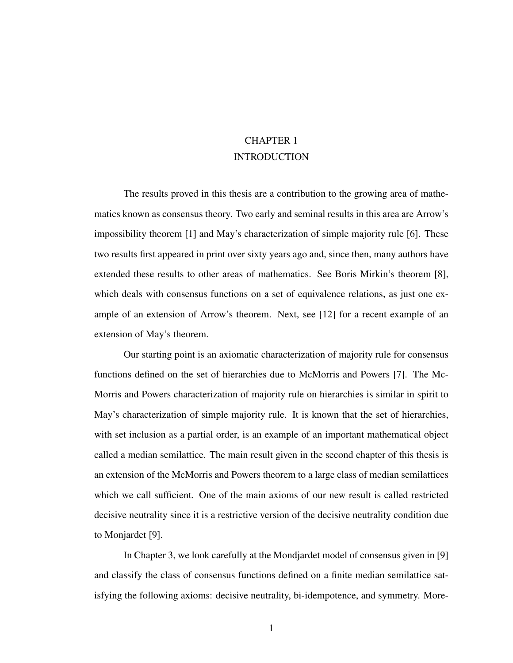# CHAPTER 1 INTRODUCTION

The results proved in this thesis are a contribution to the growing area of mathematics known as consensus theory. Two early and seminal results in this area are Arrow's impossibility theorem [1] and May's characterization of simple majority rule [6]. These two results first appeared in print over sixty years ago and, since then, many authors have extended these results to other areas of mathematics. See Boris Mirkin's theorem [8], which deals with consensus functions on a set of equivalence relations, as just one example of an extension of Arrow's theorem. Next, see [12] for a recent example of an extension of May's theorem.

Our starting point is an axiomatic characterization of majority rule for consensus functions defined on the set of hierarchies due to McMorris and Powers [7]. The Mc-Morris and Powers characterization of majority rule on hierarchies is similar in spirit to May's characterization of simple majority rule. It is known that the set of hierarchies, with set inclusion as a partial order, is an example of an important mathematical object called a median semilattice. The main result given in the second chapter of this thesis is an extension of the McMorris and Powers theorem to a large class of median semilattices which we call sufficient. One of the main axioms of our new result is called restricted decisive neutrality since it is a restrictive version of the decisive neutrality condition due to Monjardet [9].

In Chapter 3, we look carefully at the Mondjardet model of consensus given in [9] and classify the class of consensus functions defined on a finite median semilattice satisfying the following axioms: decisive neutrality, bi-idempotence, and symmetry. More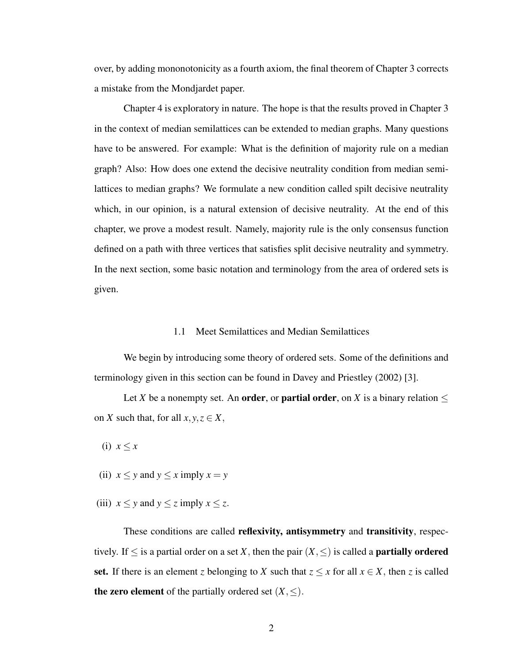over, by adding mononotonicity as a fourth axiom, the final theorem of Chapter 3 corrects a mistake from the Mondjardet paper.

Chapter 4 is exploratory in nature. The hope is that the results proved in Chapter 3 in the context of median semilattices can be extended to median graphs. Many questions have to be answered. For example: What is the definition of majority rule on a median graph? Also: How does one extend the decisive neutrality condition from median semilattices to median graphs? We formulate a new condition called spilt decisive neutrality which, in our opinion, is a natural extension of decisive neutrality. At the end of this chapter, we prove a modest result. Namely, majority rule is the only consensus function defined on a path with three vertices that satisfies split decisive neutrality and symmetry. In the next section, some basic notation and terminology from the area of ordered sets is given.

#### 1.1 Meet Semilattices and Median Semilattices

We begin by introducing some theory of ordered sets. Some of the definitions and terminology given in this section can be found in Davey and Priestley (2002) [3].

Let *X* be a nonempty set. An **order**, or **partial order**, on *X* is a binary relation  $\leq$ on *X* such that, for all  $x, y, z \in X$ ,

(i)  $x \leq x$ 

- (ii)  $x \leq y$  and  $y \leq x$  imply  $x = y$
- (iii)  $x \leq y$  and  $y \leq z$  imply  $x \leq z$ .

These conditions are called reflexivity, antisymmetry and transitivity, respectively. If  $\leq$  is a partial order on a set *X*, then the pair  $(X, \leq)$  is called a **partially ordered** set. If there is an element *z* belonging to *X* such that  $z \leq x$  for all  $x \in X$ , then *z* is called the zero element of the partially ordered set  $(X, \le)$ .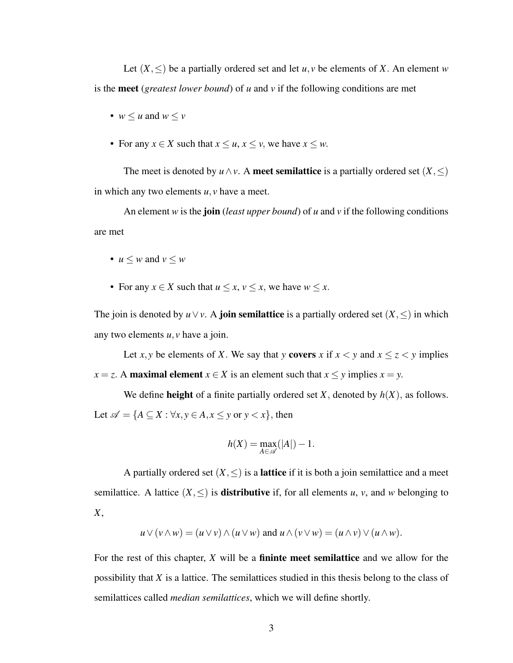Let  $(X, \leq)$  be a partially ordered set and let  $u, v$  be elements of X. An element *w* is the meet (*greatest lower bound*) of *u* and *v* if the following conditions are met

- $w \leq u$  and  $w \leq v$
- For any  $x \in X$  such that  $x \le u, x \le v$ , we have  $x \le w$ .

The meet is denoted by  $u \wedge v$ . A meet semilattice is a partially ordered set  $(X, \leq)$ in which any two elements *u*, *v* have a meet.

An element *w* is the join (*least upper bound*) of *u* and *v* if the following conditions are met

• 
$$
u \leq w
$$
 and  $v \leq w$ 

• For any  $x \in X$  such that  $u \le x, v \le x$ , we have  $w \le x$ .

The join is denoted by  $u \vee v$ . A **join semilattice** is a partially ordered set  $(X, \leq)$  in which any two elements *u*, *v* have a join.

Let *x*, *y* be elements of *X*. We say that *y* covers *x* if  $x < y$  and  $x \le z < y$  implies *x* = *z*. A maximal element *x*  $\in$  *X* is an element such that *x*  $\leq$  *y* implies *x* = *y*.

We define **height** of a finite partially ordered set  $X$ , denoted by  $h(X)$ , as follows. Let  $\mathscr{A} = \{ A \subseteq X : \forall x, y \in A, x \leq y \text{ or } y < x \},\$  then

$$
h(X) = \max_{A \in \mathscr{A}}(|A|) - 1.
$$

A partially ordered set  $(X, \leq)$  is a **lattice** if it is both a join semilattice and a meet semilattice. A lattice  $(X, \leq)$  is **distributive** if, for all elements *u*, *v*, and *w* belonging to *X*,

$$
u \vee (v \wedge w) = (u \vee v) \wedge (u \vee w) \text{ and } u \wedge (v \vee w) = (u \wedge v) \vee (u \wedge w).
$$

For the rest of this chapter, *X* will be a fininte meet semilattice and we allow for the possibility that *X* is a lattice. The semilattices studied in this thesis belong to the class of semilattices called *median semilattices*, which we will define shortly.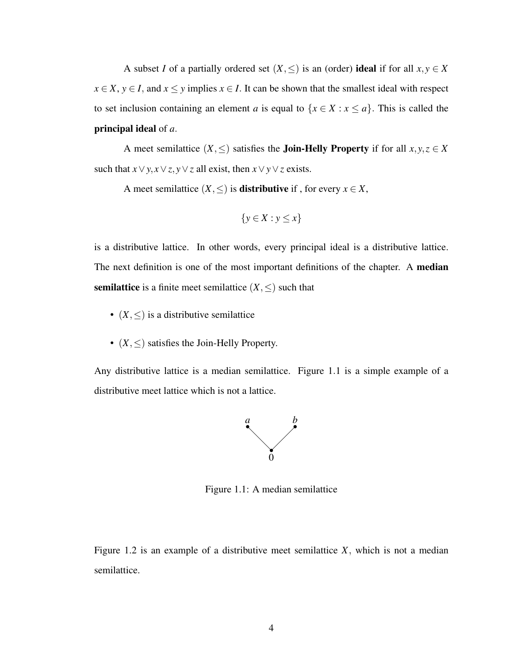A subset *I* of a partially ordered set  $(X, \leq)$  is an (order) ideal if for all  $x, y \in X$  $x \in X$ ,  $y \in I$ , and  $x \leq y$  implies  $x \in I$ . It can be shown that the smallest ideal with respect to set inclusion containing an element *a* is equal to  $\{x \in X : x \le a\}$ . This is called the principal ideal of *a*.

A meet semilattice  $(X, \leq)$  satisfies the **Join-Helly Property** if for all  $x, y, z \in X$ such that  $x \lor y, x \lor z, y \lor z$  all exist, then  $x \lor y \lor z$  exists.

A meet semilattice  $(X, \leq)$  is **distributive** if, for every  $x \in X$ ,

$$
\{y \in X : y \le x\}
$$

is a distributive lattice. In other words, every principal ideal is a distributive lattice. The next definition is one of the most important definitions of the chapter. A **median semilattice** is a finite meet semilattice  $(X, \leq)$  such that

- $(X, \leq)$  is a distributive semilattice
- (*X*,≤) satisfies the Join-Helly Property.

Any distributive lattice is a median semilattice. Figure 1.1 is a simple example of a distributive meet lattice which is not a lattice.



Figure 1.1: A median semilattice

Figure 1.2 is an example of a distributive meet semilattice *X*, which is not a median semilattice.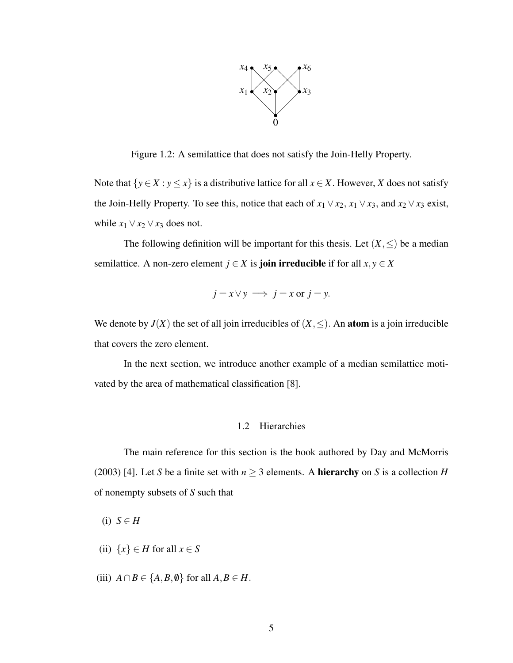

Figure 1.2: A semilattice that does not satisfy the Join-Helly Property.

Note that  $\{y \in X : y \leq x\}$  is a distributive lattice for all  $x \in X$ . However, *X* does not satisfy the Join-Helly Property. To see this, notice that each of  $x_1 \vee x_2$ ,  $x_1 \vee x_3$ , and  $x_2 \vee x_3$  exist, while  $x_1 \vee x_2 \vee x_3$  does not.

The following definition will be important for this thesis. Let  $(X, \leq)$  be a median semilattice. A non-zero element  $j \in X$  is **join irreducible** if for all  $x, y \in X$ 

$$
j = x \lor y \implies j = x \text{ or } j = y.
$$

We denote by  $J(X)$  the set of all join irreducibles of  $(X, \le)$ . An **atom** is a join irreducible that covers the zero element.

In the next section, we introduce another example of a median semilattice motivated by the area of mathematical classification [8].

#### 1.2 Hierarchies

The main reference for this section is the book authored by Day and McMorris (2003) [4]. Let *S* be a finite set with  $n \ge 3$  elements. A **hierarchy** on *S* is a collection *H* of nonempty subsets of *S* such that

 $(i)$  *S*  $\in$  *H* 

- (ii)  $\{x\} \in H$  for all  $x \in S$
- (iii)  $A \cap B \in \{A, B, \emptyset\}$  for all  $A, B \in H$ .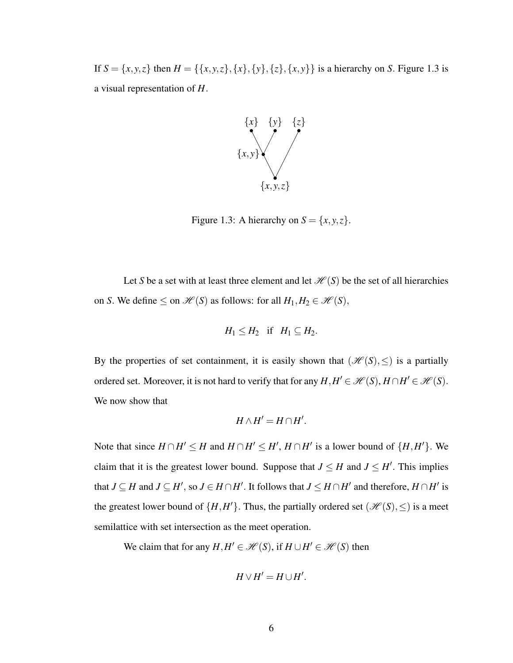If  $S = \{x, y, z\}$  then  $H = \{\{x, y, z\}, \{x\}, \{y\}, \{z\}, \{x, y\}\}\$ is a hierarchy on *S*. Figure 1.3 is a visual representation of *H*.



Figure 1.3: A hierarchy on  $S = \{x, y, z\}.$ 

Let *S* be a set with at least three element and let  $\mathcal{H}(S)$  be the set of all hierarchies on *S*. We define  $\leq$  on  $\mathcal{H}(S)$  as follows: for all  $H_1, H_2 \in \mathcal{H}(S)$ ,

$$
H_1 \leq H_2 \quad \text{if} \quad H_1 \subseteq H_2.
$$

By the properties of set containment, it is easily shown that  $(\mathcal{H}(S), \leq)$  is a partially ordered set. Moreover, it is not hard to verify that for any  $H, H' \in \mathcal{H}(S), H \cap H' \in \mathcal{H}(S)$ . We now show that

$$
H \wedge H' = H \cap H'.
$$

Note that since  $H \cap H' \leq H$  and  $H \cap H' \leq H'$ ,  $H \cap H'$  is a lower bound of  $\{H, H'\}$ . We claim that it is the greatest lower bound. Suppose that  $J \leq H$  and  $J \leq H'$ . This implies that  $J \subseteq H$  and  $J \subseteq H'$ , so  $J \in H \cap H'$ . It follows that  $J \leq H \cap H'$  and therefore,  $H \cap H'$  is the greatest lower bound of  $\{H, H'\}$ . Thus, the partially ordered set  $(\mathcal{H}(S), \leq)$  is a meet semilattice with set intersection as the meet operation.

We claim that for any  $H, H' \in \mathcal{H}(S)$ , if  $H \cup H' \in \mathcal{H}(S)$  then

$$
H\vee H'=H\cup H'.
$$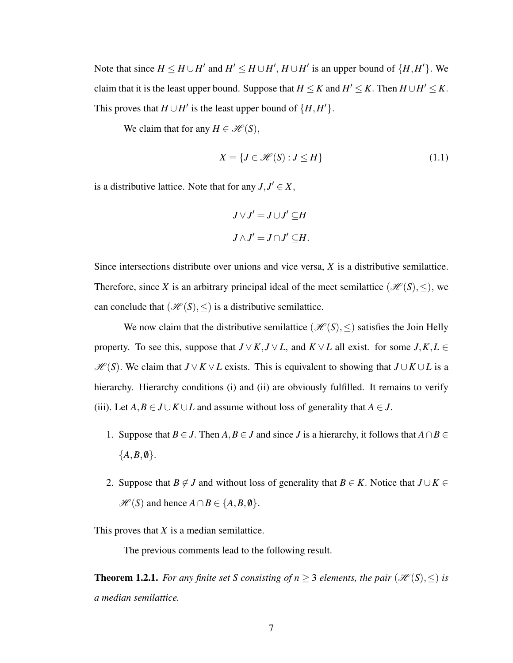Note that since  $H \leq H \cup H'$  and  $H' \leq H \cup H'$ ,  $H \cup H'$  is an upper bound of  $\{H, H'\}$ . We claim that it is the least upper bound. Suppose that  $H \le K$  and  $H' \le K$ . Then  $H \cup H' \le K$ . This proves that  $H \cup H'$  is the least upper bound of  $\{H, H'\}$ .

We claim that for any  $H \in \mathcal{H}(S)$ ,

$$
X = \{J \in \mathcal{H}(S) : J \le H\}
$$
\n<sup>(1.1)</sup>

is a distributive lattice. Note that for any  $J, J' \in X$ ,

$$
J \vee J' = J \cup J' \subseteq H
$$
  

$$
J \wedge J' = J \cap J' \subseteq H.
$$

Since intersections distribute over unions and vice versa, *X* is a distributive semilattice. Therefore, since *X* is an arbitrary principal ideal of the meet semilattice ( $\mathcal{H}(S), \leq$ ), we can conclude that  $(\mathcal{H}(S), \leq)$  is a distributive semilattice.

We now claim that the distributive semilattice ( $\mathcal{H}(S), \leq$ ) satisfies the Join Helly property. To see this, suppose that  $J \vee K$ ,  $J \vee L$ , and  $K \vee L$  all exist. for some  $J$ ,  $K$ ,  $L \in$ *H* (*S*). We claim that *J* ∨ *K* ∨ *L* exists. This is equivalent to showing that *J* ∪ *K* ∪ *L* is a hierarchy. Hierarchy conditions (i) and (ii) are obviously fulfilled. It remains to verify (iii). Let  $A, B \in J \cup K \cup L$  and assume without loss of generality that  $A \in J$ .

- 1. Suppose that *B* ∈ *J*. Then *A*, *B* ∈ *J* and since *J* is a hierarchy, it follows that  $A \cap B \in$  ${A,B,\emptyset}.$
- 2. Suppose that *B*  $\notin$  *J* and without loss of generality that *B*  $\in$  *K*. Notice that *J* ∪ *K*  $\in$  $\mathcal{H}(S)$  and hence  $A \cap B \in \{A, B, \emptyset\}.$

This proves that *X* is a median semilattice.

The previous comments lead to the following result.

**Theorem 1.2.1.** *For any finite set S consisting of n*  $\geq$  3 *elements, the pair* ( $\mathcal{H}(S), \leq$ ) *is a median semilattice.*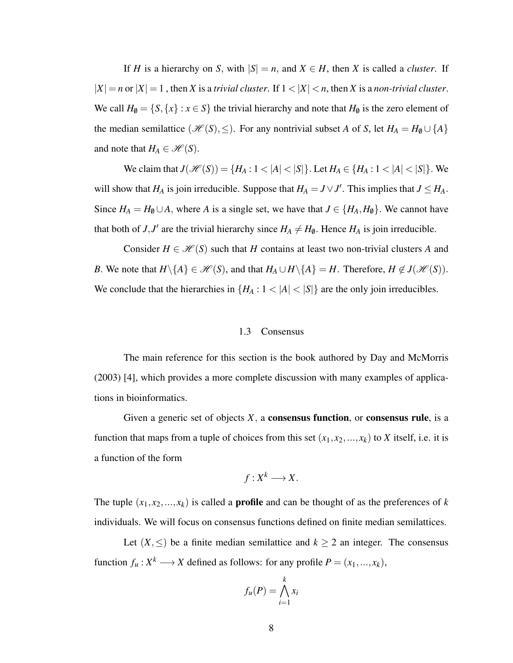If *H* is a hierarchy on *S*, with  $|S| = n$ , and  $X \in H$ , then *X* is called a *cluster*. If  $|X| = n$  or  $|X| = 1$ , then *X* is a *trivial cluster*. If  $1 < |X| < n$ , then *X* is a *non-trivial cluster*. We call  $H_0 = \{S, \{x\} : x \in S\}$  the trivial hierarchy and note that  $H_0$  is the zero element of the median semilattice  $(\mathcal{H}(S), \leq)$ . For any nontrivial subset *A* of *S*, let  $H_A = H_0 \cup \{A\}$ and note that  $H_A \in \mathcal{H}(S)$ .

We claim that  $J(\mathcal{H}(S)) = \{H_A : 1 < |A| < |S|\}$ . Let  $H_A \in \{H_A : 1 < |A| < |S|\}$ . We will show that  $H_A$  is join irreducible. Suppose that  $H_A = J \vee J'$ . This implies that  $J \leq H_A$ . Since  $H_A = H_\emptyset \cup A$ , where *A* is a single set, we have that  $J \in \{H_A, H_\emptyset\}$ . We cannot have that both of *J*, *J'* are the trivial hierarchy since  $H_A \neq H_\emptyset$ . Hence  $H_A$  is join irreducible.

Consider  $H \in \mathcal{H}(S)$  such that *H* contains at least two non-trivial clusters *A* and *B*. We note that  $H \setminus \{A\} \in \mathcal{H}(S)$ , and that  $H_A \cup H \setminus \{A\} = H$ . Therefore,  $H \notin J(\mathcal{H}(S))$ . We conclude that the hierarchies in  $\{H_A: 1 < |A| < |S|\}$  are the only join irreducibles.

#### 1.3 Consensus

The main reference for this section is the book authored by Day and McMorris (2003) [4], which provides a more complete discussion with many examples of applications in bioinformatics.

Given a generic set of objects  $X$ , a **consensus function**, or **consensus rule**, is a function that maps from a tuple of choices from this set  $(x_1, x_2, ..., x_k)$  to *X* itself, i.e. it is a function of the form

$$
f:X^k\longrightarrow X.
$$

The tuple  $(x_1, x_2, ..., x_k)$  is called a **profile** and can be thought of as the preferences of *k* individuals. We will focus on consensus functions defined on finite median semilattices.

Let  $(X, \leq)$  be a finite median semilattice and  $k \geq 2$  an integer. The consensus function  $f_u: X^k \longrightarrow X$  defined as follows: for any profile  $P = (x_1, ..., x_k)$ ,

$$
f_u(P) = \bigwedge_{i=1}^k x_i
$$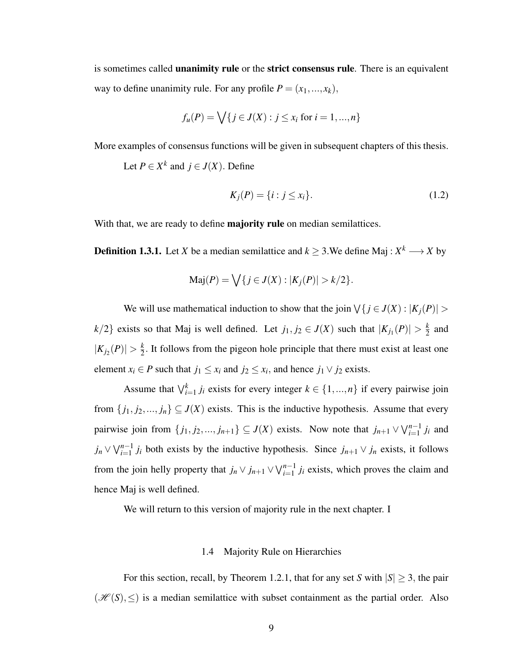is sometimes called unanimity rule or the strict consensus rule. There is an equivalent way to define unanimity rule. For any profile  $P = (x_1, ..., x_k)$ ,

$$
f_u(P) = \bigvee \{ j \in J(X) : j \le x_i \text{ for } i = 1, ..., n \}
$$

More examples of consensus functions will be given in subsequent chapters of this thesis.

Let  $P \in X^k$  and  $j \in J(X)$ . Define

$$
K_j(P) = \{i : j \le x_i\}.
$$
 (1.2)

With that, we are ready to define **majority rule** on median semilattices.

**Definition 1.3.1.** Let *X* be a median semilattice and  $k \geq 3$ . We define Maj :  $X^k \longrightarrow X$  by

$$
Maj(P) = \bigvee \{ j \in J(X) : |K_j(P)| > k/2 \}.
$$

We will use mathematical induction to show that the join  $\forall \{j \in J(X) : |K_j(P)| > 1\}$  $k/2$ } exists so that Maj is well defined. Let  $j_1, j_2 \in J(X)$  such that  $|K_{j_1}(P)| > \frac{k}{2}$  $rac{k}{2}$  and  $|K_{j_2}(P)| > \frac{k}{2}$  $\frac{k}{2}$ . It follows from the pigeon hole principle that there must exist at least one element *x*<sub>*i*</sub>  $\in$  *P* such that *j*<sub>1</sub>  $\leq$  *x*<sub>*i*</sub> and *j*<sub>2</sub>  $\leq$  *x*<sub>*i*</sub>, and hence *j*<sub>1</sub>  $\vee$  *j*<sub>2</sub> exists.

Assume that  $\bigvee_{i=1}^{k} j_i$  exists for every integer  $k \in \{1, ..., n\}$  if every pairwise join from  $\{j_1, j_2, ..., j_n\} \subseteq J(X)$  exists. This is the inductive hypothesis. Assume that every pairwise join from  $\{j_1, j_2, ..., j_{n+1}\} \subseteq J(X)$  exists. Now note that  $j_{n+1} \vee \bigvee_{i=1}^{n-1} j_i$  and *j*<sup>*n*</sup> ∨  $\bigvee_{i=1}^{n-1} j_i$  both exists by the inductive hypothesis. Since *j*<sub>*n*+1</sub> ∨ *j<sub>n</sub>* exists, it follows from the join helly property that  $j_n \vee j_{n+1} \vee \bigvee_{i=1}^{n-1} j_i$  exists, which proves the claim and hence Maj is well defined.

We will return to this version of majority rule in the next chapter. I

### 1.4 Majority Rule on Hierarchies

For this section, recall, by Theorem 1.2.1, that for any set *S* with  $|S| \geq 3$ , the pair  $(\mathcal{H}(S), \leq)$  is a median semilattice with subset containment as the partial order. Also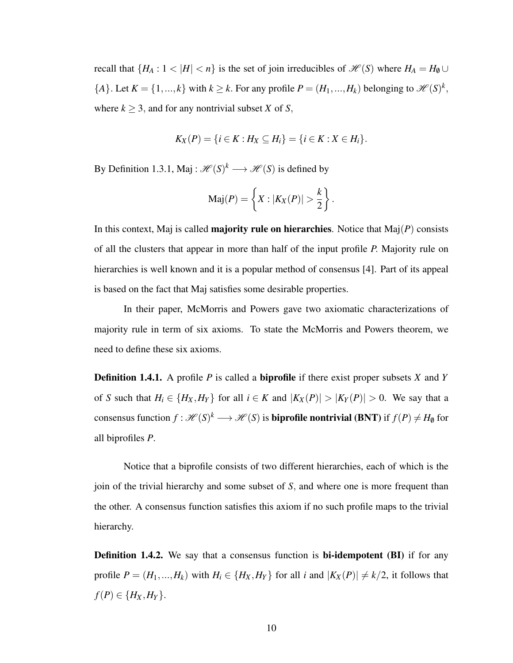recall that  $\{H_A: 1 < |H| < n\}$  is the set of join irreducibles of  $\mathcal{H}(S)$  where  $H_A = H_0 \cup$  $\{A\}$ . Let  $K = \{1, ..., k\}$  with  $k \geq k$ . For any profile  $P = (H_1, ..., H_k)$  belonging to  $\mathcal{H}(S)^k$ , where  $k \geq 3$ , and for any nontrivial subset *X* of *S*,

$$
K_X(P) = \{i \in K : H_X \subseteq H_i\} = \{i \in K : X \in H_i\}.
$$

By Definition 1.3.1, Maj :  $\mathcal{H}(S)^k \longrightarrow \mathcal{H}(S)$  is defined by

$$
\mathrm{Maj}(P) = \left\{ X : |K_X(P)| > \frac{k}{2} \right\}.
$$

In this context, Maj is called majority rule on hierarchies. Notice that Maj(*P*) consists of all the clusters that appear in more than half of the input profile *P*. Majority rule on hierarchies is well known and it is a popular method of consensus [4]. Part of its appeal is based on the fact that Maj satisfies some desirable properties.

In their paper, McMorris and Powers gave two axiomatic characterizations of majority rule in term of six axioms. To state the McMorris and Powers theorem, we need to define these six axioms.

Definition 1.4.1. A profile *P* is called a biprofile if there exist proper subsets *X* and *Y* of *S* such that  $H_i \in \{H_X, H_Y\}$  for all  $i \in K$  and  $|K_X(P)| > |K_Y(P)| > 0$ . We say that a consensus function  $f:\mathscr{H}(S)^k\longrightarrow \mathscr{H}(S)$  is **biprofile nontrivial (BNT)** if  $f(P)\neq H_\emptyset$  for all biprofiles *P*.

Notice that a biprofile consists of two different hierarchies, each of which is the join of the trivial hierarchy and some subset of *S*, and where one is more frequent than the other. A consensus function satisfies this axiom if no such profile maps to the trivial hierarchy.

**Definition 1.4.2.** We say that a consensus function is **bi-idempotent (BI)** if for any profile  $P = (H_1, ..., H_k)$  with  $H_i \in \{H_X, H_Y\}$  for all *i* and  $|K_X(P)| \neq k/2$ , it follows that  $f(P) \in \{H_X, H_Y\}.$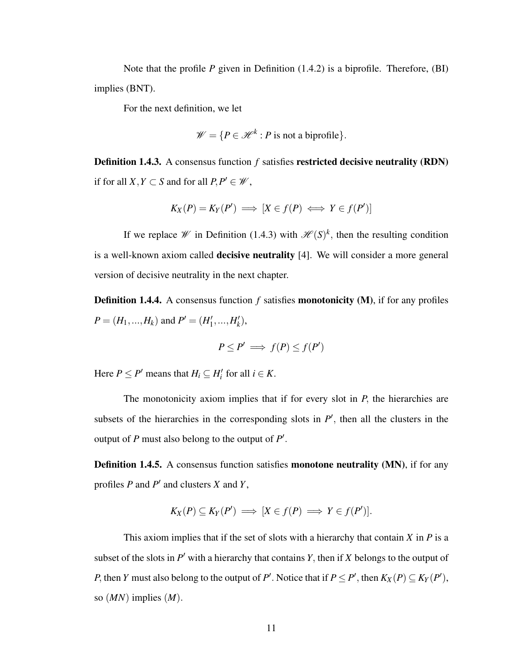Note that the profile *P* given in Definition (1.4.2) is a biprofile. Therefore, (BI) implies (BNT).

For the next definition, we let

$$
\mathscr{W} = \{ P \in \mathscr{H}^k : P \text{ is not a biprofile} \}.
$$

Definition 1.4.3. A consensus function *f* satisfies restricted decisive neutrality (RDN) if for all  $X, Y \subset S$  and for all  $P, P' \in W$ ,

$$
K_X(P) = K_Y(P') \implies [X \in f(P) \iff Y \in f(P')]
$$

If we replace *W* in Definition (1.4.3) with  $\mathcal{H}(S)^k$ , then the resulting condition is a well-known axiom called decisive neutrality [4]. We will consider a more general version of decisive neutrality in the next chapter.

**Definition 1.4.4.** A consensus function f satisfies **monotonicity** (M), if for any profiles  $P = (H_1, ..., H_k)$  and  $P' = (H'_1)$  $'_{1},...,H'_{k}$ *k* ),

$$
P \le P' \implies f(P) \le f(P')
$$

Here  $P \le P'$  means that  $H_i \subseteq H'_i$  for all  $i \in K$ .

The monotonicity axiom implies that if for every slot in *P*, the hierarchies are subsets of the hierarchies in the corresponding slots in  $P'$ , then all the clusters in the output of  $P$  must also belong to the output of  $P'$ .

Definition 1.4.5. A consensus function satisfies monotone neutrality (MN), if for any profiles *P* and *P* ′ and clusters *X* and *Y*,

$$
K_X(P) \subseteq K_Y(P') \implies [X \in f(P) \implies Y \in f(P')].
$$

This axiom implies that if the set of slots with a hierarchy that contain *X* in *P* is a subset of the slots in  $P'$  with a hierarchy that contains  $Y$ , then if  $X$  belongs to the output of *P*, then *Y* must also belong to the output of *P*<sup> $\prime$ </sup>. Notice that if  $P \le P^{\prime}$ , then  $K_X(P) \subseteq K_Y(P^{\prime})$ , so (*MN*) implies (*M*).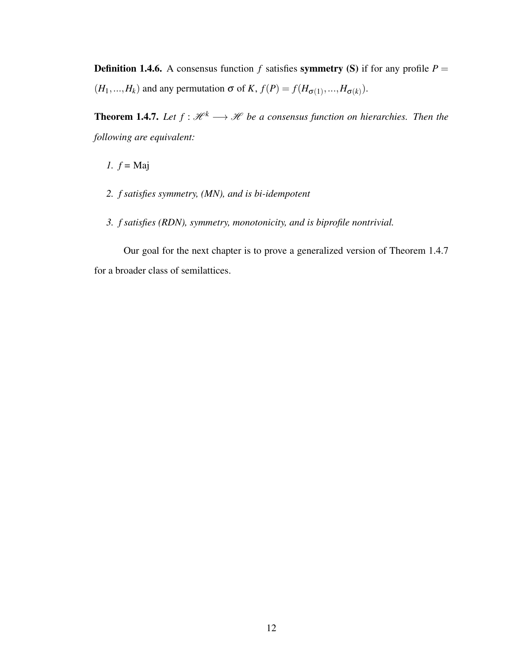**Definition 1.4.6.** A consensus function *f* satisfies **symmetry** (S) if for any profile  $P =$  $(H_1, ..., H_k)$  and any permutation  $\sigma$  of *K*,  $f(P) = f(H_{\sigma(1)}, ..., H_{\sigma(k)})$ .

**Theorem 1.4.7.** Let  $f: \mathcal{H}^k \longrightarrow \mathcal{H}$  be a consensus function on hierarchies. Then the *following are equivalent:*

*1. f =* Maj

- *2. f satisfies symmetry, (MN), and is bi-idempotent*
- *3. f satisfies (RDN), symmetry, monotonicity, and is biprofile nontrivial.*

Our goal for the next chapter is to prove a generalized version of Theorem 1.4.7 for a broader class of semilattices.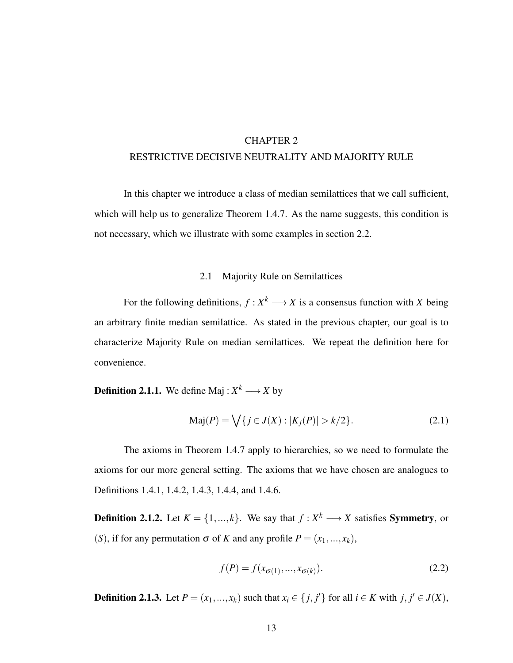# CHAPTER 2 RESTRICTIVE DECISIVE NEUTRALITY AND MAJORITY RULE

In this chapter we introduce a class of median semilattices that we call sufficient, which will help us to generalize Theorem 1.4.7. As the name suggests, this condition is not necessary, which we illustrate with some examples in section 2.2.

### 2.1 Majority Rule on Semilattices

For the following definitions,  $f: X^k \longrightarrow X$  is a consensus function with *X* being an arbitrary finite median semilattice. As stated in the previous chapter, our goal is to characterize Majority Rule on median semilattices. We repeat the definition here for convenience.

**Definition 2.1.1.** We define Maj :  $X^k \longrightarrow X$  by

$$
Maj(P) = \bigvee \{ j \in J(X) : |K_j(P)| > k/2 \}.
$$
 (2.1)

The axioms in Theorem 1.4.7 apply to hierarchies, so we need to formulate the axioms for our more general setting. The axioms that we have chosen are analogues to Definitions 1.4.1, 1.4.2, 1.4.3, 1.4.4, and 1.4.6.

**Definition 2.1.2.** Let  $K = \{1, ..., k\}$ . We say that  $f: X^k \longrightarrow X$  satisfies **Symmetry**, or (*S*), if for any permutation  $\sigma$  of *K* and any profile  $P = (x_1, ..., x_k)$ ,

$$
f(P) = f(x_{\sigma(1)}, \dots, x_{\sigma(k)}).
$$
\n
$$
(2.2)
$$

**Definition 2.1.3.** Let  $P = (x_1, ..., x_k)$  such that  $x_i \in \{j, j'\}$  for all  $i \in K$  with  $j, j' \in J(X)$ ,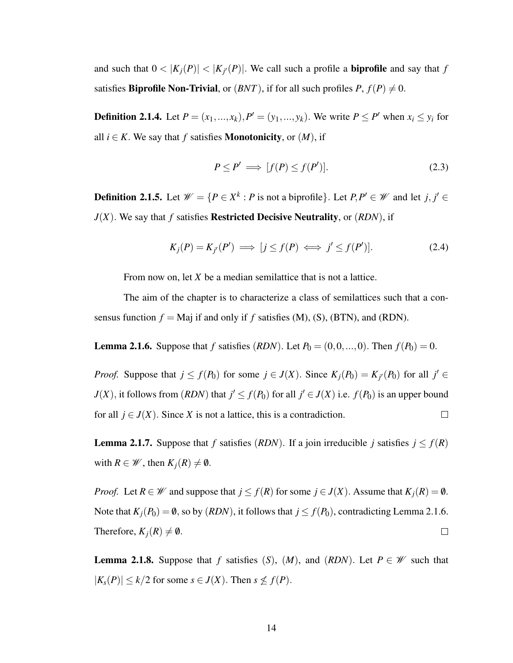and such that  $0 < |K_j(P)| < |K_{j'}(P)|$ . We call such a profile a **biprofile** and say that *f* satisfies **Biprofile Non-Trivial**, or  $(BNT)$ , if for all such profiles  $P$ ,  $f(P) \neq 0$ .

**Definition 2.1.4.** Let  $P = (x_1, ..., x_k)$ ,  $P' = (y_1, ..., y_k)$ . We write  $P \le P'$  when  $x_i \le y_i$  for all  $i \in K$ . We say that *f* satisfies **Monotonicity**, or  $(M)$ , if

$$
P \le P' \implies [f(P) \le f(P')]. \tag{2.3}
$$

**Definition 2.1.5.** Let  $\mathcal{W} = \{P \in X^k : P \text{ is not a biprofile}\}\text{. Let } P, P' \in \mathcal{W} \text{ and let } j, j' \in \mathcal{W}$ *J*(*X*). We say that *f* satisfies Restricted Decisive Neutrality, or (*RDN*), if

$$
K_j(P) = K_{j'}(P') \implies [j \le f(P) \iff j' \le f(P')]. \tag{2.4}
$$

From now on, let *X* be a median semilattice that is not a lattice.

The aim of the chapter is to characterize a class of semilattices such that a consensus function  $f =$  Maj if and only if  $f$  satisfies (M), (S), (BTN), and (RDN).

**Lemma 2.1.6.** Suppose that *f* satisfies (*RDN*). Let  $P_0 = (0, 0, ..., 0)$ . Then  $f(P_0) = 0$ .

*Proof.* Suppose that  $j \le f(P_0)$  for some  $j \in J(X)$ . Since  $K_j(P_0) = K_{j'}(P_0)$  for all  $j' \in$ *J*(*X*), it follows from (*RDN*) that  $j' \le f(P_0)$  for all  $j' \in J(X)$  i.e.  $f(P_0)$  is an upper bound for all  $j \in J(X)$ . Since *X* is not a lattice, this is a contradiction.  $\Box$ 

**Lemma 2.1.7.** Suppose that *f* satisfies (*RDN*). If a join irreducible *j* satisfies  $j \le f(R)$ with  $R \in \mathcal{W}$ , then  $K_i(R) \neq \emptyset$ .

*Proof.* Let  $R \in \mathcal{W}$  and suppose that  $j \le f(R)$  for some  $j \in J(X)$ . Assume that  $K_j(R) = \emptyset$ . Note that  $K_i(P_0) = \emptyset$ , so by (*RDN*), it follows that  $j \le f(P_0)$ , contradicting Lemma 2.1.6. Therefore,  $K_i(R) \neq \emptyset$ .  $\Box$ 

**Lemma 2.1.8.** Suppose that *f* satisfies  $(S)$ ,  $(M)$ , and  $(RDN)$ . Let  $P \in \mathcal{W}$  such that  $|K_s(P)| \le k/2$  for some  $s \in J(X)$ . Then  $s \nleq f(P)$ .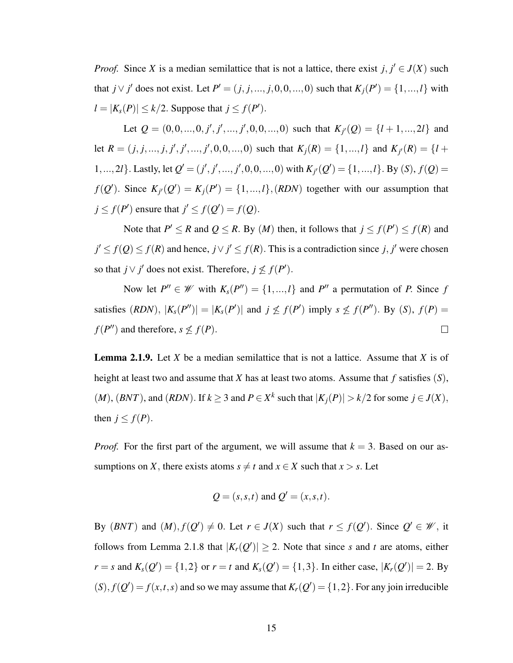*Proof.* Since *X* is a median semilattice that is not a lattice, there exist  $j, j' \in J(X)$  such that *j* ∨ *j*<sup> $'$ </sup> does not exist. Let *P*<sup> $'$ </sup> = (*j*, *j*, ..., *j*, 0, 0, ..., 0) such that  $K_j(P') = \{1, ..., l\}$  with  $l = |K_s(P)| \le k/2$ . Suppose that  $j \le f(P')$ .

Let  $Q = (0,0,...,0, j', j',..., j',0,0,...,0)$  such that  $K_{j'}(Q) = \{l+1,...,2l\}$  and let  $R = (j, j, ..., j, j', j', ..., j', 0, 0, ..., 0)$  such that  $K_j(R) = \{1, ..., l\}$  and  $K_{j'}(R) = \{l + j, ..., j, j', j', ..., j', 0, 0, ..., 0\}$ 1,..., 2*l*}. Lastly, let  $Q' = (j', j', ..., j', 0, 0, ..., 0)$  with  $K_{j'}(Q') = \{1, ..., l\}$ . By  $(S)$ ,  $f(Q) =$  $f(Q')$ . Since  $K_{j'}(Q') = K_j(P') = \{1, ..., l\}$ , (*RDN*) together with our assumption that  $j \leq f(P')$  ensure that  $j' \leq f(Q') = f(Q)$ .

Note that  $P' \le R$  and  $Q \le R$ . By  $(M)$  then, it follows that  $j \le f(P') \le f(R)$  and *j*<sup> $′$ </sup> ≤ *f*(*Q*) ≤ *f*(*R*) and hence, *j*  $\lor$  *j*<sup> $′$ </sup> ≤ *f*(*R*). This is a contradiction since *j*, *j*<sup> $′$ </sup> were chosen so that *j*  $\vee$  *j*<sup>'</sup> does not exist. Therefore, *j*  $\nleq f(P')$ .

Now let  $P'' \in \mathcal{W}$  with  $K_s(P'') = \{1, ..., l\}$  and  $P''$  a permutation of *P*. Since *f* satisfies  $(RDN)$ ,  $|K_s(P'')| = |K_s(P')|$  and  $j \nleq f(P')$  imply  $s \nleq f(P'')$ . By  $(S)$ ,  $f(P) =$  $f(P'')$  and therefore,  $s \nleq f(P)$ .  $\Box$ 

Lemma 2.1.9. Let *X* be a median semilattice that is not a lattice. Assume that *X* is of height at least two and assume that *X* has at least two atoms. Assume that *f* satisfies (*S*),  $(M)$ ,  $(BNT)$ , and  $(RDN)$ . If  $k \ge 3$  and  $P \in X^k$  such that  $|K_j(P)| > k/2$  for some  $j \in J(X)$ , then  $j \leq f(P)$ .

*Proof.* For the first part of the argument, we will assume that  $k = 3$ . Based on our assumptions on *X*, there exists atoms  $s \neq t$  and  $x \in X$  such that  $x > s$ . Let

$$
Q = (s, s, t)
$$
 and  $Q' = (x, s, t)$ .

By  $(BNT)$  and  $(M), f(Q') \neq 0$ . Let  $r \in J(X)$  such that  $r \leq f(Q')$ . Since  $Q' \in \mathcal{W}$ , it follows from Lemma 2.1.8 that  $|K_r(Q')| \geq 2$ . Note that since *s* and *t* are atoms, either *r* = *s* and  $K_s(Q') = \{1, 2\}$  or *r* = *t* and  $K_s(Q') = \{1, 3\}$ . In either case,  $|K_r(Q')| = 2$ . By  $(S)$ ,  $f(Q') = f(x,t,s)$  and so we may assume that  $K_r(Q') = \{1,2\}$ . For any join irreducible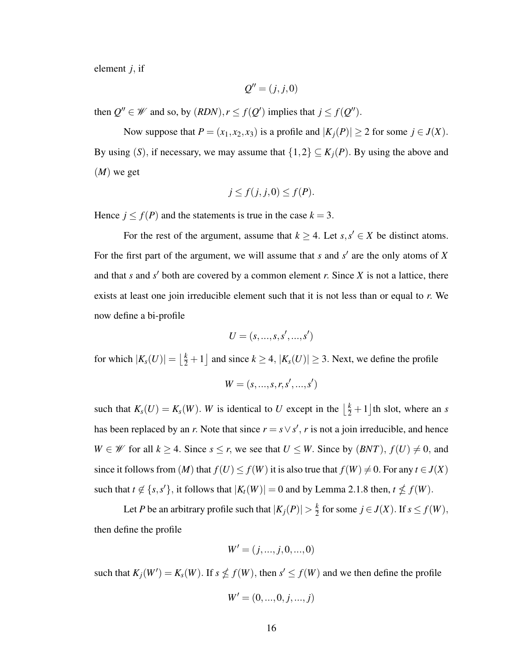element *j*, if

$$
Q'' = (j, j, 0)
$$

then  $Q'' \in W$  and so, by  $(RDN)$ ,  $r \le f(Q')$  implies that  $j \le f(Q'')$ .

Now suppose that  $P = (x_1, x_2, x_3)$  is a profile and  $|K_j(P)| \ge 2$  for some  $j \in J(X)$ . By using (*S*), if necessary, we may assume that  $\{1,2\} \subseteq K_j(P)$ . By using the above and (*M*) we get

$$
j \le f(j, j, 0) \le f(P).
$$

Hence  $j \le f(P)$  and the statements is true in the case  $k = 3$ .

For the rest of the argument, assume that  $k \geq 4$ . Let  $s, s' \in X$  be distinct atoms. For the first part of the argument, we will assume that *s* and *s'* are the only atoms of *X* and that *s* and *s* ′ both are covered by a common element *r*. Since *X* is not a lattice, there exists at least one join irreducible element such that it is not less than or equal to *r*. We now define a bi-profile

$$
U=(s,\ldots,s,s',\ldots,s')
$$

for which  $|K_s(U)| = \left\lfloor \frac{k}{2} + 1 \right\rfloor$  and since  $k \ge 4$ ,  $|K_s(U)| \ge 3$ . Next, we define the profile

$$
W = (s, ..., s, r, s', ..., s')
$$

such that  $K_s(U) = K_s(W)$ . W is identical to U except in the  $\left\lfloor \frac{k}{2} + 1 \right\rfloor$  th slot, where an *s* has been replaced by an *r*. Note that since  $r = s \vee s'$ , *r* is not a join irreducible, and hence *W* ∈ *W* for all *k* ≥ 4. Since *s* ≤ *r*, we see that *U* ≤ *W*. Since by  $(BNT)$ ,  $f(U) \neq 0$ , and since it follows from  $(M)$  that  $f(U) \le f(W)$  it is also true that  $f(W) \ne 0$ . For any  $t \in J(X)$ such that  $t \notin \{s, s'\}$ , it follows that  $|K_t(W)| = 0$  and by Lemma 2.1.8 then,  $t \nleq f(W)$ .

Let *P* be an arbitrary profile such that  $|K_j(P)| > \frac{k}{2}$  $\frac{k}{2}$  for some  $j \in J(X)$ . If  $s \le f(W)$ , then define the profile

$$
W' = (j, ..., j, 0, ..., 0)
$$

such that  $K_j(W') = K_s(W)$ . If  $s \nleq f(W)$ , then  $s' \leq f(W)$  and we then define the profile

$$
W' = (0, ..., 0, j, ..., j)
$$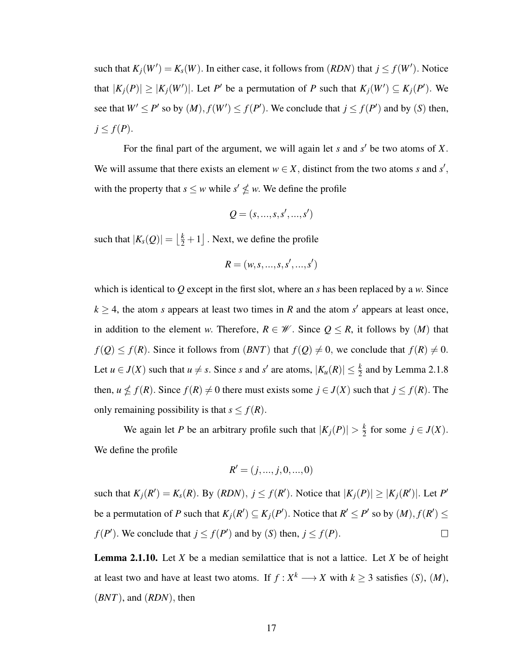such that  $K_j(W') = K_s(W)$ . In either case, it follows from  $(RDN)$  that  $j \leq f(W')$ . Notice that  $|K_j(P)| \geq |K_j(W')|$ . Let P' be a permutation of P such that  $K_j(W') \subseteq K_j(P')$ . We see that  $W' \le P'$  so by  $(M)$ ,  $f(W') \le f(P')$ . We conclude that  $j \le f(P')$  and by  $(S)$  then,  $j \leq f(P)$ .

For the final part of the argument, we will again let *s* and *s* ′ be two atoms of *X*. We will assume that there exists an element  $w \in X$ , distinct from the two atoms *s* and *s'*, with the property that  $s \leq w$  while  $s' \nleq w$ . We define the profile

$$
Q=(s,\ldots,s,s',\ldots,s')
$$

such that  $|K_s(Q)| = \left\lfloor \frac{k}{2} + 1 \right\rfloor$ . Next, we define the profile

$$
R = (w, s, ..., s, s', ..., s')
$$

which is identical to *Q* except in the first slot, where an *s* has been replaced by a *w*. Since  $k \geq 4$ , the atom *s* appears at least two times in *R* and the atom *s*<sup> $\prime$ </sup> appears at least once, in addition to the element *w*. Therefore,  $R \in \mathcal{W}$ . Since  $Q \leq R$ , it follows by  $(M)$  that  $f(Q) \le f(R)$ . Since it follows from  $(BNT)$  that  $f(Q) \ne 0$ , we conclude that  $f(R) \ne 0$ . Let  $u \in J(X)$  such that  $u \neq s$ . Since *s* and *s'* are atoms,  $|K_u(R)| \leq \frac{k}{2}$  and by Lemma 2.1.8 then,  $u \nleq f(R)$ . Since  $f(R) \neq 0$  there must exists some  $j \in J(X)$  such that  $j \leq f(R)$ . The only remaining possibility is that  $s \leq f(R)$ .

We again let *P* be an arbitrary profile such that  $|K_j(P)| > \frac{k}{2}$  $\frac{k}{2}$  for some  $j \in J(X)$ . We define the profile

$$
R' = (j, ..., j, 0, ..., 0)
$$

such that  $K_j(R') = K_s(R)$ . By  $(RDN)$ ,  $j \le f(R')$ . Notice that  $|K_j(P)| \ge |K_j(R')|$ . Let P' be a permutation of *P* such that  $K_j(R') \subseteq K_j(P')$ . Notice that  $R' \le P'$  so by  $(M), f(R') \le$ *f*(*P*<sup> $\prime$ </sup>). We conclude that  $j \le f(P')$  and by (*S*) then,  $j \le f(P)$ .  $\Box$ 

Lemma 2.1.10. Let *X* be a median semilattice that is not a lattice. Let *X* be of height at least two and have at least two atoms. If  $f: X^k \longrightarrow X$  with  $k \geq 3$  satisfies (*S*), (*M*), (*BNT*), and (*RDN*), then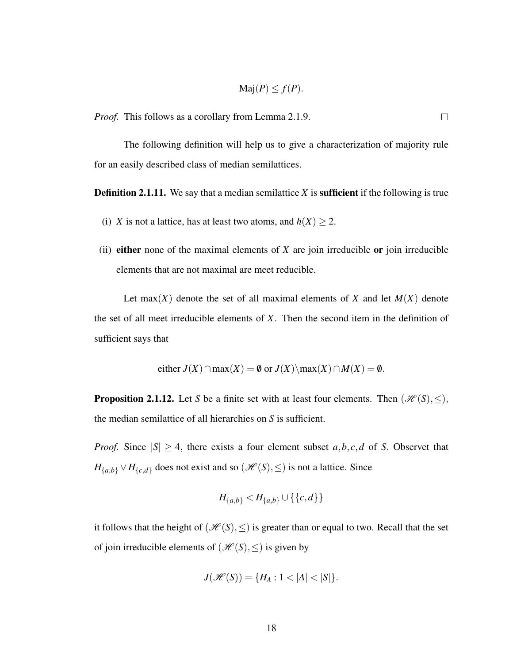$$
\mathrm{Maj}(P) \le f(P).
$$

 $\Box$ 

*Proof.* This follows as a corollary from Lemma 2.1.9.

The following definition will help us to give a characterization of majority rule for an easily described class of median semilattices.

**Definition 2.1.11.** We say that a median semilattice *X* is **sufficient** if the following is true

- (i) *X* is not a lattice, has at least two atoms, and  $h(X) \geq 2$ .
- (ii) either none of the maximal elements of *X* are join irreducible or join irreducible elements that are not maximal are meet reducible.

Let max(*X*) denote the set of all maximal elements of *X* and let  $M(X)$  denote the set of all meet irreducible elements of *X*. Then the second item in the definition of sufficient says that

either 
$$
J(X) \cap \max(X) = \emptyset
$$
 or  $J(X) \setminus \max(X) \cap M(X) = \emptyset$ .

**Proposition 2.1.12.** Let *S* be a finite set with at least four elements. Then  $(\mathcal{H}(S), \leq),$ the median semilattice of all hierarchies on *S* is sufficient.

*Proof.* Since  $|S| \geq 4$ , there exists a four element subset *a*,*b*, *c*,*d* of *S*. Observet that  $H_{\{a,b\}} \vee H_{\{c,d\}}$  does not exist and so  $(\mathcal{H}(S), \leq)$  is not a lattice. Since

$$
H_{\{a,b\}} < H_{\{a,b\}} \cup \{\{c,d\}\}\
$$

it follows that the height of  $(\mathcal{H}(S), \leq)$  is greater than or equal to two. Recall that the set of join irreducible elements of  $(\mathcal{H}(S), \leq)$  is given by

$$
J(\mathscr{H}(S)) = \{ H_A : 1 < |A| < |S| \}.
$$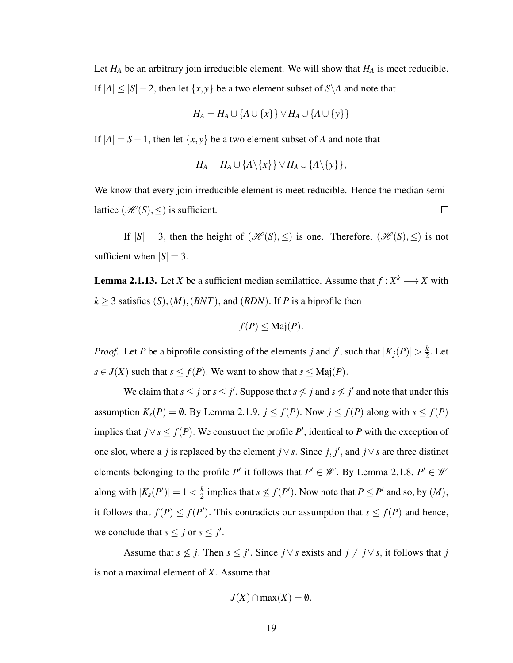Let  $H_A$  be an arbitrary join irreducible element. We will show that  $H_A$  is meet reducible. If  $|A| \leq |S| - 2$ , then let  $\{x, y\}$  be a two element subset of  $S \setminus A$  and note that

$$
H_A = H_A \cup \{A \cup \{x\}\} \vee H_A \cup \{A \cup \{y\}\}\
$$

If  $|A| = S - 1$ , then let  $\{x, y\}$  be a two element subset of *A* and note that

$$
H_A = H_A \cup \{A \setminus \{x\}\} \vee H_A \cup \{A \setminus \{y\}\},\
$$

We know that every join irreducible element is meet reducible. Hence the median semilattice  $(\mathcal{H}(S), \leq)$  is sufficient.  $\Box$ 

If  $|S| = 3$ , then the height of  $(\mathcal{H}(S), \leq)$  is one. Therefore,  $(\mathcal{H}(S), \leq)$  is not sufficient when  $|S| = 3$ .

**Lemma 2.1.13.** Let *X* be a sufficient median semilattice. Assume that  $f: X^k \longrightarrow X$  with  $k \geq 3$  satisfies  $(S)$ ,  $(M)$ ,  $(BNT)$ , and  $(RDN)$ . If *P* is a biprofile then

$$
f(P) \leq \text{Maj}(P).
$$

*Proof.* Let *P* be a biprofile consisting of the elements *j* and *j*<sup> $\prime$ </sup>, such that  $|K_j(P)| > \frac{k}{2}$  $\frac{k}{2}$ . Let *s* ∈ *J*(*X*) such that *s* ≤ *f*(*P*). We want to show that *s* ≤ Maj(*P*).

We claim that  $s \leq j$  or  $s \leq j'$ . Suppose that  $s \nleq j$  and  $s \nleq j'$  and note that under this assumption  $K_s(P) = \emptyset$ . By Lemma 2.1.9,  $j \le f(P)$ . Now  $j \le f(P)$  along with  $s \le f(P)$ implies that *j*∨*s* ≤ *f*(*P*). We construct the profile *P*<sup>'</sup>, identical to *P* with the exception of one slot, where a *j* is replaced by the element  $j \vee s$ . Since  $j, j'$ , and  $j \vee s$  are three distinct elements belonging to the profile *P*<sup>'</sup> it follows that  $P' \in \mathcal{W}$ . By Lemma 2.1.8,  $P' \in \mathcal{W}$ along with  $|K_s(P')|=1<\frac{k}{2}$  $\frac{k}{2}$  implies that  $s \nleq f(P')$ . Now note that  $P \leq P'$  and so, by  $(M)$ , it follows that  $f(P) \leq f(P')$ . This contradicts our assumption that  $s \leq f(P)$  and hence, we conclude that  $s \leq j$  or  $s \leq j'$ .

Assume that  $s \nleq j$ . Then  $s \leq j'$ . Since  $j \vee s$  exists and  $j \neq j \vee s$ , it follows that *j* is not a maximal element of *X*. Assume that

$$
J(X) \cap \max(X) = \emptyset.
$$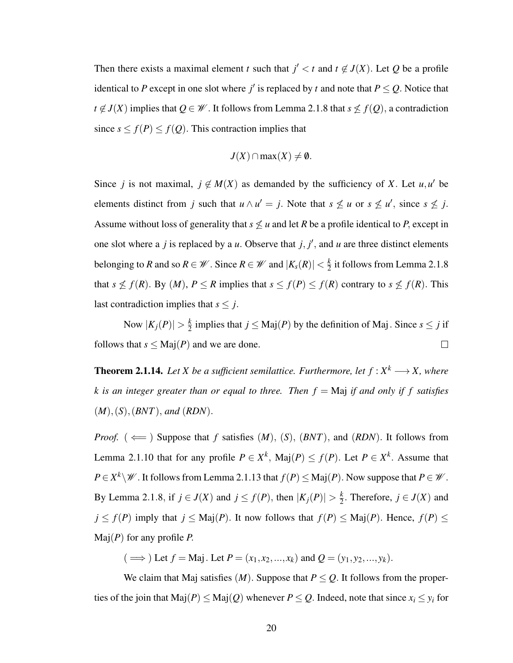Then there exists a maximal element *t* such that  $j' < t$  and  $t \notin J(X)$ . Let Q be a profile identical to *P* except in one slot where *j'* is replaced by *t* and note that  $P \le Q$ . Notice that *t* ∉ *J*(*X*) implies that  $Q \in \mathcal{W}$ . It follows from Lemma 2.1.8 that *s*  $\leq f(Q)$ , a contradiction since  $s \leq f(P) \leq f(Q)$ . This contraction implies that

$$
J(X)\cap \max(X)\neq \emptyset
$$

Since *j* is not maximal,  $j \notin M(X)$  as demanded by the sufficiency of *X*. Let  $u, u'$  be elements distinct from *j* such that  $u \wedge u' = j$ . Note that  $s \nleq u$  or  $s \nleq u'$ , since  $s \nleq j$ . Assume without loss of generality that  $s \not\leq u$  and let *R* be a profile identical to *P*, except in one slot where a *j* is replaced by a *u*. Observe that  $j, j'$ , and *u* are three distinct elements belonging to *R* and so  $R \in \mathcal{W}$ . Since  $R \in \mathcal{W}$  and  $|K_s(R)| < \frac{k}{2}$  $\frac{k}{2}$  it follows from Lemma 2.1.8 that  $s \nleq f(R)$ . By  $(M)$ ,  $P \leq R$  implies that  $s \leq f(P) \leq f(R)$  contrary to  $s \nleq f(R)$ . This last contradiction implies that  $s \leq j$ .

Now  $|K_j(P)| > \frac{k}{2}$  $\frac{k}{2}$  implies that  $j \leq \text{Maj}(P)$  by the definition of Maj. Since  $s \leq j$  if follows that  $s \leq \text{Maj}(P)$  and we are done.  $\Box$ 

**Theorem 2.1.14.** Let X be a sufficient semilattice. Furthermore, let  $f: X^k \longrightarrow X$ , where *k* is an integer greater than or equal to three. Then  $f =$ Maj if and only if f satisfies (*M*),(*S*),(*BNT*), *and* (*RDN*).

*Proof.* ( $\Longleftarrow$ ) Suppose that *f* satisfies  $(M)$ ,  $(S)$ ,  $(BNT)$ , and  $(RDN)$ . It follows from Lemma 2.1.10 that for any profile  $P \in X^k$ , Maj $(P) \le f(P)$ . Let  $P \in X^k$ . Assume that  $P \in X^k \backslash \mathcal{W}$  . It follows from Lemma 2.1.13 that  $f(P) \leq \text{Maj}(P)$ . Now suppose that  $P \in \mathcal{W}$ . By Lemma 2.1.8, if  $j \in J(X)$  and  $j \le f(P)$ , then  $|K_j(P)| > \frac{k}{2}$  $\frac{k}{2}$ . Therefore,  $j \in J(X)$  and  $j \leq f(P)$  imply that  $j \leq \text{Maj}(P)$ . It now follows that  $f(P) \leq \text{Maj}(P)$ . Hence,  $f(P) \leq$ Maj(*P*) for any profile *P*.

 $(\implies)$  Let  $f =$  Maj. Let  $P = (x_1, x_2, ..., x_k)$  and  $Q = (y_1, y_2, ..., y_k)$ .

We claim that Maj satisfies  $(M)$ . Suppose that  $P \leq Q$ . It follows from the properties of the join that  $\text{Maj}(P) \leq \text{Maj}(Q)$  whenever  $P \leq Q$ . Indeed, note that since  $x_i \leq y_i$  for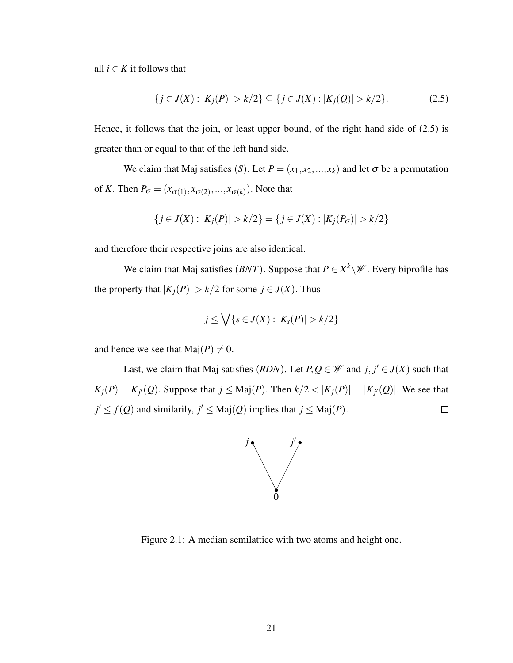all  $i \in K$  it follows that

$$
\{j \in J(X) : |K_j(P)| > k/2\} \subseteq \{j \in J(X) : |K_j(Q)| > k/2\}.
$$
 (2.5)

Hence, it follows that the join, or least upper bound, of the right hand side of (2.5) is greater than or equal to that of the left hand side.

We claim that Maj satisfies (*S*). Let  $P = (x_1, x_2, ..., x_k)$  and let  $\sigma$  be a permutation of *K*. Then  $P_{\sigma} = (x_{\sigma(1)}, x_{\sigma(2)}, ..., x_{\sigma(k)})$ . Note that

$$
\{j \in J(X) : |K_j(P)| > k/2\} = \{j \in J(X) : |K_j(P_{\sigma})| > k/2\}
$$

and therefore their respective joins are also identical.

We claim that Maj satisfies  $(BNT)$ . Suppose that  $P \in X^k \backslash \mathcal{W}$ . Every biprofile has the property that  $|K_i(P)| > k/2$  for some  $j \in J(X)$ . Thus

$$
j\leq \bigvee\{s\in J(X):|K_s(P)|>k/2\}
$$

and hence we see that  $\text{Maj}(P) \neq 0$ .

Last, we claim that Maj satisfies (*RDN*). Let  $P, Q \in \mathcal{W}$  and  $j, j' \in J(X)$  such that  $K_j(P) = K_{j'}(Q)$ . Suppose that  $j \leq \text{Maj}(P)$ . Then  $k/2 < |K_j(P)| = |K_{j'}(Q)|$ . We see that  $j' \leq f(Q)$  and similarily,  $j' \leq \text{Maj}(Q)$  implies that  $j \leq \text{Maj}(P)$ .  $\Box$ 



Figure 2.1: A median semilattice with two atoms and height one.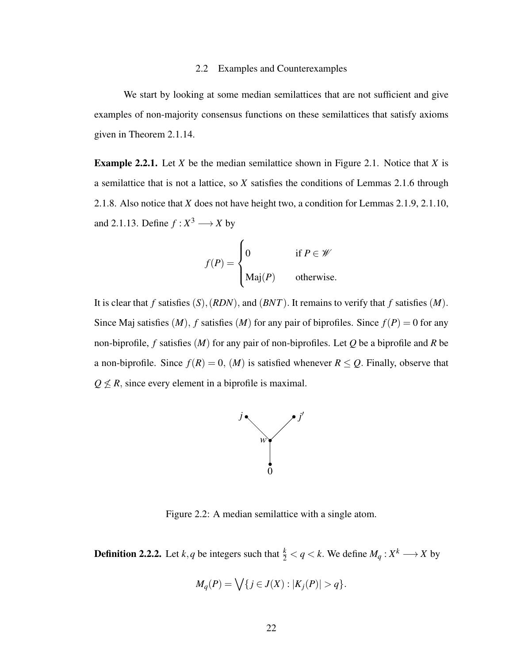#### 2.2 Examples and Counterexamples

We start by looking at some median semilattices that are not sufficient and give examples of non-majority consensus functions on these semilattices that satisfy axioms given in Theorem 2.1.14.

Example 2.2.1. Let *X* be the median semilattice shown in Figure 2.1. Notice that *X* is a semilattice that is not a lattice, so *X* satisfies the conditions of Lemmas 2.1.6 through 2.1.8. Also notice that *X* does not have height two, a condition for Lemmas 2.1.9, 2.1.10, and 2.1.13. Define  $f: X^3 \longrightarrow X$  by

$$
f(P) = \begin{cases} 0 & \text{if } P \in \mathcal{W} \\ \text{Maj}(P) & \text{otherwise.} \end{cases}
$$

It is clear that *f* satisfies (*S*),(*RDN*), and (*BNT*). It remains to verify that *f* satisfies (*M*). Since Maj satisfies  $(M)$ ,  $f$  satisfies  $(M)$  for any pair of biprofiles. Since  $f(P) = 0$  for any non-biprofile, *f* satisfies (*M*) for any pair of non-biprofiles. Let *Q* be a biprofile and *R* be a non-biprofile. Since  $f(R) = 0$ ,  $(M)$  is satisfied whenever  $R \le Q$ . Finally, observe that  $Q \not\leq R$ , since every element in a biprofile is maximal.



Figure 2.2: A median semilattice with a single atom.

**Definition 2.2.2.** Let *k*, *q* be integers such that  $\frac{k}{2} < q < k$ . We define  $M_q: X^k \longrightarrow X$  by

$$
M_q(P) = \bigvee \{ j \in J(X) : |K_j(P)| > q \}.
$$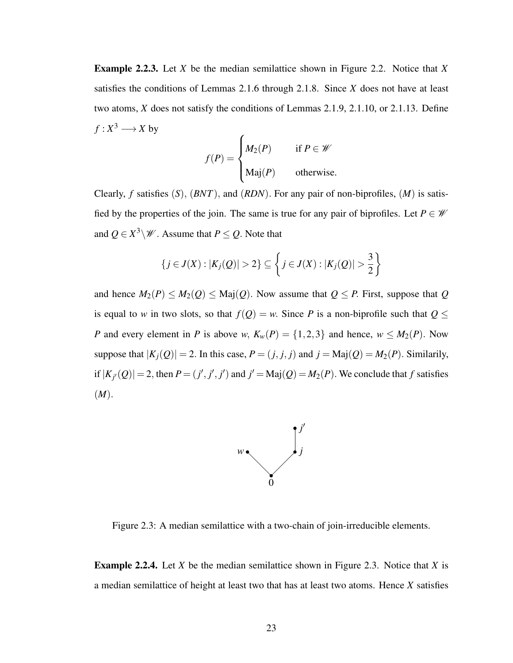Example 2.2.3. Let *X* be the median semilattice shown in Figure 2.2. Notice that *X* satisfies the conditions of Lemmas 2.1.6 through 2.1.8. Since *X* does not have at least two atoms, *X* does not satisfy the conditions of Lemmas 2.1.9, 2.1.10, or 2.1.13. Define  $f: X^3 \longrightarrow X$  by

$$
f(P) = \begin{cases} M_2(P) & \text{if } P \in \mathcal{W} \\ \text{Maj}(P) & \text{otherwise.} \end{cases}
$$

Clearly, *f* satisfies (*S*), (*BNT*), and (*RDN*). For any pair of non-biprofiles, (*M*) is satisfied by the properties of the join. The same is true for any pair of biprofiles. Let  $P \in \mathcal{W}$ and  $Q \in X^3 \backslash \mathscr{W}$ . Assume that  $P \leq Q$ . Note that

$$
\{j \in J(X) : |K_j(Q)| > 2\} \subseteq \left\{j \in J(X) : |K_j(Q)| > \frac{3}{2}\right\}
$$

and hence  $M_2(P) \leq M_2(Q) \leq \text{Maj}(Q)$ . Now assume that  $Q \leq P$ . First, suppose that  $Q$ is equal to *w* in two slots, so that  $f(Q) = w$ . Since *P* is a non-biprofile such that  $Q \le$ *P* and every element in *P* is above *w*,  $K_w(P) = \{1,2,3\}$  and hence,  $w \le M_2(P)$ . Now suppose that  $|K_j(Q)| = 2$ . In this case,  $P = (j, j, j)$  and  $j = \text{Maj}(Q) = M_2(P)$ . Similarily, if  $|K_{j'}(Q)| = 2$ , then  $P = (j', j', j')$  and  $j' = \text{Maj}(Q) = M_2(P)$ . We conclude that *f* satisfies (*M*).



Figure 2.3: A median semilattice with a two-chain of join-irreducible elements.

Example 2.2.4. Let *X* be the median semilattice shown in Figure 2.3. Notice that *X* is a median semilattice of height at least two that has at least two atoms. Hence *X* satisfies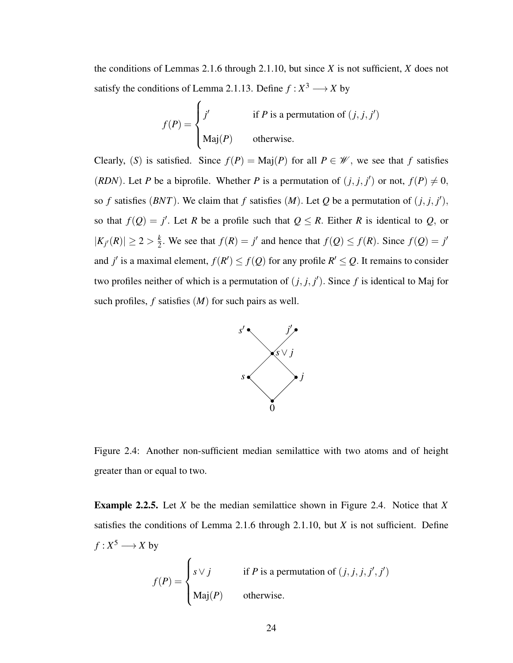the conditions of Lemmas 2.1.6 through 2.1.10, but since *X* is not sufficient, *X* does not satisfy the conditions of Lemma 2.1.13. Define  $f: X^3 \longrightarrow X$  by

$$
f(P) = \begin{cases} j' & \text{if } P \text{ is a permutation of } (j, j, j') \\ \text{Maj}(P) & \text{otherwise.} \end{cases}
$$

Clearly, (*S*) is satisfied. Since  $f(P) = \text{Maj}(P)$  for all  $P \in \mathcal{W}$ , we see that *f* satisfies (*RDN*). Let *P* be a biprofile. Whether *P* is a permutation of  $(j, j, j')$  or not,  $f(P) \neq 0$ , so *f* satisfies (*BNT*). We claim that *f* satisfies (*M*). Let *Q* be a permutation of  $(j, j, j')$ , so that  $f(Q) = j'$ . Let *R* be a profile such that  $Q \leq R$ . Either *R* is identical to *Q*, or  $|K_{j'}(R)| \geq 2 > \frac{k}{2}$  $\frac{k}{2}$ . We see that  $f(R) = j'$  and hence that  $f(Q) \le f(R)$ . Since  $f(Q) = j'$ and *j'* is a maximal element,  $f(R') \leq f(Q)$  for any profile  $R' \leq Q$ . It remains to consider two profiles neither of which is a permutation of  $(j, j, j')$ . Since f is identical to Maj for such profiles, *f* satisfies (*M*) for such pairs as well.



Figure 2.4: Another non-sufficient median semilattice with two atoms and of height greater than or equal to two.

Example 2.2.5. Let *X* be the median semilattice shown in Figure 2.4. Notice that *X* satisfies the conditions of Lemma 2.1.6 through 2.1.10, but *X* is not sufficient. Define  $f: X^5 \longrightarrow X$  by

$$
f(P) = \begin{cases} s \vee j & \text{if } P \text{ is a permutation of } (j, j, j, j', j') \\ \text{Maj}(P) & \text{otherwise.} \end{cases}
$$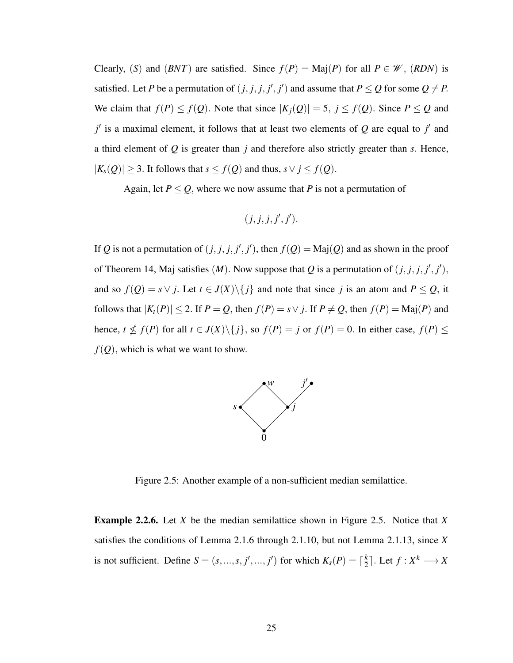Clearly, (*S*) and (*BNT*) are satisfied. Since  $f(P) = \text{Maj}(P)$  for all  $P \in \mathcal{W}$ , (*RDN*) is satisfied. Let *P* be a permutation of  $(j, j, j, j', j')$  and assume that  $P \le Q$  for some  $Q \ne P$ . We claim that  $f(P) \le f(Q)$ . Note that since  $|K_j(Q)| = 5$ ,  $j \le f(Q)$ . Since  $P \le Q$  and  $j'$  is a maximal element, it follows that at least two elements of  $Q$  are equal to  $j'$  and a third element of *Q* is greater than *j* and therefore also strictly greater than *s*. Hence, |*Ks*(*Q*)| ≥ 3. It follows that *s* ≤ *f*(*Q*) and thus, *s*∨ *j* ≤ *f*(*Q*).

Again, let  $P \leq Q$ , where we now assume that *P* is not a permutation of

$$
(j, j, j, j', j').
$$

If *Q* is not a permutation of  $(j, j, j, j', j')$ , then  $f(Q) = \text{Maj}(Q)$  and as shown in the proof of Theorem 14, Maj satisfies  $(M)$ . Now suppose that Q is a permutation of  $(j, j, j, j', j')$ , and so  $f(Q) = s \vee j$ . Let  $t \in J(X) \setminus \{j\}$  and note that since *j* is an atom and  $P \le Q$ , it follows that  $|K_t(P)| \le 2$ . If  $P = Q$ , then  $f(P) = s \vee j$ . If  $P \ne Q$ , then  $f(P) = \text{Maj}(P)$  and hence,  $t \nleq f(P)$  for all  $t \in J(X) \setminus \{j\}$ , so  $f(P) = j$  or  $f(P) = 0$ . In either case,  $f(P) \leq j$  $f(Q)$ , which is what we want to show.



Figure 2.5: Another example of a non-sufficient median semilattice.

Example 2.2.6. Let *X* be the median semilattice shown in Figure 2.5. Notice that *X* satisfies the conditions of Lemma 2.1.6 through 2.1.10, but not Lemma 2.1.13, since *X* is not sufficient. Define  $S = (s, ..., s, j', ..., j')$  for which  $K_s(P) = \lceil \frac{k}{2} \rceil$  $\frac{k}{2}$ . Let  $f: X^k \longrightarrow X$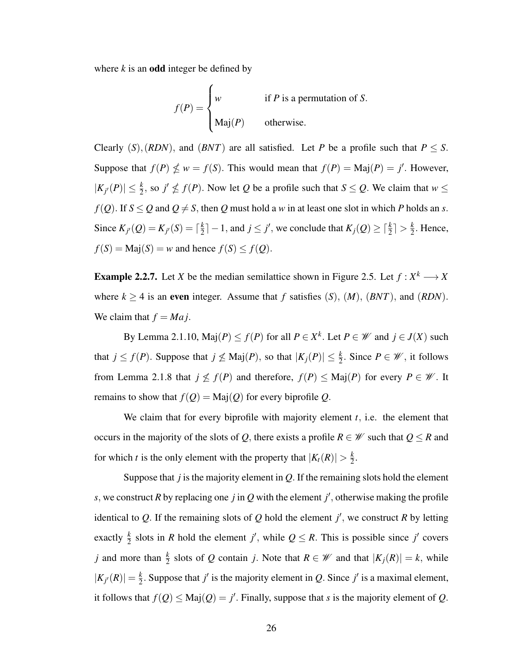where  $k$  is an **odd** integer be defined by

$$
f(P) = \begin{cases} w & \text{if } P \text{ is a permutation of } S. \\ \text{Maj}(P) & \text{otherwise.} \end{cases}
$$

Clearly  $(S)$ ,  $(RDN)$ , and  $(BNT)$  are all satisfied. Let *P* be a profile such that  $P \leq S$ . Suppose that  $f(P) \nleq w = f(S)$ . This would mean that  $f(P) = \text{Maj}(P) = j'$ . However,  $|K_{j'}(P)| \leq \frac{k}{2}$ , so  $j' \nleq f(P)$ . Now let *Q* be a profile such that  $S \leq Q$ . We claim that  $w \leq$  $f(Q)$ . If  $S \le Q$  and  $Q \ne S$ , then  $Q$  must hold a *w* in at least one slot in which *P* holds an *s*. Since  $K_{j'}(Q) = K_{j'}(S) = \lceil \frac{k}{2} \rceil$  $\left[\frac{k}{2}\right] - 1$ , and  $j \leq j'$ , we conclude that  $K_j(Q) \geq \lceil \frac{k}{2} \rceil > \frac{k}{2}$  $\frac{k}{2}$ . Hence,  $f(S) = \text{Maj}(S) = w$  and hence  $f(S) \le f(Q)$ .

**Example 2.2.7.** Let *X* be the median semilattice shown in Figure 2.5. Let  $f: X^k \longrightarrow X$ where  $k \ge 4$  is an even integer. Assume that f satisfies  $(S)$ ,  $(M)$ ,  $(BNT)$ , and  $(RDN)$ . We claim that  $f = Maj$ .

By Lemma 2.1.10,  $\text{Maj}(P) \le f(P)$  for all  $P \in X^k$ . Let  $P \in \mathcal{W}$  and  $j \in J(X)$  such that  $j \le f(P)$ . Suppose that  $j \nleq \text{Maj}(P)$ , so that  $|K_j(P)| \leq \frac{k}{2}$ . Since  $P \in \mathcal{W}$ , it follows from Lemma 2.1.8 that  $j \nleq f(P)$  and therefore,  $f(P) \leq \text{Maj}(P)$  for every  $P \in \mathcal{W}$ . It remains to show that  $f(Q) = \text{Maj}(Q)$  for every biprofile *Q*.

We claim that for every biprofile with majority element *t*, i.e. the element that occurs in the majority of the slots of *Q*, there exists a profile  $R \in \mathcal{W}$  such that  $Q \leq R$  and for which *t* is the only element with the property that  $|K_t(R)| > \frac{k}{2}$  $\frac{k}{2}$ .

Suppose that *j* is the majority element in *Q*. If the remaining slots hold the element *s*, we construct *R* by replacing one *j* in *Q* with the element *j*<sup>'</sup>, otherwise making the profile identical to Q. If the remaining slots of Q hold the element  $j'$ , we construct R by letting exactly  $\frac{k}{2}$  slots in *R* hold the element *j'*, while  $Q \leq R$ . This is possible since *j'* covers *j* and more than  $\frac{k}{2}$  slots of *Q* contain *j*. Note that  $R \in \mathcal{W}$  and that  $|K_j(R)| = k$ , while  $|K_{j'}(R)| = \frac{k}{2}$  $\frac{k}{2}$ . Suppose that *j'* is the majority element in *Q*. Since *j'* is a maximal element, it follows that  $f(Q) \leq \text{Maj}(Q) = j'$ . Finally, suppose that *s* is the majority element of *Q*.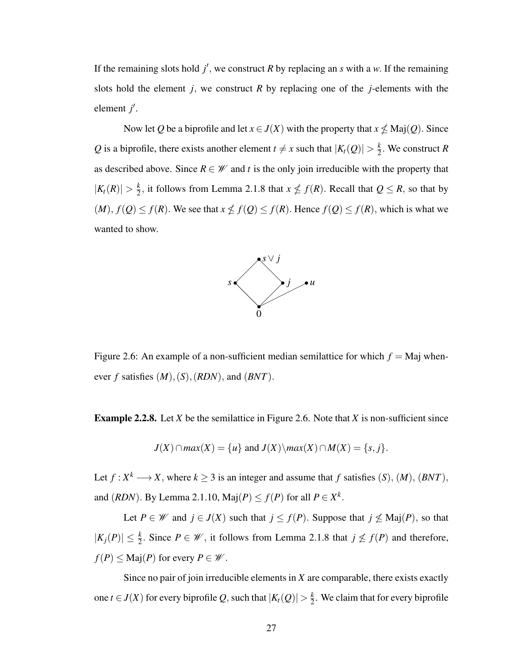If the remaining slots hold  $j'$ , we construct  $R$  by replacing an  $s$  with a  $w$ . If the remaining slots hold the element  $j$ , we construct  $R$  by replacing one of the  $j$ -elements with the element *j'*.

Now let *Q* be a biprofile and let  $x \in J(X)$  with the property that  $x \nleq Maj(Q)$ . Since Q is a biprofile, there exists another element  $t \neq x$  such that  $|K_t(Q)| > \frac{k}{2}$  $\frac{k}{2}$ . We construct *R* as described above. Since  $R \in \mathcal{W}$  and *t* is the only join irreducible with the property that  $|K_t(R)| > \frac{k}{2}$  $\frac{k}{2}$ , it follows from Lemma 2.1.8 that  $x \nleq f(R)$ . Recall that  $Q \leq R$ , so that by  $(M)$ ,  $f(Q) \le f(R)$ . We see that  $x \nle f(Q) \le f(R)$ . Hence  $f(Q) \le f(R)$ , which is what we wanted to show.



Figure 2.6: An example of a non-sufficient median semilattice for which  $f =$  Maj whenever *f* satisfies  $(M)$ ,  $(S)$ ,  $(RDN)$ , and  $(BNT)$ .

Example 2.2.8. Let *X* be the semilattice in Figure 2.6. Note that *X* is non-sufficient since

$$
J(X) \cap max(X) = \{u\} \text{ and } J(X) \setminus max(X) \cap M(X) = \{s, j\}.
$$

Let  $f: X^k \longrightarrow X$ , where  $k \geq 3$  is an integer and assume that f satisfies  $(S)$ ,  $(M)$ ,  $(BNT)$ , and  $(RDN)$ . By Lemma 2.1.10,  $\text{Maj}(P) \le f(P)$  for all  $P \in X^k$ .

Let  $P \in \mathcal{W}$  and  $j \in J(X)$  such that  $j \leq f(P)$ . Suppose that  $j \not\leq \text{Maj}(P)$ , so that  $|K_j(P)| \leq \frac{k}{2}$ . Since  $P \in \mathcal{W}$ , it follows from Lemma 2.1.8 that  $j \nleq f(P)$  and therefore,  $f(P) \leq \text{Maj}(P)$  for every  $P \in \mathcal{W}$ .

Since no pair of join irreducible elements in *X* are comparable, there exists exactly one *t*  $\in$  *J*(*X*) for every biprofile *Q*, such that  $|K_t(Q)| > \frac{k}{2}$  $\frac{k}{2}$ . We claim that for every biprofile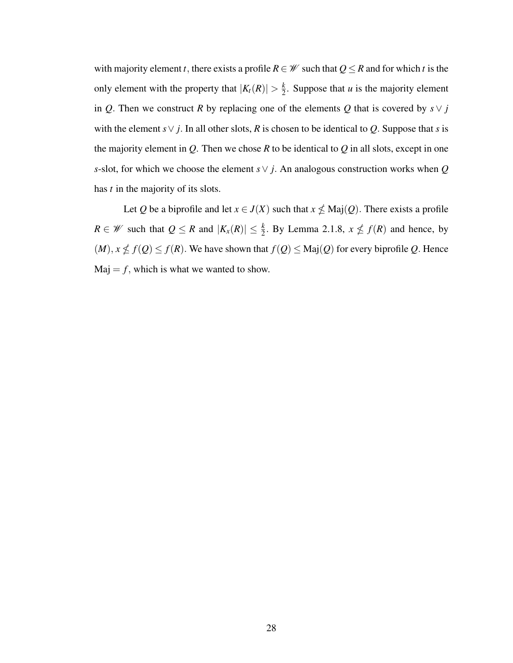with majority element *t*, there exists a profile  $R \in \mathcal{W}$  such that  $Q \leq R$  and for which *t* is the only element with the property that  $|K_t(R)| > \frac{k}{2}$  $\frac{k}{2}$ . Suppose that *u* is the majority element in *Q*. Then we construct *R* by replacing one of the elements *Q* that is covered by  $s \vee j$ with the element *s*∨ *j*. In all other slots, *R* is chosen to be identical to *Q*. Suppose that *s* is the majority element in  $Q$ . Then we chose  $R$  to be identical to  $Q$  in all slots, except in one *s*-slot, for which we choose the element *s*∨ *j*. An analogous construction works when *Q* has *t* in the majority of its slots.

Let *Q* be a biprofile and let  $x \in J(X)$  such that  $x \nleq Maj(Q)$ . There exists a profile *R* ∈ *W* such that  $Q \text{ ≤ } R$  and  $|K_x(R)| \text{ ≤ } \frac{k}{2}$ . By Lemma 2.1.8,  $x \text{ ∉ } f(R)$  and hence, by  $(M)$ ,  $x \nleq f(Q) \leq f(R)$ . We have shown that  $f(Q) \leq \text{Maj}(Q)$  for every biprofile *Q*. Hence  $Maj = f$ , which is what we wanted to show.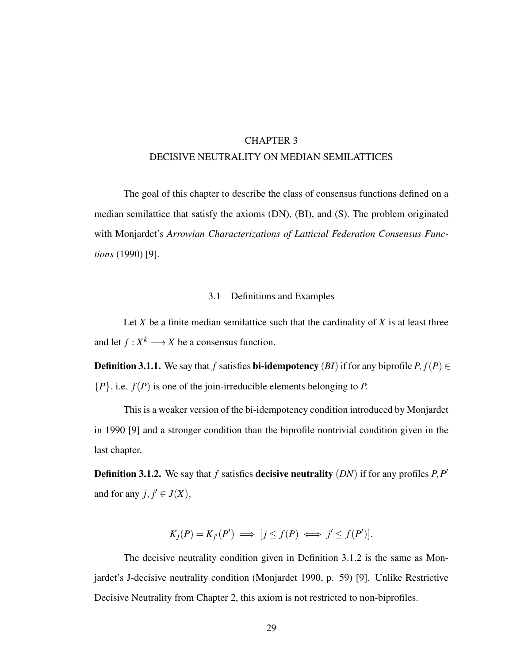## CHAPTER 3 DECISIVE NEUTRALITY ON MEDIAN SEMILATTICES

The goal of this chapter to describe the class of consensus functions defined on a median semilattice that satisfy the axioms (DN), (BI), and (S). The problem originated with Monjardet's *Arrowian Characterizations of Latticial Federation Consensus Functions* (1990) [9].

### 3.1 Definitions and Examples

Let  $X$  be a finite median semilattice such that the cardinality of  $X$  is at least three and let  $f: X^k \longrightarrow X$  be a consensus function.

**Definition 3.1.1.** We say that *f* satisfies **bi-idempotency** (*BI*) if for any biprofile  $P, f(P) \in$ {*P*}, i.e. *f*(*P*) is one of the join-irreducible elements belonging to *P*.

This is a weaker version of the bi-idempotency condition introduced by Monjardet in 1990 [9] and a stronger condition than the biprofile nontrivial condition given in the last chapter.

Definition 3.1.2. We say that *f* satisfies decisive neutrality (*DN*) if for any profiles *P*,*P* ′ and for any  $j, j' \in J(X)$ ,

$$
K_j(P) = K_{j'}(P') \implies [j \le f(P) \iff j' \le f(P')].
$$

The decisive neutrality condition given in Definition 3.1.2 is the same as Monjardet's J-decisive neutrality condition (Monjardet 1990, p. 59) [9]. Unlike Restrictive Decisive Neutrality from Chapter 2, this axiom is not restricted to non-biprofiles.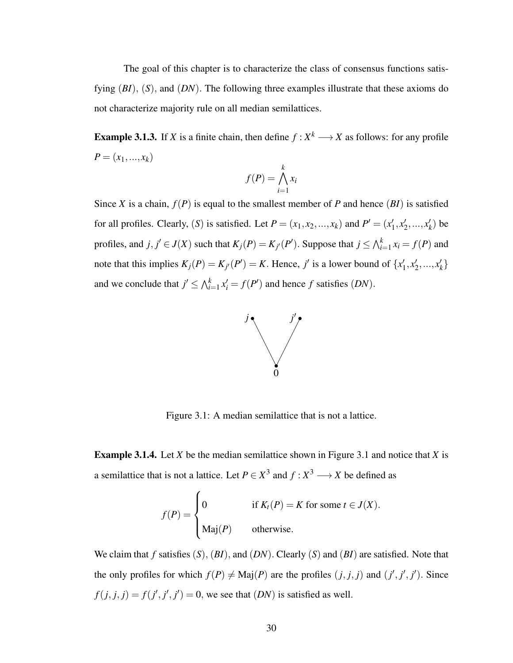The goal of this chapter is to characterize the class of consensus functions satisfying (*BI*), (*S*), and (*DN*). The following three examples illustrate that these axioms do not characterize majority rule on all median semilattices.

**Example 3.1.3.** If *X* is a finite chain, then define  $f: X^k \longrightarrow X$  as follows: for any profile  $P = (x_1, ..., x_k)$ 

$$
f(P) = \bigwedge_{i=1}^{k} x_i
$$

Since *X* is a chain,  $f(P)$  is equal to the smallest member of *P* and hence  $(BI)$  is satisfied for all profiles. Clearly, (*S*) is satisfied. Let  $P = (x_1, x_2, ..., x_k)$  and  $P' = (x_1')$  $'_{1}, x'_{2}$  $x'_2, ..., x'_k$  $'_{k}$ ) be profiles, and  $j, j' \in J(X)$  such that  $K_j(P) = K_{j'}(P')$ . Suppose that  $j \le \bigwedge_{i=1}^k x_i = f(P)$  and note that this implies  $K_j(P) = K_{j'}(P') = K$ . Hence, *j'* is a lower bound of  $\{x'_j\}$  $'_{1}, x'_{2}$  $x'_2, ..., x'_k$ *k* } and we conclude that  $j' \leq \bigwedge_{i=1}^k x'_i = f(P')$  and hence *f* satisfies  $(DN)$ .



Figure 3.1: A median semilattice that is not a lattice.

Example 3.1.4. Let *X* be the median semilattice shown in Figure 3.1 and notice that *X* is a semilattice that is not a lattice. Let  $P \in X^3$  and  $f: X^3 \longrightarrow X$  be defined as

$$
f(P) = \begin{cases} 0 & \text{if } K_t(P) = K \text{ for some } t \in J(X). \\ \text{Maj}(P) & \text{otherwise.} \end{cases}
$$

We claim that *f* satisfies (*S*), (*BI*), and (*DN*). Clearly (*S*) and (*BI*) are satisfied. Note that the only profiles for which  $f(P) \neq \text{Maj}(P)$  are the profiles  $(j, j, j)$  and  $(j', j', j')$ . Since  $f(j, j, j) = f(j', j', j') = 0$ , we see that  $(DN)$  is satisfied as well.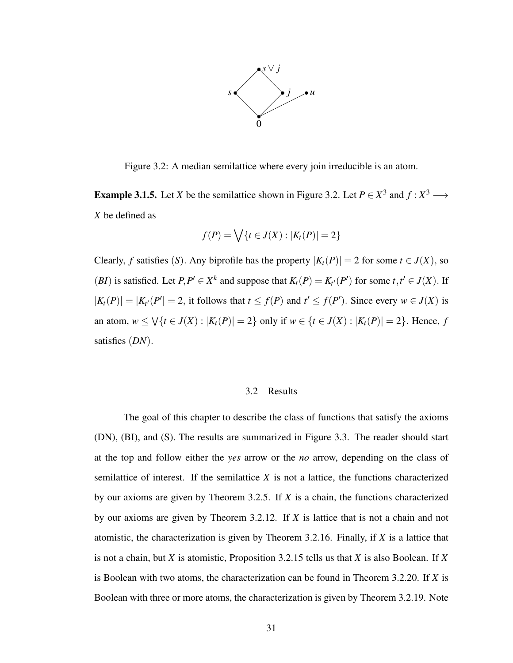

Figure 3.2: A median semilattice where every join irreducible is an atom.

**Example 3.1.5.** Let *X* be the semilattice shown in Figure 3.2. Let  $P \in X^3$  and  $f: X^3 \longrightarrow$ *X* be defined as

$$
f(P) = \bigvee \{t \in J(X) : |K_t(P)| = 2\}
$$

Clearly, *f* satisfies (*S*). Any biprofile has the property  $|K_t(P)| = 2$  for some  $t \in J(X)$ , so (*BI*) is satisfied. Let  $P, P' \in X^k$  and suppose that  $K_t(P) = K_{t'}(P')$  for some  $t, t' \in J(X)$ . If  $|K_t(P)| = |K_{t'}(P')| = 2$ , it follows that  $t \le f(P)$  and  $t' \le f(P')$ . Since every  $w \in J(X)$  is an atom,  $w \le \sqrt{\{t \in J(X) : |K_t(P)| = 2\}}$  only if  $w \in \{t \in J(X) : |K_t(P)| = 2\}$ . Hence, *f* satisfies (*DN*).

#### 3.2 Results

The goal of this chapter to describe the class of functions that satisfy the axioms (DN), (BI), and (S). The results are summarized in Figure 3.3. The reader should start at the top and follow either the *yes* arrow or the *no* arrow, depending on the class of semilattice of interest. If the semilattice *X* is not a lattice, the functions characterized by our axioms are given by Theorem 3.2.5. If *X* is a chain, the functions characterized by our axioms are given by Theorem 3.2.12. If *X* is lattice that is not a chain and not atomistic, the characterization is given by Theorem 3.2.16. Finally, if *X* is a lattice that is not a chain, but *X* is atomistic, Proposition 3.2.15 tells us that *X* is also Boolean. If *X* is Boolean with two atoms, the characterization can be found in Theorem 3.2.20. If *X* is Boolean with three or more atoms, the characterization is given by Theorem 3.2.19. Note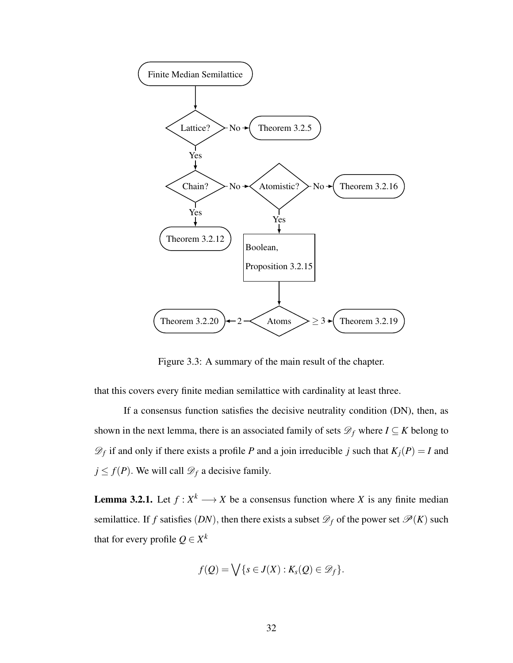

Figure 3.3: A summary of the main result of the chapter.

that this covers every finite median semilattice with cardinality at least three.

If a consensus function satisfies the decisive neutrality condition (DN), then, as shown in the next lemma, there is an associated family of sets  $\mathcal{D}_f$  where  $I \subseteq K$  belong to  $\mathscr{D}_f$  if and only if there exists a profile *P* and a join irreducible *j* such that  $K_j(P) = I$  and  $j \leq f(P)$ . We will call  $\mathcal{D}_f$  a decisive family.

**Lemma 3.2.1.** Let  $f: X^k \longrightarrow X$  be a consensus function where X is any finite median semilattice. If *f* satisfies  $(DN)$ , then there exists a subset  $\mathcal{D}_f$  of the power set  $\mathcal{P}(K)$  such that for every profile  $Q \in X^k$ 

$$
f(Q) = \bigvee \{s \in J(X) : K_s(Q) \in \mathscr{D}_f\}.
$$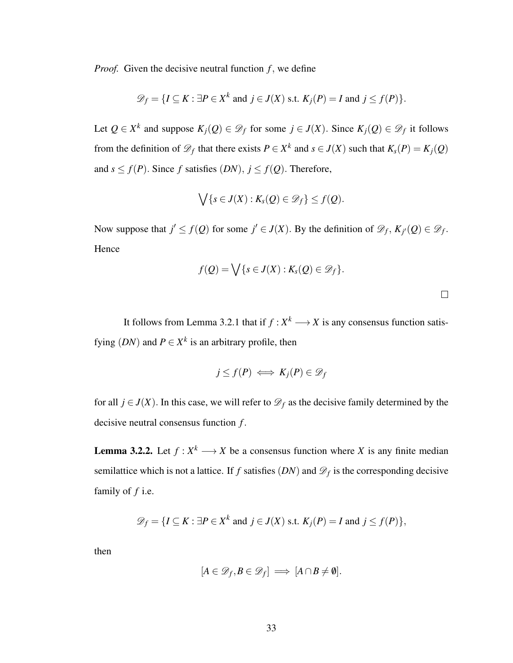*Proof.* Given the decisive neutral function *f*, we define

$$
\mathscr{D}_f = \{I \subseteq K : \exists P \in X^k \text{ and } j \in J(X) \text{ s.t. } K_j(P) = I \text{ and } j \le f(P)\}.
$$

Let  $Q \in X^k$  and suppose  $K_j(Q) \in \mathcal{D}_f$  for some  $j \in J(X)$ . Since  $K_j(Q) \in \mathcal{D}_f$  it follows from the definition of  $\mathcal{D}_f$  that there exists  $P \in X^k$  and  $s \in J(X)$  such that  $K_s(P) = K_j(Q)$ and  $s \leq f(P)$ . Since *f* satisfies  $(DN)$ ,  $j \leq f(Q)$ . Therefore,

$$
\bigvee \{s \in J(X): K_s(Q) \in \mathscr{D}_f\} \leq f(Q).
$$

Now suppose that  $j' \le f(Q)$  for some  $j' \in J(X)$ . By the definition of  $\mathcal{D}_f$ ,  $K_{j'}(Q) \in \mathcal{D}_f$ . Hence

$$
f(Q) = \bigvee \{s \in J(X) : K_s(Q) \in \mathscr{D}_f\}.
$$

 $\Box$ 

It follows from Lemma 3.2.1 that if  $f: X^k \longrightarrow X$  is any consensus function satisfying  $(DN)$  and  $P \in X^k$  is an arbitrary profile, then

$$
j \le f(P) \iff K_j(P) \in \mathscr{D}_f
$$

for all  $j \in J(X)$ . In this case, we will refer to  $\mathcal{D}_f$  as the decisive family determined by the decisive neutral consensus function *f*.

**Lemma 3.2.2.** Let  $f: X^k \longrightarrow X$  be a consensus function where X is any finite median semilattice which is not a lattice. If  $f$  satisfies  $(DN)$  and  $\mathscr{D}_f$  is the corresponding decisive family of *f* i.e.

$$
\mathscr{D}_f = \{ I \subseteq K : \exists P \in X^k \text{ and } j \in J(X) \text{ s.t. } K_j(P) = I \text{ and } j \le f(P) \},
$$

then

$$
[A\in\mathscr{D}_f,B\in\mathscr{D}_f]\implies[A\cap B\neq\emptyset].
$$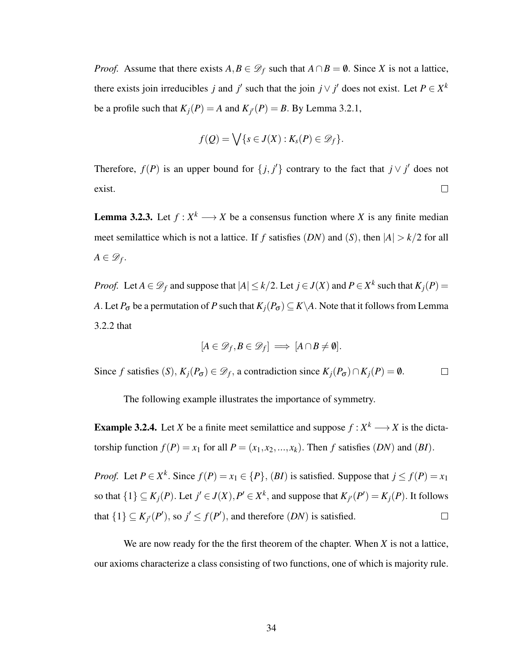*Proof.* Assume that there exists  $A, B \in \mathcal{D}_f$  such that  $A \cap B = \emptyset$ . Since *X* is not a lattice, there exists join irreducibles *j* and *j*' such that the join  $j \vee j'$  does not exist. Let  $P \in X^k$ be a profile such that  $K_j(P) = A$  and  $K_{j'}(P) = B$ . By Lemma 3.2.1,

$$
f(Q) = \bigvee \{s \in J(X) : K_s(P) \in \mathscr{D}_f\}.
$$

Therefore,  $f(P)$  is an upper bound for  $\{j, j'\}$  contrary to the fact that  $j \vee j'$  does not exist.  $\Box$ 

**Lemma 3.2.3.** Let  $f: X^k \longrightarrow X$  be a consensus function where X is any finite median meet semilattice which is not a lattice. If *f* satisfies  $(DN)$  and  $(S)$ , then  $|A| > k/2$  for all  $A \in \mathscr{D}_f$ .

*Proof.* Let  $A \in \mathcal{D}_f$  and suppose that  $|A| \le k/2$ . Let  $j \in J(X)$  and  $P \in X^k$  such that  $K_j(P) =$ *A*. Let  $P_{\sigma}$  be a permutation of *P* such that  $K_j(P_{\sigma}) \subseteq K \backslash A$ . Note that it follows from Lemma 3.2.2 that

$$
[A \in \mathscr{D}_f, B \in \mathscr{D}_f] \implies [A \cap B \neq \emptyset].
$$

Since *f* satisfies  $(S)$ ,  $K_j(P_{\sigma}) \in \mathcal{D}_f$ , a contradiction since  $K_j(P_{\sigma}) \cap K_j(P) = \emptyset$ .  $\Box$ 

The following example illustrates the importance of symmetry.

**Example 3.2.4.** Let *X* be a finite meet semilattice and suppose  $f: X^k \longrightarrow X$  is the dictatorship function  $f(P) = x_1$  for all  $P = (x_1, x_2, ..., x_k)$ . Then *f* satisfies  $(DN)$  and  $(BI)$ .

*Proof.* Let  $P \in X^k$ . Since  $f(P) = x_1 \in \{P\}$ ,  $(BI)$  is satisfied. Suppose that  $j \le f(P) = x_1$ so that  $\{1\} \subseteq K_j(P)$ . Let  $j' \in J(X)$ ,  $P' \in X^k$ , and suppose that  $K_{j'}(P') = K_j(P)$ . It follows that  $\{1\} \subseteq K_{j'}(P')$ , so  $j' \le f(P')$ , and therefore  $(DN)$  is satisfied.  $\Box$ 

We are now ready for the the first theorem of the chapter. When *X* is not a lattice, our axioms characterize a class consisting of two functions, one of which is majority rule.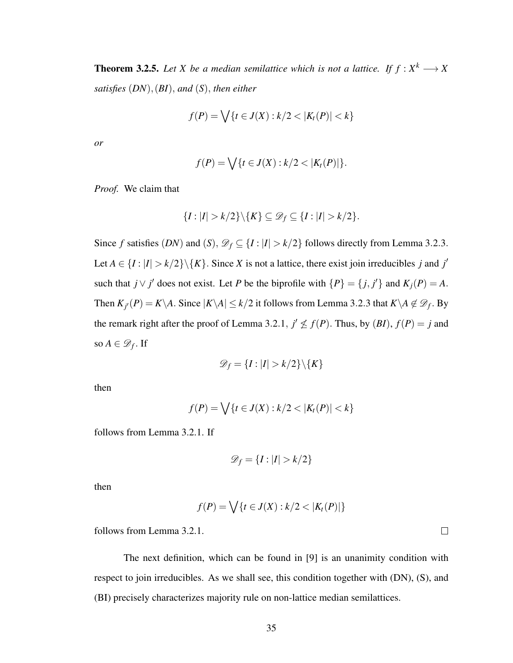**Theorem 3.2.5.** Let X be a median semilattice which is not a lattice. If  $f: X^k \longrightarrow X$ *satisfies* (*DN*),(*BI*), *and* (*S*), *then either*

$$
f(P) = \bigvee \{ t \in J(X) : k/2 < |K_t(P)| < k \}
$$

*or*

$$
f(P) = \bigvee \{t \in J(X) : k/2 < |K_t(P)|\}.
$$

*Proof.* We claim that

$$
\{I: |I| > k/2\} \backslash \{K\} \subseteq \mathscr{D}_f \subseteq \{I: |I| > k/2\}.
$$

Since *f* satisfies  $(DN)$  and  $(S)$ ,  $\mathcal{D}_f \subseteq \{I : |I| > k/2\}$  follows directly from Lemma 3.2.3. Let  $A \in \{I : |I| > k/2\} \setminus \{K\}$ . Since X is not a lattice, there exist join irreducibles *j* and *j'* such that  $j \vee j'$  does not exist. Let *P* be the biprofile with  $\{P\} = \{j, j'\}$  and  $K_j(P) = A$ . Then  $K_{j'}(P) = K \setminus A$ . Since  $|K \setminus A| \le k/2$  it follows from Lemma 3.2.3 that  $K \setminus A \notin \mathscr{D}_f$ . By the remark right after the proof of Lemma 3.2.1,  $j' \nleq f(P)$ . Thus, by  $(BI)$ ,  $f(P) = j$  and so  $A \in \mathscr{D}_f$ . If

$$
\mathscr{D}_f = \{I : |I| > k/2\} \backslash \{K\}
$$

then

$$
f(P) = \bigvee \{ t \in J(X) : k/2 < |K_t(P)| < k \}
$$

follows from Lemma 3.2.1. If

$$
\mathcal{D}_f = \{I : |I| > k/2\}
$$

then

$$
f(P) = \bigvee \{t \in J(X) : k/2 < |K_t(P)|\}
$$

follows from Lemma 3.2.1.

The next definition, which can be found in [9] is an unanimity condition with respect to join irreducibles. As we shall see, this condition together with (DN), (S), and (BI) precisely characterizes majority rule on non-lattice median semilattices.

 $\Box$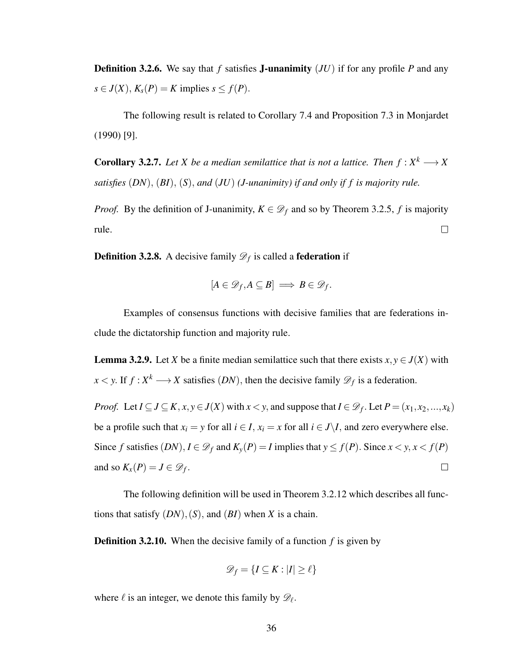Definition 3.2.6. We say that *f* satisfies J-unanimity (*JU*) if for any profile *P* and any  $s \in J(X)$ ,  $K_s(P) = K$  implies  $s \le f(P)$ .

The following result is related to Corollary 7.4 and Proposition 7.3 in Monjardet (1990) [9].

**Corollary 3.2.7.** Let X be a median semilattice that is not a lattice. Then  $f: X^k \longrightarrow X$ *satisfies* (*DN*), (*BI*), (*S*), *and* (*JU*) *(J-unanimity) if and only if f is majority rule.*

*Proof.* By the definition of J-unanimity,  $K \in \mathcal{D}_f$  and so by Theorem 3.2.5, *f* is majority rule.  $\Box$ 

**Definition 3.2.8.** A decisive family  $\mathscr{D}_f$  is called a **federation** if

$$
[A\in \mathscr{D}_f, A\subseteq B]\implies B\in \mathscr{D}_f.
$$

Examples of consensus functions with decisive families that are federations include the dictatorship function and majority rule.

**Lemma 3.2.9.** Let *X* be a finite median semilattice such that there exists  $x, y \in J(X)$  with  $x < y$ . If  $f: X^k \longrightarrow X$  satisfies  $(DN)$ , then the decisive family  $\mathscr{D}_f$  is a federation.

*Proof.* Let  $I \subseteq J \subseteq K$ ,  $x, y \in J(X)$  with  $x < y$ , and suppose that  $I \in \mathcal{D}_f$ . Let  $P = (x_1, x_2, ..., x_k)$ be a profile such that  $x_i = y$  for all  $i \in I$ ,  $x_i = x$  for all  $i \in J \setminus I$ , and zero everywhere else. Since *f* satisfies  $(DN)$ ,  $I \in \mathcal{D}_f$  and  $K_y(P) = I$  implies that  $y \le f(P)$ . Since  $x < y$ ,  $x < f(P)$ and so  $K_x(P) = J \in \mathcal{D}_f$ .  $\Box$ 

The following definition will be used in Theorem 3.2.12 which describes all functions that satisfy  $(DN)$ ,  $(S)$ , and  $(BI)$  when *X* is a chain.

Definition 3.2.10. When the decisive family of a function *f* is given by

$$
\mathscr{D}_f = \{I \subseteq K : |I| \ge \ell\}
$$

where  $\ell$  is an integer, we denote this family by  $\mathscr{D}_{\ell}$ .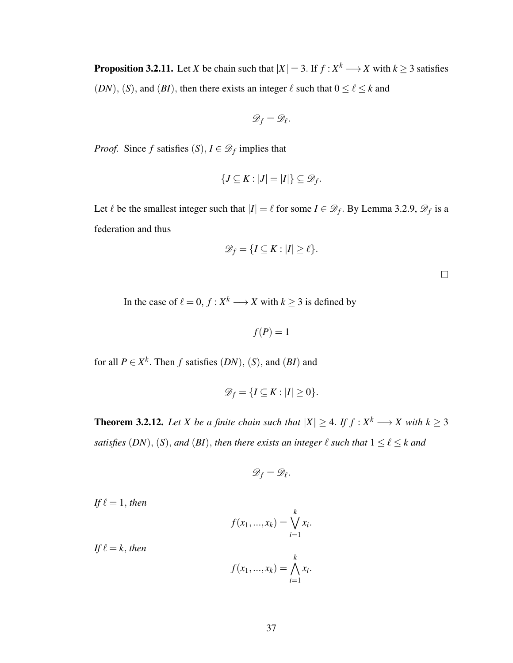**Proposition 3.2.11.** Let *X* be chain such that  $|X| = 3$ . If  $f: X^k \longrightarrow X$  with  $k \ge 3$  satisfies (*DN*), (*S*), and (*BI*), then there exists an integer  $\ell$  such that  $0 \le \ell \le k$  and

$$
\mathscr{D}_f=\mathscr{D}_\ell.
$$

*Proof.* Since *f* satisfies  $(S)$ ,  $I \in \mathcal{D}_f$  implies that

$$
\{J\subseteq K:|J|=|I|\}\subseteq \mathscr{D}_f.
$$

Let  $\ell$  be the smallest integer such that  $|I| = \ell$  for some  $I \in \mathcal{D}_f$ . By Lemma 3.2.9,  $\mathcal{D}_f$  is a federation and thus

$$
\mathscr{D}_f = \{I \subseteq K : |I| \ge \ell\}.
$$

 $\Box$ 

In the case of  $\ell = 0, f : X^k \longrightarrow X$  with  $k \geq 3$  is defined by

$$
f(P)=1
$$

for all  $P \in X^k$ . Then *f* satisfies  $(DN)$ ,  $(S)$ , and  $(BI)$  and

$$
\mathscr{D}_f = \{I \subseteq K : |I| \geq 0\}.
$$

**Theorem 3.2.12.** Let X be a finite chain such that  $|X| \geq 4$ . If  $f: X^k \longrightarrow X$  with  $k \geq 3$ *satisfies*  $(DN)$ ,  $(S)$ , *and*  $(BI)$ , *then there exists an integer*  $\ell$  *such that*  $1 \leq \ell \leq k$  *and* 

$$
\mathscr{D}_f=\mathscr{D}_\ell.
$$

*If*  $\ell = 1$ *, then* 

*If*  $\ell = k$ *, then* 

$$
f(x_1, ..., x_k) = \bigvee_{i=1}^k x_i.
$$

$$
f(x_1, ..., x_k) = \bigwedge_{i=1}^k x_i.
$$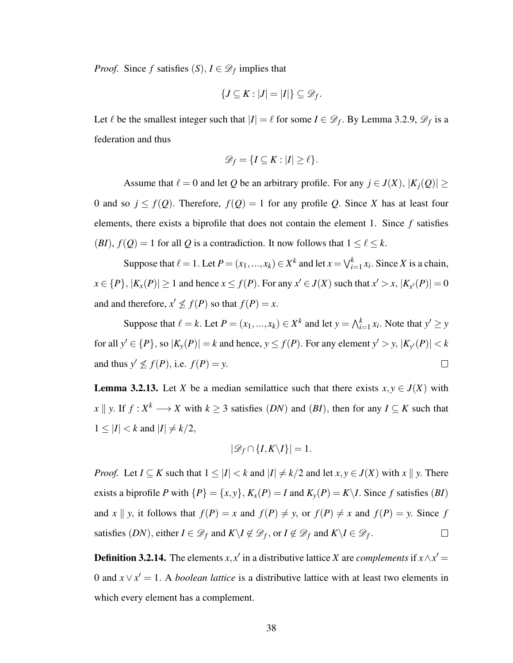*Proof.* Since *f* satisfies  $(S)$ ,  $I \in \mathcal{D}_f$  implies that

$$
\{J\subseteq K:|J|=|I|\}\subseteq \mathscr{D}_f.
$$

Let  $\ell$  be the smallest integer such that  $|I| = \ell$  for some  $I \in \mathcal{D}_f$ . By Lemma 3.2.9,  $\mathcal{D}_f$  is a federation and thus

$$
\mathscr{D}_f = \{I \subseteq K : |I| \ge \ell\}.
$$

Assume that  $\ell = 0$  and let *Q* be an arbitrary profile. For any  $j \in J(X)$ ,  $|K_i(Q)| \ge$ 0 and so  $j \leq f(Q)$ . Therefore,  $f(Q) = 1$  for any profile Q. Since X has at least four elements, there exists a biprofile that does not contain the element 1. Since *f* satisfies  $(BI)$ ,  $f(Q) = 1$  for all Q is a contradiction. It now follows that  $1 \leq \ell \leq k$ .

Suppose that  $\ell = 1$ . Let  $P = (x_1, ..., x_k) \in X^k$  and let  $x = \bigvee_{i=1}^k x_i$ . Since *X* is a chain,  $x \in \{P\}, |K_x(P)| \ge 1$  and hence  $x \le f(P)$ . For any  $x' \in J(X)$  such that  $x' > x, |K_{x'}(P)| = 0$ and and therefore,  $x' \nleq f(P)$  so that  $f(P) = x$ .

Suppose that  $\ell = k$ . Let  $P = (x_1, ..., x_k) \in X^k$  and let  $y = \bigwedge_{i=1}^k x_i$ . Note that  $y' \ge y$ for all  $y' \in \{P\}$ , so  $|K_y(P)| = k$  and hence,  $y \le f(P)$ . For any element  $y' > y$ ,  $|K_{y'}(P)| < k$ and thus  $y' \nleq f(P)$ , i.e.  $f(P) = y$ .  $\Box$ 

**Lemma 3.2.13.** Let *X* be a median semilattice such that there exists  $x, y \in J(X)$  with *x*  $\parallel$  *y*. If *f* : *X*<sup>*k*</sup> → *X* with *k* ≥ 3 satisfies (*DN*) and (*BI*), then for any *I* ⊆ *K* such that  $1 \leq |I| < k$  and  $|I| \neq k/2$ ,

$$
|\mathscr{D}_f \cap \{I, K \setminus I\}| = 1.
$$

*Proof.* Let  $I \subseteq K$  such that  $1 \leq |I| < k$  and  $|I| \neq k/2$  and let  $x, y \in J(X)$  with  $x \parallel y$ . There exists a biprofile *P* with  $\{P\} = \{x, y\}$ ,  $K_x(P) = I$  and  $K_y(P) = K \setminus I$ . Since *f* satisfies (*BI*) and *x*  $\parallel$  *y*, it follows that  $f(P) = x$  and  $f(P) \neq y$ , or  $f(P) \neq x$  and  $f(P) = y$ . Since *f* satisfies  $(DN)$ , either  $I \in \mathcal{D}_f$  and  $K \setminus I \notin \mathcal{D}_f$ , or  $I \notin \mathcal{D}_f$  and  $K \setminus I \in \mathcal{D}_f$ .  $\Box$ 

**Definition 3.2.14.** The elements *x*, *x*<sup> $\prime$ </sup> in a distributive lattice *X* are *complements* if *x*  $\land$  *x*<sup> $\prime$ </sup> = 0 and  $x \vee x' = 1$ . A *boolean lattice* is a distributive lattice with at least two elements in which every element has a complement.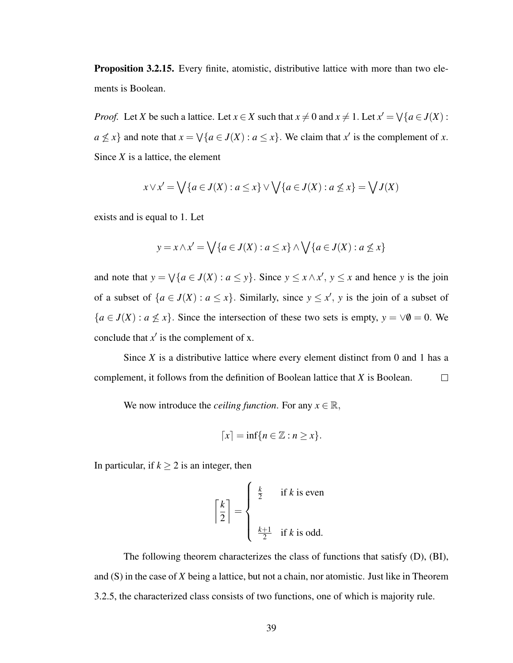Proposition 3.2.15. Every finite, atomistic, distributive lattice with more than two elements is Boolean.

*Proof.* Let *X* be such a lattice. Let  $x \in X$  such that  $x \neq 0$  and  $x \neq 1$ . Let  $x' = \bigvee \{a \in J(X) :$  $a \nleq x$ } and note that  $x = \sqrt{a \in J(X) : a \leq x}$ . We claim that  $x'$  is the complement of *x*. Since *X* is a lattice, the element

$$
x \vee x' = \bigvee \{a \in J(X) : a \le x\} \vee \bigvee \{a \in J(X) : a \nleq x\} = \bigvee J(X)
$$

exists and is equal to 1. Let

$$
y = x \wedge x' = \bigvee \{a \in J(X) : a \le x\} \wedge \bigvee \{a \in J(X) : a \nleq x\}
$$

and note that  $y = \sqrt{a \in J(X) : a \le y}$ . Since  $y \le x \wedge x'$ ,  $y \le x$  and hence *y* is the join of a subset of  $\{a \in J(X) : a \leq x\}$ . Similarly, since  $y \leq x'$ , y is the join of a subset of  ${a \in J(X) : a \nleq x}$ . Since the intersection of these two sets is empty,  $y = \forall \emptyset = 0$ . We conclude that  $x'$  is the complement of x.

Since *X* is a distributive lattice where every element distinct from 0 and 1 has a complement, it follows from the definition of Boolean lattice that *X* is Boolean.  $\Box$ 

We now introduce the *ceiling function*. For any  $x \in \mathbb{R}$ ,

$$
[x] = \inf\{n \in \mathbb{Z} : n \geq x\}.
$$

In particular, if  $k \geq 2$  is an integer, then

$$
\left\lceil \frac{k}{2} \right\rceil = \begin{cases} \frac{k}{2} & \text{if } k \text{ is even} \\ & \\ \frac{k+1}{2} & \text{if } k \text{ is odd.} \end{cases}
$$

The following theorem characterizes the class of functions that satisfy (D), (BI), and (S) in the case of *X* being a lattice, but not a chain, nor atomistic. Just like in Theorem 3.2.5, the characterized class consists of two functions, one of which is majority rule.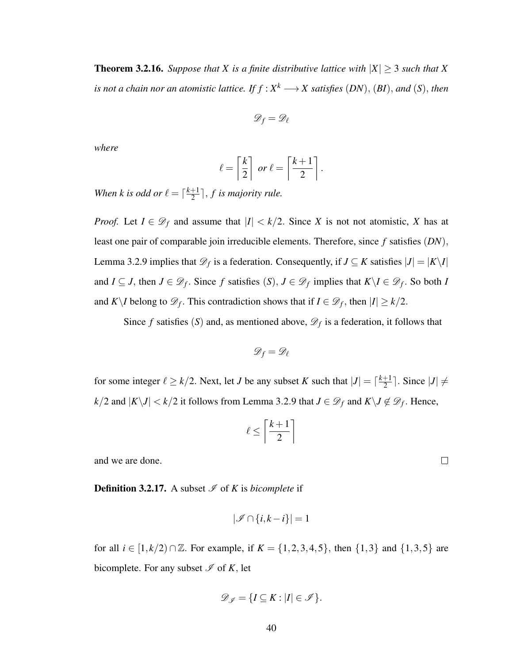**Theorem 3.2.16.** *Suppose that X is a finite distributive lattice with*  $|X| \geq 3$  *such that* X *is not a chain nor an atomistic lattice. If*  $f : X^k \longrightarrow X$  *satisfies*  $(DN)$ *,*  $(BI)$ *, and*  $(S)$ *, then* 

$$
\mathscr{D}_f = \mathscr{D}_\ell
$$

*where*

$$
\ell = \left\lceil \frac{k}{2} \right\rceil \text{ or } \ell = \left\lceil \frac{k+1}{2} \right\rceil.
$$

*When k is odd or*  $\ell = \lceil \frac{k+1}{2} \rceil$  $\frac{+1}{2}$ , *f* is majority rule.

*Proof.* Let  $I \in \mathcal{D}_f$  and assume that  $|I| < k/2$ . Since *X* is not not atomistic, *X* has at least one pair of comparable join irreducible elements. Therefore, since *f* satisfies (*DN*), Lemma 3.2.9 implies that  $\mathscr{D}_f$  is a federation. Consequently, if  $J \subseteq K$  satisfies  $|J| = |K \setminus I|$ and *I* ⊆ *J*, then *J* ∈  $\mathscr{D}_f$ . Since *f* satisfies (*S*), *J* ∈  $\mathscr{D}_f$  implies that  $K\setminus I \in \mathscr{D}_f$ . So both *I* and *K*\*I* belong to  $\mathscr{D}_f$ . This contradiction shows that if  $I \in \mathscr{D}_f$ , then  $|I| \geq k/2$ .

Since *f* satisfies (*S*) and, as mentioned above,  $\mathcal{D}_f$  is a federation, it follows that

$$
\mathscr{D}_f = \mathscr{D}_\ell
$$

for some integer  $\ell \geq k/2$ . Next, let *J* be any subset *K* such that  $|J| = \lceil \frac{k+1}{2} \rceil$  $\frac{+1}{2}$ . Since  $|J| \neq$ *k*/2 and  $|K\backslash J|$  < *k*/2 it follows from Lemma 3.2.9 that  $J \in \mathscr{D}_f$  and  $K\backslash J \notin \mathscr{D}_f$ . Hence,

$$
\ell \le \left\lceil \frac{k+1}{2} \right\rceil
$$

and we are done.

**Definition 3.2.17.** A subset  $\mathcal{I}$  of *K* is *bicomplete* if

$$
|\mathcal{I} \cap \{i, k - i\}| = 1
$$

for all  $i \in [1, k/2) \cap \mathbb{Z}$ . For example, if  $K = \{1, 2, 3, 4, 5\}$ , then  $\{1, 3\}$  and  $\{1, 3, 5\}$  are bicomplete. For any subset  $\mathscr I$  of  $K$ , let

$$
\mathscr{D}_{\mathscr{I}} = \{I \subseteq K : |I| \in \mathscr{I}\}.
$$

 $\Box$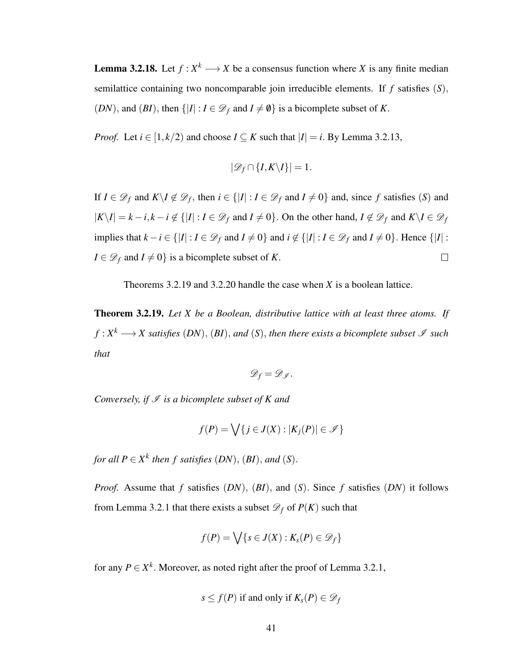**Lemma 3.2.18.** Let  $f: X^k \longrightarrow X$  be a consensus function where X is any finite median semilattice containing two noncomparable join irreducible elements. If *f* satisfies (*S*), (*DN*), and (*BI*), then  $\{|I| : I \in \mathcal{D}_f \text{ and } I \neq \emptyset\}$  is a bicomplete subset of *K*.

*Proof.* Let  $i \in [1, k/2)$  and choose  $I \subseteq K$  such that  $|I| = i$ . By Lemma 3.2.13,

$$
|\mathcal{D}_f \cap \{I, K \setminus I\}| = 1.
$$

If  $I \in \mathcal{D}_f$  and  $K \setminus I \notin \mathcal{D}_f$ , then  $i \in \{ |I| : I \in \mathcal{D}_f \text{ and } I \neq 0 \}$  and, since f satisfies (*S*) and  $|K\setminus I| = k - i, k - i \notin \{|I| : I \in \mathcal{D}_f \text{ and } I \neq 0\}$ . On the other hand,  $I \notin \mathcal{D}_f$  and  $K\setminus I \in \mathcal{D}_f$ implies that  $k - i \in \{ |I| : I \in \mathcal{D}_f \text{ and } I \neq 0 \}$  and  $i \notin \{ |I| : I \in \mathcal{D}_f \text{ and } I \neq 0 \}$ . Hence  $\{ |I| : I \neq \mathcal{D}_f \text{ and } I \neq 0 \}$ . *I* ∈  $\mathcal{D}_f$  and *I*  $\neq$  0} is a bicomplete subset of *K*.  $\Box$ 

Theorems 3.2.19 and 3.2.20 handle the case when *X* is a boolean lattice.

Theorem 3.2.19. *Let X be a Boolean, distributive lattice with at least three atoms. If*  $f: X^k \longrightarrow X$  satisfies  $(DN)$ ,  $(BI)$ , and  $(S)$ , then there exists a bicomplete subset  $\mathscr I$  such *that*

$$
\mathscr{D}_f=\mathscr{D}_{\mathscr{I}}.
$$

*Conversely, if*  $I$  *is a bicomplete subset of K and* 

$$
f(P) = \bigvee \{ j \in J(X) : |K_j(P)| \in \mathscr{I} \}
$$

*for all*  $P \in X^k$  *then f satisfies*  $(DN)$ ,  $(BI)$ *, and*  $(S)$ *.* 

*Proof.* Assume that *f* satisfies (*DN*), (*BI*), and (*S*). Since *f* satisfies (*DN*) it follows from Lemma 3.2.1 that there exists a subset  $\mathcal{D}_f$  of  $P(K)$  such that

$$
f(P) = \bigvee \{s \in J(X) : K_s(P) \in \mathscr{D}_f\}
$$

for any  $P \in X^k$ . Moreover, as noted right after the proof of Lemma 3.2.1,

$$
s \leq f(P)
$$
 if and only if  $K_s(P) \in \mathcal{D}_f$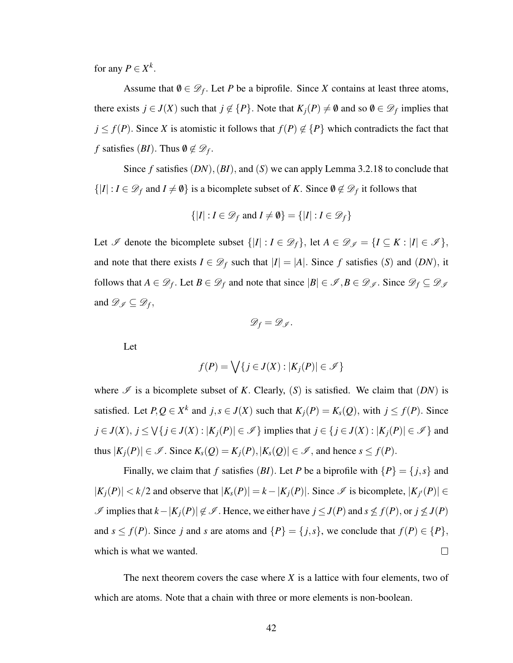for any  $P \in X^k$ .

Assume that  $\emptyset \in \mathcal{D}_f$ . Let *P* be a biprofile. Since *X* contains at least three atoms, there exists  $j \in J(X)$  such that  $j \notin \{P\}$ . Note that  $K_j(P) \neq \emptyset$  and so  $\emptyset \in \mathcal{D}_f$  implies that  $j \leq f(P)$ . Since *X* is atomistic it follows that  $f(P) \notin \{P\}$  which contradicts the fact that *f* satisfies  $(BI)$ . Thus  $\emptyset \notin \mathscr{D}_f$ .

Since  $f$  satisfies  $(DN)$ ,  $(BI)$ , and  $(S)$  we can apply Lemma 3.2.18 to conclude that  $\{|I|: I \in \mathscr{D}_f \text{ and } I \neq \emptyset\}$  is a bicomplete subset of *K*. Since  $\emptyset \notin \mathscr{D}_f$  it follows that

$$
\{|I|: I \in \mathcal{D}_f \text{ and } I \neq \emptyset\} = \{|I|: I \in \mathcal{D}_f\}
$$

Let  $\mathscr I$  denote the bicomplete subset  $\{|I| : I \in \mathscr D_f\}$ , let  $A \in \mathscr D_{\mathscr I} = \{I \subseteq K : |I| \in \mathscr I\}$ , and note that there exists  $I \in \mathcal{D}_f$  such that  $|I| = |A|$ . Since f satisfies (S) and (DN), it follows that  $A \in \mathcal{D}_f$ . Let  $B \in \mathcal{D}_f$  and note that since  $|B| \in \mathcal{I}, B \in \mathcal{D}_f$ . Since  $\mathcal{D}_f \subseteq \mathcal{D}_f$ and  $\mathscr{D}_{\mathscr{I}} \subseteq \mathscr{D}_{f}$ ,

$$
\mathscr{D}_f=\mathscr{D}_{\mathscr{I}}.
$$

Let

$$
f(P) = \bigvee \{ j \in J(X) : |K_j(P)| \in \mathscr{I} \}
$$

where  $\mathscr I$  is a bicomplete subset of *K*. Clearly, (*S*) is satisfied. We claim that (*DN*) is satisfied. Let  $P, Q \in X^k$  and  $j, s \in J(X)$  such that  $K_j(P) = K_s(Q)$ , with  $j \le f(P)$ . Since *j* ∈ *J*(*X*), *j* ≤  $\bigvee$ {*j* ∈ *J*(*X*) : |*K<sub><i>j*</sub>(*P*)| ∈  $\mathscr{I}$ } implies that *j* ∈ {*j* ∈ *J*(*X*) : |*K<sub><i>j*</sub>(*P*)| ∈  $\mathscr{I}$ } and thus  $|K_j(P)| \in \mathcal{I}$ . Since  $K_s(Q) = K_j(P), |K_s(Q)| \in \mathcal{I}$ , and hence  $s \le f(P)$ .

Finally, we claim that *f* satisfies (*BI*). Let *P* be a biprofile with  $\{P\} = \{j, s\}$  and  $|K_j(P)| < k/2$  and observe that  $|K_s(P)| = k - |K_j(P)|$ . Since  $\mathscr I$  is bicomplete,  $|K_{j'}(P)| \in$  $I$  implies that  $k-|K_j(P)| \notin I$ . Hence, we either have  $j \leq J(P)$  and  $s \nleq f(P)$ , or  $j \nleq J(P)$ and  $s \leq f(P)$ . Since *j* and *s* are atoms and  $\{P\} = \{j, s\}$ , we conclude that  $f(P) \in \{P\}$ , which is what we wanted.  $\Box$ 

The next theorem covers the case where *X* is a lattice with four elements, two of which are atoms. Note that a chain with three or more elements is non-boolean.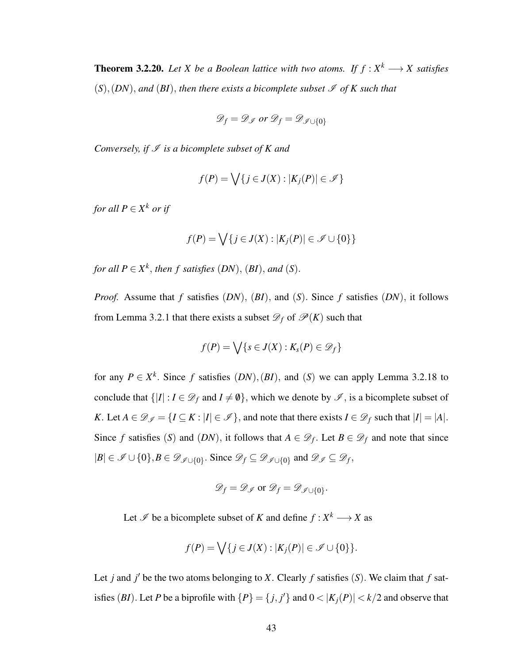**Theorem 3.2.20.** Let X be a Boolean lattice with two atoms. If  $f: X^k \longrightarrow X$  satisfies  $(S)$ ,  $(DN)$ , and  $(BI)$ , then there exists a bicomplete subset  $\mathscr I$  of K such that

$$
\mathscr{D}_f = \mathscr{D}_{\mathscr{I}} \text{ or } \mathscr{D}_f = \mathscr{D}_{\mathscr{I} \cup \{0\}}
$$

*Conversely, if*  $I$  *is a bicomplete subset of K and* 

$$
f(P) = \bigvee \{ j \in J(X) : |K_j(P)| \in \mathscr{I} \}
$$

*for all*  $P \in X^k$  *or if* 

$$
f(P) = \bigvee \{ j \in J(X) : |K_j(P)| \in \mathcal{I} \cup \{0\} \}
$$

*for all*  $P \in X^k$ , *then f satisfies*  $(DN)$ ,  $(BI)$ *, and*  $(S)$ *.* 

*Proof.* Assume that *f* satisfies (*DN*), (*BI*), and (*S*). Since *f* satisfies (*DN*), it follows from Lemma 3.2.1 that there exists a subset  $\mathcal{D}_f$  of  $\mathcal{P}(K)$  such that

$$
f(P) = \bigvee \{s \in J(X) : K_s(P) \in \mathscr{D}_f\}
$$

for any  $P \in X^k$ . Since f satisfies  $(DN)$ ,  $(BI)$ , and  $(S)$  we can apply Lemma 3.2.18 to conclude that  $\{|I|: I \in \mathcal{D}_f \text{ and } I \neq \emptyset\}$ , which we denote by  $\mathcal{I}$ , is a bicomplete subset of *K*. Let  $A \in \mathcal{D}_{\mathcal{I}} = \{I \subseteq K : |I| \in \mathcal{I}\}\$ , and note that there exists  $I \in \mathcal{D}_f$  such that  $|I| = |A|$ . Since *f* satisfies (*S*) and (*DN*), it follows that  $A \in \mathcal{D}_f$ . Let  $B \in \mathcal{D}_f$  and note that since  $|B| \in \mathscr{I} \cup \{0\}, B \in \mathscr{D}_{\mathscr{I} \cup \{0\}}$ . Since  $\mathscr{D}_f \subseteq \mathscr{D}_{\mathscr{I} \cup \{0\}}$  and  $\mathscr{D}_{\mathscr{I}} \subseteq \mathscr{D}_f$ ,

$$
\mathscr{D}_f = \mathscr{D}_{\mathscr{I}} \text{ or } \mathscr{D}_f = \mathscr{D}_{\mathscr{I} \cup \{0\}}.
$$

Let  $\mathscr I$  be a bicomplete subset of *K* and define  $f : X^k \longrightarrow X$  as

$$
f(P) = \bigvee \{ j \in J(X) : |K_j(P)| \in \mathscr{I} \cup \{0\} \}.
$$

Let *j* and *j*<sup> $\prime$ </sup> be the two atoms belonging to *X*. Clearly *f* satisfies (*S*). We claim that *f* satisfies (*BI*). Let *P* be a biprofile with  $\{P\} = \{j, j'\}$  and  $0 < |K_j(P)| < k/2$  and observe that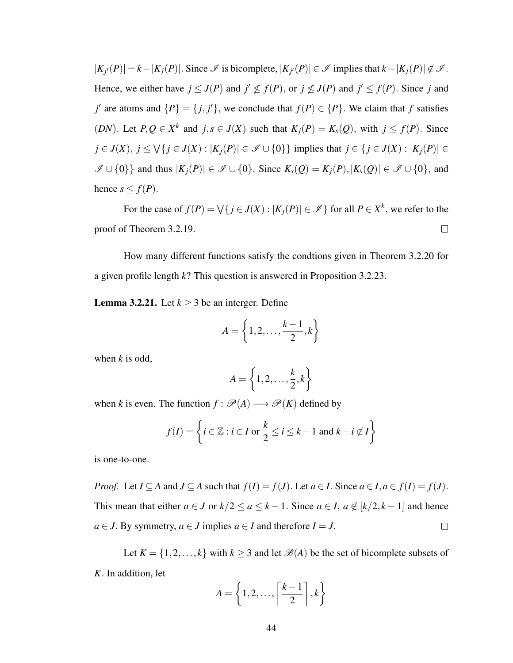$|K_{j'}(P)| = k - |K_j(P)|$ . Since  $\mathscr I$  is bicomplete,  $|K_{j'}(P)| \in \mathscr I$  implies that  $k - |K_j(P)| \notin \mathscr I$ . Hence, we either have  $j \leq J(P)$  and  $j' \nleq f(P)$ , or  $j \nleq J(P)$  and  $j' \leq f(P)$ . Since *j* and *j*' are atoms and  $\{P\} = \{j, j'\}$ , we conclude that  $f(P) \in \{P\}$ . We claim that *f* satisfies (*DN*). Let  $P, Q \in X^k$  and  $j, s \in J(X)$  such that  $K_j(P) = K_s(Q)$ , with  $j \le f(P)$ . Since *j* ∈ *J*(*X*), *j* ≤  $\bigvee$ {*j* ∈ *J*(*X*) : |*K*<sub>*j*</sub>(*P*)| ∈  $\mathcal{I}$  ∪ {0}} implies that *j* ∈ {*j* ∈ *J*(*X*) : |*K<sub><i>j*</sub>(*P*)| ∈  $\mathscr{I} \cup \{0\}\}\$ and thus  $|K_j(P)| \in \mathscr{I} \cup \{0\}\$ . Since  $K_s(Q) = K_j(P), |K_s(Q)| \in \mathscr{I} \cup \{0\}\$ , and hence  $s \leq f(P)$ .

For the case of  $f(P) = \bigvee \{j \in J(X) : |K_j(P)| \in \mathscr{I}\}\)$  for all  $P \in X^k$ , we refer to the proof of Theorem 3.2.19.  $\Box$ 

How many different functions satisfy the condtions given in Theorem 3.2.20 for a given profile length *k*? This question is answered in Proposition 3.2.23.

**Lemma 3.2.21.** Let  $k > 3$  be an interger. Define

$$
A = \left\{1, 2, \ldots, \frac{k-1}{2}, k\right\}
$$

when *k* is odd,

$$
A = \left\{1, 2, \ldots, \frac{k}{2}, k\right\}
$$

when *k* is even. The function  $f : \mathcal{P}(A) \longrightarrow \mathcal{P}(K)$  defined by

$$
f(I) = \left\{ i \in \mathbb{Z} : i \in I \text{ or } \frac{k}{2} \le i \le k - 1 \text{ and } k - i \notin I \right\}
$$

is one-to-one.

*Proof.* Let  $I \subseteq A$  and  $J \subseteq A$  such that  $f(I) = f(J)$ . Let  $a \in I$ . Since  $a \in I, a \in f(I) = f(J)$ . This mean that either  $a \in J$  or  $k/2 \le a \le k-1$ . Since  $a \in I$ ,  $a \notin [k/2, k-1]$  and hence *a* ∈ *J*. By symmetry, *a* ∈ *J* implies *a* ∈ *I* and therefore *I* = *J*.  $\Box$ 

Let  $K = \{1, 2, ..., k\}$  with  $k \geq 3$  and let  $\mathcal{B}(A)$  be the set of bicomplete subsets of *K*. In addition, let

$$
A = \left\{1, 2, \ldots, \left\lceil \frac{k-1}{2} \right\rceil, k \right\}
$$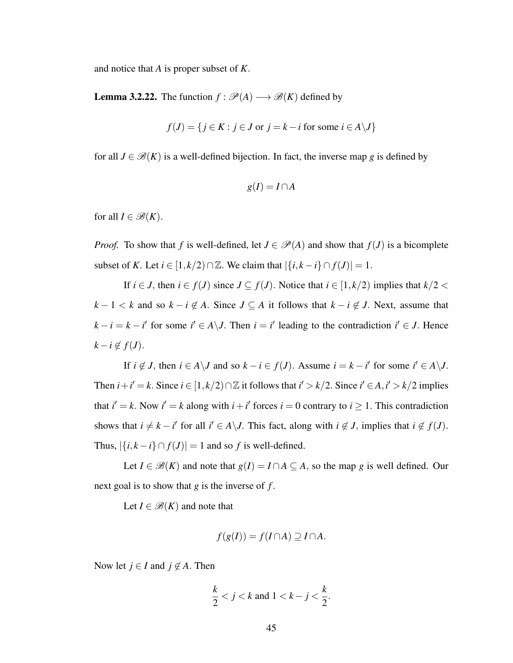and notice that *A* is proper subset of *K*.

**Lemma 3.2.22.** The function  $f : \mathcal{P}(A) \longrightarrow \mathcal{B}(K)$  defined by

$$
f(J) = \{ j \in K : j \in J \text{ or } j = k - i \text{ for some } i \in A \setminus J \}
$$

for all  $J \in \mathcal{B}(K)$  is a well-defined bijection. In fact, the inverse map g is defined by

$$
g(I) = I \cap A
$$

for all  $I \in \mathcal{B}(K)$ .

*Proof.* To show that *f* is well-defined, let  $J \in \mathcal{P}(A)$  and show that  $f(J)$  is a bicomplete subset of *K*. Let  $i \in [1, k/2) \cap \mathbb{Z}$ . We claim that  $|\{i, k - i\} \cap f(J)| = 1$ .

If  $i \in J$ , then  $i \in f(J)$  since  $J \subseteq f(J)$ . Notice that  $i \in [1, k/2)$  implies that  $k/2 <$ *k* − 1 < *k* and so  $k - i \notin A$ . Since  $J \subseteq A$  it follows that  $k - i \notin J$ . Next, assume that  $k - i = k - i'$  for some  $i' \in A \setminus J$ . Then  $i = i'$  leading to the contradiction  $i' \in J$ . Hence  $k - i \notin f(J)$ .

If  $i \notin J$ , then  $i \in A \setminus J$  and so  $k - i \in f(J)$ . Assume  $i = k - i'$  for some  $i' \in A \setminus J$ . Then  $i + i' = k$ . Since  $i \in [1, k/2) \cap \mathbb{Z}$  it follows that  $i' > k/2$ . Since  $i' \in A, i' > k/2$  implies that  $i' = k$ . Now  $i' = k$  along with  $i + i'$  forces  $i = 0$  contrary to  $i \ge 1$ . This contradiction shows that  $i \neq k - i'$  for all  $i' \in A \setminus J$ . This fact, along with  $i \notin J$ , implies that  $i \notin f(J)$ . Thus,  $|\{i, k - i\} \cap f(J)| = 1$  and so *f* is well-defined.

Let  $I \in \mathcal{B}(K)$  and note that  $g(I) = I \cap A \subseteq A$ , so the map *g* is well defined. Our next goal is to show that *g* is the inverse of *f* .

Let  $I \in \mathcal{B}(K)$  and note that

$$
f(g(I)) = f(I \cap A) \supseteq I \cap A.
$$

Now let  $j \in I$  and  $j \notin A$ . Then

$$
\frac{k}{2} < j < k \text{ and } 1 < k - j < \frac{k}{2}.
$$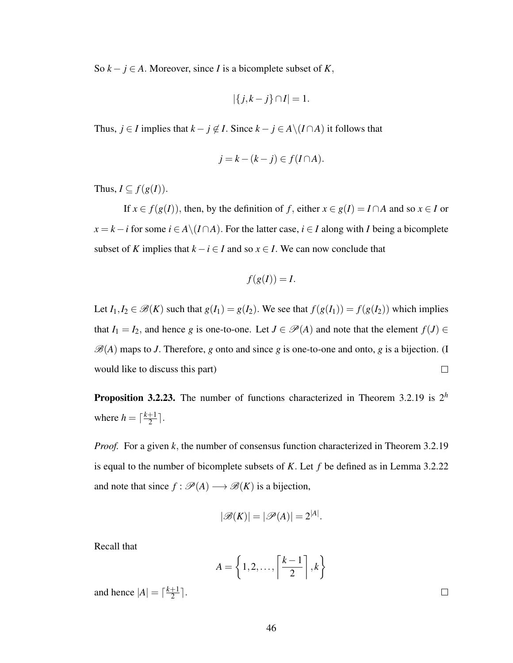So  $k - j \in A$ . Moreover, since *I* is a bicomplete subset of *K*,

$$
|\{j,k-j\}\cap I|=1.
$$

Thus, *j* ∈ *I* implies that  $k - j \notin I$ . Since  $k - j \in A \setminus (I \cap A)$  it follows that

$$
j = k - (k - j) \in f(I \cap A).
$$

Thus,  $I \subseteq f(g(I))$ .

If  $x \in f(g(I))$ , then, by the definition of *f*, either  $x \in g(I) = I \cap A$  and so  $x \in I$  or *x* = *k* − *i* for some *i* ∈ *A*\(*I* ∩*A*). For the latter case, *i* ∈ *I* along with *I* being a bicomplete subset of *K* implies that  $k - i \in I$  and so  $x \in I$ . We can now conclude that

$$
f(g(I)) = I.
$$

Let  $I_1, I_2 \in \mathcal{B}(K)$  such that  $g(I_1) = g(I_2)$ . We see that  $f(g(I_1)) = f(g(I_2))$  which implies that  $I_1 = I_2$ , and hence *g* is one-to-one. Let  $J \in \mathcal{P}(A)$  and note that the element  $f(J) \in$  $\mathscr{B}(A)$  maps to *J*. Therefore, *g* onto and since *g* is one-to-one and onto, *g* is a bijection. (I would like to discuss this part)  $\Box$ 

Proposition 3.2.23. The number of functions characterized in Theorem 3.2.19 is 2*<sup>h</sup>* where  $h = \lceil \frac{k+1}{2} \rceil$  $\frac{+1}{2}$ .

*Proof.* For a given *k*, the number of consensus function characterized in Theorem 3.2.19 is equal to the number of bicomplete subsets of *K*. Let *f* be defined as in Lemma 3.2.22 and note that since  $f : \mathcal{P}(A) \longrightarrow \mathcal{B}(K)$  is a bijection,

$$
|\mathscr{B}(K)| = |\mathscr{P}(A)| = 2^{|A|}.
$$

Recall that

$$
A = \left\{1, 2, \ldots, \left\lceil \frac{k-1}{2} \right\rceil, k\right\}
$$

and hence  $|A| = \lceil \frac{k+1}{2} \rceil$  $\frac{+1}{2}$ .

 $\Box$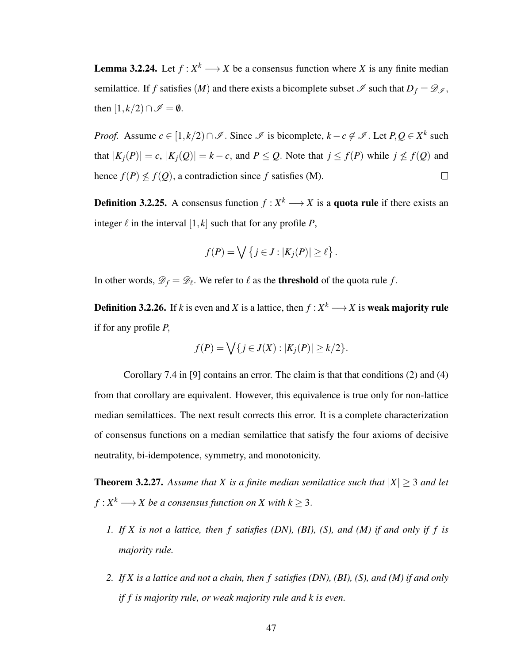**Lemma 3.2.24.** Let  $f: X^k \longrightarrow X$  be a consensus function where X is any finite median semilattice. If *f* satisfies  $(M)$  and there exists a bicomplete subset  $\mathscr I$  such that  $D_f = \mathscr D_{\mathscr I}$ , then  $[1, k/2) \cap \mathscr{I} = \emptyset$ .

*Proof.* Assume  $c \in [1, k/2) \cap \mathcal{I}$ . Since  $\mathcal{I}$  is bicomplete,  $k - c \notin \mathcal{I}$ . Let  $P, Q \in X^k$  such that  $|K_j(P)| = c$ ,  $|K_j(Q)| = k - c$ , and  $P \leq Q$ . Note that  $j \leq f(P)$  while  $j \not\leq f(Q)$  and hence  $f(P) \nleq f(Q)$ , a contradiction since *f* satisfies (M).  $\Box$ 

**Definition 3.2.25.** A consensus function  $f: X^k \longrightarrow X$  is a **quota rule** if there exists an integer  $\ell$  in the interval  $[1, k]$  such that for any profile *P*,

$$
f(P) = \bigvee \{ j \in J : |K_j(P)| \ge \ell \}.
$$

In other words,  $\mathscr{D}_f = \mathscr{D}_\ell$ . We refer to  $\ell$  as the **threshold** of the quota rule  $f$ .

**Definition 3.2.26.** If *k* is even and *X* is a lattice, then  $f : X^k \longrightarrow X$  is **weak majority rule** if for any profile *P*,

$$
f(P) = \bigvee \{ j \in J(X) : |K_j(P)| \ge k/2 \}.
$$

Corollary 7.4 in [9] contains an error. The claim is that that conditions (2) and (4) from that corollary are equivalent. However, this equivalence is true only for non-lattice median semilattices. The next result corrects this error. It is a complete characterization of consensus functions on a median semilattice that satisfy the four axioms of decisive neutrality, bi-idempotence, symmetry, and monotonicity.

**Theorem 3.2.27.** Assume that X is a finite median semilattice such that  $|X| \geq 3$  and let  $f: X^k \longrightarrow X$  be a consensus function on  $X$  with  $k \geq 3$ .

- *1. If X is not a lattice, then f satisfies (DN), (BI), (S), and (M) if and only if f is majority rule.*
- *2. If X is a lattice and not a chain, then f satisfies (DN), (BI), (S), and (M) if and only if f is majority rule, or weak majority rule and k is even.*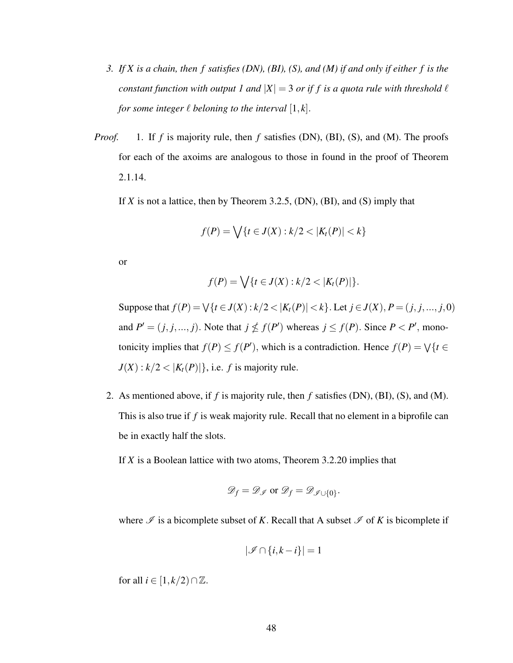- *3. If X is a chain, then f satisfies (DN), (BI), (S), and (M) if and only if either f is the constant function with output 1 and*  $|X| = 3$  *or if f is a quota rule with threshold*  $\ell$ *for some integer*  $\ell$  *beloning to the interval*  $[1, k]$ *.*
- *Proof.* 1. If *f* is majority rule, then *f* satisfies (DN), (BI), (S), and (M). The proofs for each of the axoims are analogous to those in found in the proof of Theorem 2.1.14.

If *X* is not a lattice, then by Theorem 3.2.5, (DN), (BI), and (S) imply that

$$
f(P) = \bigvee \{ t \in J(X) : k/2 < |K_t(P)| < k \}
$$

or

$$
f(P) = \bigvee \{ t \in J(X) : k/2 < |K_t(P)| \}.
$$

Suppose that  $f(P) = \bigvee \{t \in J(X) : k/2 < |K_t(P)| < k\}$ . Let  $j \in J(X), P = (j, j, ..., j, 0)$ and  $P' = (j, j, ..., j)$ . Note that  $j \nleq f(P')$  whereas  $j \leq f(P)$ . Since  $P < P'$ , monotonicity implies that  $f(P) \leq f(P')$ , which is a contradiction. Hence  $f(P) = \sqrt{\{t \in P\}}$  $J(X): k/2 < |K_t(P)|$ , i.e. *f* is majority rule.

2. As mentioned above, if *f* is majority rule, then *f* satisfies (DN), (BI), (S), and (M). This is also true if *f* is weak majority rule. Recall that no element in a biprofile can be in exactly half the slots.

If *X* is a Boolean lattice with two atoms, Theorem 3.2.20 implies that

$$
\mathscr{D}_f = \mathscr{D}_{\mathscr{I}} \text{ or } \mathscr{D}_f = \mathscr{D}_{\mathscr{I} \cup \{0\}}.
$$

where  $\mathscr I$  is a bicomplete subset of *K*. Recall that A subset  $\mathscr I$  of *K* is bicomplete if

$$
|\mathscr{I} \cap \{i,k-i\}| = 1
$$

for all  $i \in [1, k/2) \cap \mathbb{Z}$ .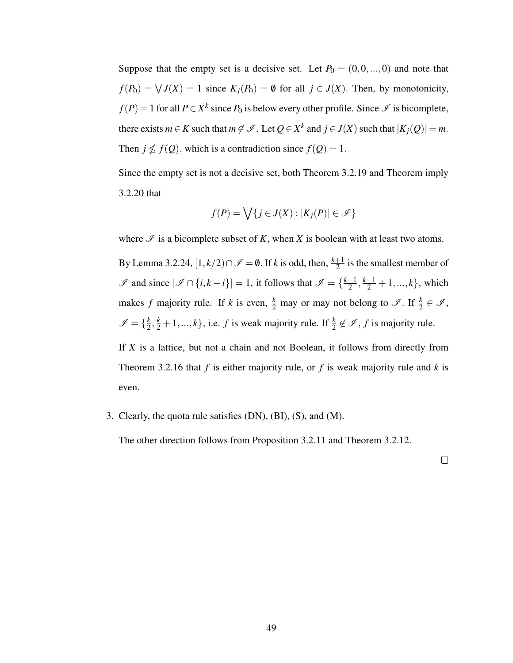Suppose that the empty set is a decisive set. Let  $P_0 = (0, 0, \ldots, 0)$  and note that  $f(P_0) = \bigvee J(X) = 1$  since  $K_j(P_0) = \emptyset$  for all  $j \in J(X)$ . Then, by monotonicity,  $f(P) = 1$  for all  $P \in X^k$  since  $P_0$  is below every other profile. Since  $\mathscr I$  is bicomplete, there exists  $m \in K$  such that  $m \notin \mathscr{I}$ . Let  $Q \in X^k$  and  $j \in J(X)$  such that  $|K_j(Q)| = m$ . Then  $j \nleq f(Q)$ , which is a contradiction since  $f(Q) = 1$ .

Since the empty set is not a decisive set, both Theorem 3.2.19 and Theorem imply 3.2.20 that

$$
f(P) = \bigvee \{ j \in J(X) : |K_j(P)| \in \mathscr{I} \}
$$

where  $\mathscr I$  is a bicomplete subset of *K*, when *X* is boolean with at least two atoms.

By Lemma 3.2.24,  $[1, k/2) \cap \mathscr{I} = \emptyset$ . If *k* is odd, then,  $\frac{k+1}{2}$  is the smallest member of  $\mathcal{I}$  and since  $|\mathcal{I} \cap \{i,k-i\}| = 1$ , it follows that  $\mathcal{I} = \{\frac{k+1}{2}$  $\frac{+1}{2}, \frac{k+1}{2}+1, ..., k$ , which makes *f* majority rule. If *k* is even,  $\frac{k}{2}$  may or may not belong to  $\mathscr{I}$ . If  $\frac{k}{2} \in \mathscr{I}$ ,  $\mathscr{I} = \{\frac{k}{2}$  $\frac{k}{2}, \frac{k}{2} + 1, ..., k$ , i.e. *f* is weak majority rule. If  $\frac{k}{2} \notin \mathcal{I}$ , *f* is majority rule.

If *X* is a lattice, but not a chain and not Boolean, it follows from directly from Theorem 3.2.16 that *f* is either majority rule, or *f* is weak majority rule and *k* is even.

3. Clearly, the quota rule satisfies (DN), (BI), (S), and (M).

The other direction follows from Proposition 3.2.11 and Theorem 3.2.12.

 $\Box$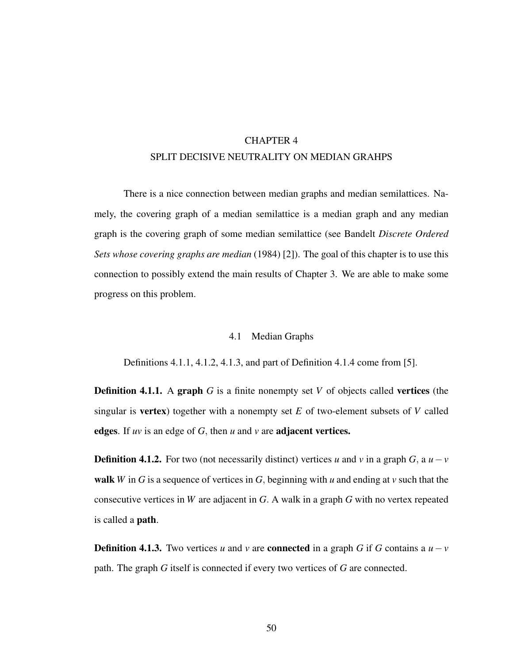# CHAPTER 4 SPLIT DECISIVE NEUTRALITY ON MEDIAN GRAHPS

There is a nice connection between median graphs and median semilattices. Namely, the covering graph of a median semilattice is a median graph and any median graph is the covering graph of some median semilattice (see Bandelt *Discrete Ordered Sets whose covering graphs are median* (1984) [2]). The goal of this chapter is to use this connection to possibly extend the main results of Chapter 3. We are able to make some progress on this problem.

## 4.1 Median Graphs

Definitions 4.1.1, 4.1.2, 4.1.3, and part of Definition 4.1.4 come from [5].

**Definition 4.1.1.** A graph *G* is a finite nonempty set *V* of objects called vertices (the singular is vertex) together with a nonempty set *E* of two-element subsets of *V* called edges. If *uv* is an edge of *G*, then *u* and *v* are adjacent vertices.

**Definition 4.1.2.** For two (not necessarily distinct) vertices *u* and *v* in a graph *G*, a  $u - v$ walk *W* in *G* is a sequence of vertices in *G*, beginning with *u* and ending at *v* such that the consecutive vertices in *W* are adjacent in *G*. A walk in a graph *G* with no vertex repeated is called a path.

**Definition 4.1.3.** Two vertices *u* and *v* are **connected** in a graph *G* if *G* contains a  $u - v$ path. The graph *G* itself is connected if every two vertices of *G* are connected.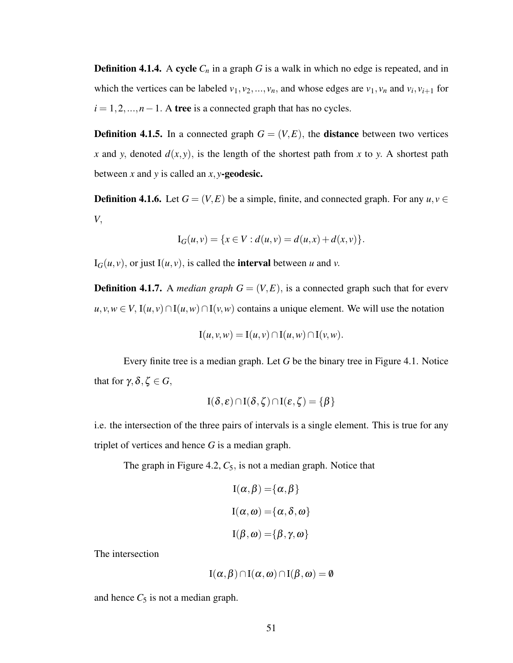**Definition 4.1.4.** A cycle  $C_n$  in a graph G is a walk in which no edge is repeated, and in which the vertices can be labeled  $v_1, v_2, ..., v_n$ , and whose edges are  $v_1, v_n$  and  $v_i, v_{i+1}$  for  $i = 1, 2, \dots, n - 1$ . A tree is a connected graph that has no cycles.

**Definition 4.1.5.** In a connected graph  $G = (V, E)$ , the **distance** between two vertices *x* and *y*, denoted  $d(x, y)$ , is the length of the shortest path from *x* to *y*. A shortest path between *x* and *y* is called an *x*, *y*-geodesic.

**Definition 4.1.6.** Let  $G = (V, E)$  be a simple, finite, and connected graph. For any  $u, v \in$ *V*,

$$
I_G(u, v) = \{x \in V : d(u, v) = d(u, x) + d(x, v)\}.
$$

 $I_G(u, v)$ , or just  $I(u, v)$ , is called the **interval** between *u* and *v*.

**Definition 4.1.7.** A *median graph*  $G = (V, E)$ , is a connected graph such that for every  $u, v, w \in V$ ,  $I(u, v) \cap I(u, w) \cap I(v, w)$  contains a unique element. We will use the notation

$$
I(u, v, w) = I(u, v) \cap I(u, w) \cap I(v, w).
$$

Every finite tree is a median graph. Let *G* be the binary tree in Figure 4.1. Notice that for  $\gamma$ , δ, ζ  $\in$  *G*,

$$
I(\delta,\varepsilon) \cap I(\delta,\zeta) \cap I(\varepsilon,\zeta) = \{\beta\}
$$

i.e. the intersection of the three pairs of intervals is a single element. This is true for any triplet of vertices and hence *G* is a median graph.

The graph in Figure 4.2,  $C_5$ , is not a median graph. Notice that

$$
I(\alpha, \beta) = {\alpha, \beta}
$$
  

$$
I(\alpha, \omega) = {\alpha, \delta, \omega}
$$
  

$$
I(\beta, \omega) = {\beta, \gamma, \omega}
$$

The intersection

$$
I(\alpha,\beta) \cap I(\alpha,\omega) \cap I(\beta,\omega) = \emptyset
$$

and hence  $C_5$  is not a median graph.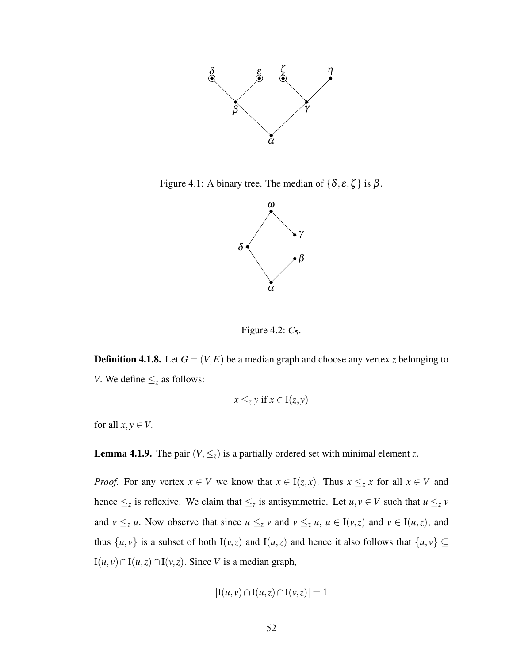

Figure 4.1: A binary tree. The median of  $\{\delta, \varepsilon, \zeta\}$  is  $\beta$ .



Figure 4.2:  $C_5$ .

**Definition 4.1.8.** Let  $G = (V, E)$  be a median graph and choose any vertex *z* belonging to *V*. We define  $\leq_z$  as follows:

$$
x \leq_z y \text{ if } x \in I(z, y)
$$

for all  $x, y \in V$ .

**Lemma 4.1.9.** The pair  $(V, \leq_z)$  is a partially ordered set with minimal element *z*.

*Proof.* For any vertex  $x \in V$  we know that  $x \in I(z, x)$ . Thus  $x \leq_z x$  for all  $x \in V$  and hence  $\leq_z$  is reflexive. We claim that  $\leq_z$  is antisymmetric. Let  $u, v \in V$  such that  $u \leq_z v$ and  $v \leq_z u$ . Now observe that since  $u \leq_z v$  and  $v \leq_z u$ ,  $u \in I(v,z)$  and  $v \in I(u,z)$ , and thus  $\{u, v\}$  is a subset of both I(*v*,*z*) and I(*u*,*z*) and hence it also follows that  $\{u, v\} \subseteq$  $I(u, v) \cap I(u, z) \cap I(v, z)$ . Since *V* is a median graph,

$$
|\mathbf{I}(u,v)\cap\mathbf{I}(u,z)\cap\mathbf{I}(v,z)|=1
$$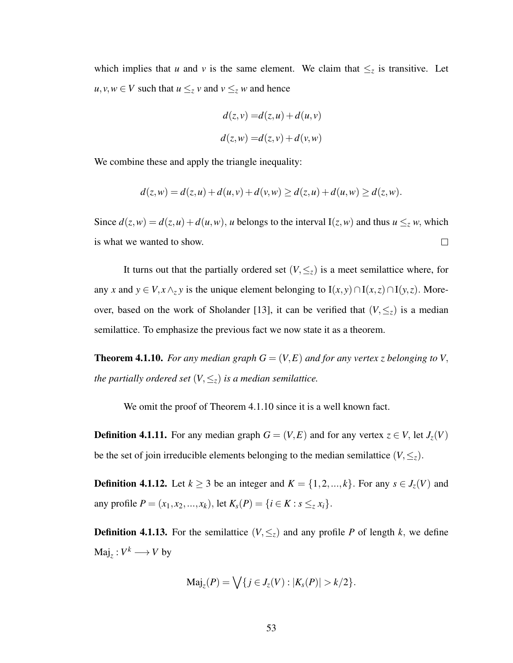which implies that *u* and *v* is the same element. We claim that  $\leq_z$  is transitive. Let *u*, *v*, *w* ∈ *V* such that *u* ≤*z v* and *v* ≤*z w* and hence

$$
d(z, v) = d(z, u) + d(u, v)
$$
  

$$
d(z, w) = d(z, v) + d(v, w)
$$

We combine these and apply the triangle inequality:

$$
d(z, w) = d(z, u) + d(u, v) + d(v, w) \ge d(z, u) + d(u, w) \ge d(z, w).
$$

Since  $d(z, w) = d(z, u) + d(u, w)$ , *u* belongs to the interval  $I(z, w)$  and thus  $u \leq z w$ , which is what we wanted to show.  $\Box$ 

It turns out that the partially ordered set  $(V, \leq_z)$  is a meet semilattice where, for any *x* and  $y \in V$ ,  $x \wedge_z y$  is the unique element belonging to  $I(x, y) \cap I(x, z) \cap I(y, z)$ . Moreover, based on the work of Sholander [13], it can be verified that  $(V, \leq_z)$  is a median semilattice. To emphasize the previous fact we now state it as a theorem.

**Theorem 4.1.10.** For any median graph  $G = (V, E)$  and for any vertex *z* belonging to V, *the partially ordered set*  $(V, \leq_z)$  *is a median semilattice.* 

We omit the proof of Theorem 4.1.10 since it is a well known fact.

**Definition 4.1.11.** For any median graph  $G = (V, E)$  and for any vertex  $z \in V$ , let  $J_z(V)$ be the set of join irreducible elements belonging to the median semilattice  $(V, \leq_z)$ .

**Definition 4.1.12.** Let  $k \ge 3$  be an integer and  $K = \{1, 2, ..., k\}$ . For any  $s \in J_z(V)$  and any profile  $P = (x_1, x_2, ..., x_k)$ , let  $K_s(P) = \{i \in K : s \leq z x_i\}.$ 

**Definition 4.1.13.** For the semilattice  $(V, \leq_z)$  and any profile P of length k, we define  $\text{Maj}_z : V^k \longrightarrow V$  by

$$
\text{Maj}_z(P) = \bigvee \{ j \in J_z(V) : |K_s(P)| > k/2 \}.
$$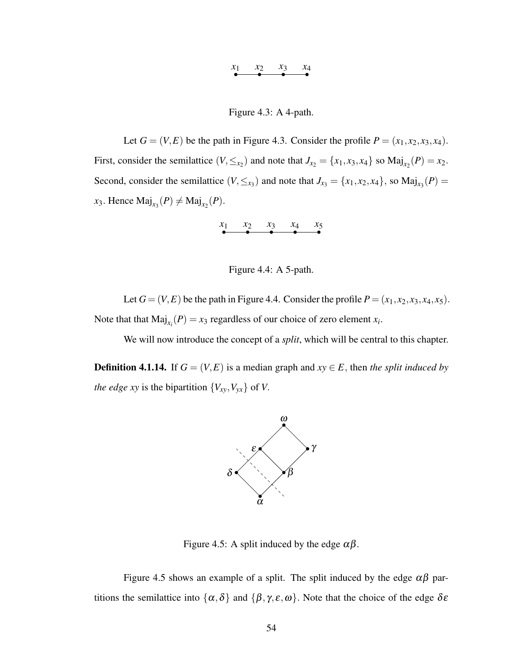# *x*<sup>1</sup> *x*<sup>2</sup> *x*<sup>3</sup> *x*<sup>4</sup>

### Figure 4.3: A 4-path.

Let  $G = (V, E)$  be the path in Figure 4.3. Consider the profile  $P = (x_1, x_2, x_3, x_4)$ . First, consider the semilattice  $(V, \leq_{x_2})$  and note that  $J_{x_2} = \{x_1, x_3, x_4\}$  so  $\text{Maj}_{x_2}(P) = x_2$ . Second, consider the semilattice  $(V, \leq_{x_3})$  and note that  $J_{x_3} = \{x_1, x_2, x_4\}$ , so  $\text{Maj}_{x_3}(P) =$  $x_3$ . Hence  $\text{Maj}_{x_3}(P) \neq \text{Maj}_{x_2}(P)$ .

$$
\begin{array}{cccc}\nx_1 & x_2 & x_3 & x_4 & x_5 \\
\hline\n\end{array}
$$



Let  $G = (V, E)$  be the path in Figure 4.4. Consider the profile  $P = (x_1, x_2, x_3, x_4, x_5)$ . Note that that  $\text{Maj}_{x_i}(P) = x_3$  regardless of our choice of zero element  $x_i$ .

We will now introduce the concept of a *split*, which will be central to this chapter.

**Definition 4.1.14.** If  $G = (V, E)$  is a median graph and  $xy \in E$ , then *the split induced by the edge xy* is the bipartition  $\{V_{xy}, V_{yx}\}$  of *V*.



Figure 4.5: A split induced by the edge  $\alpha\beta$ .

Figure 4.5 shows an example of a split. The split induced by the edge  $\alpha\beta$  partitions the semilattice into  $\{\alpha,\delta\}$  and  $\{\beta,\gamma,\varepsilon,\omega\}$ . Note that the choice of the edge  $\delta\varepsilon$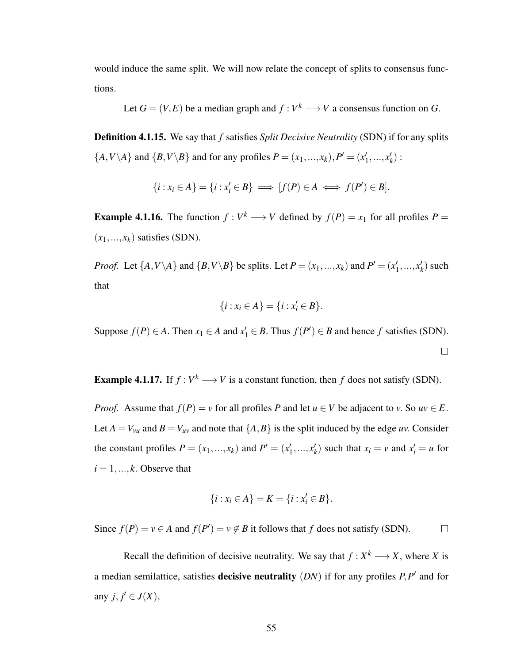would induce the same split. We will now relate the concept of splits to consensus functions.

Let 
$$
G = (V, E)
$$
 be a median graph and  $f : V^k \longrightarrow V$  a consensus function on G.

Definition 4.1.15. We say that *f* satisfies *Split Decisive Neutrality* (SDN) if for any splits  $\{A, V \setminus A\}$  and  $\{B, V \setminus B\}$  and for any profiles  $P = (x_1, ..., x_k), P' = (x_1')$  $x'_1, \ldots, x'_k$  $'_{k})$  :

$$
\{i: x_i \in A\} = \{i: x'_i \in B\} \implies [f(P) \in A \iff f(P') \in B].
$$

**Example 4.1.16.** The function  $f: V^k \longrightarrow V$  defined by  $f(P) = x_1$  for all profiles  $P =$  $(x_1,...,x_k)$  satisfies (SDN).

*Proof.* Let  $\{A, V \setminus A\}$  and  $\{B, V \setminus B\}$  be splits. Let  $P = (x_1, ..., x_k)$  and  $P' = (x_1')$  $x'_1, \ldots, x'_k$  $'_{k}$ ) such that

$$
\{i: x_i \in A\} = \{i: x'_i \in B\}.
$$

Suppose  $f(P) \in A$ . Then  $x_1 \in A$  and  $x'_1 \in B$ . Thus  $f(P') \in B$  and hence  $f$  satisfies (SDN).

 $\Box$ 

**Example 4.1.17.** If  $f: V^k \longrightarrow V$  is a constant function, then  $f$  does not satisfy (SDN).

*Proof.* Assume that  $f(P) = v$  for all profiles *P* and let  $u \in V$  be adjacent to *v*. So  $uv \in E$ . Let  $A = V_{vu}$  and  $B = V_{uv}$  and note that  $\{A, B\}$  is the split induced by the edge *uv*. Consider the constant profiles  $P = (x_1, ..., x_k)$  and  $P' = (x_1')$  $x'_1, \ldots, x'_k$  $f_k$ ) such that  $x_i = v$  and  $x'_i = u$  for  $i = 1, \ldots, k$ . Observe that

$$
\{i: x_i \in A\} = K = \{i: x'_i \in B\}.
$$

Since  $f(P) = v \in A$  and  $f(P') = v \notin B$  it follows that *f* does not satisfy (SDN).  $\Box$ 

Recall the definition of decisive neutrality. We say that  $f: X^k \longrightarrow X$ , where *X* is a median semilattice, satisfies **decisive neutrality** (*DN*) if for any profiles *P*,*P'* and for any  $j, j' \in J(X)$ ,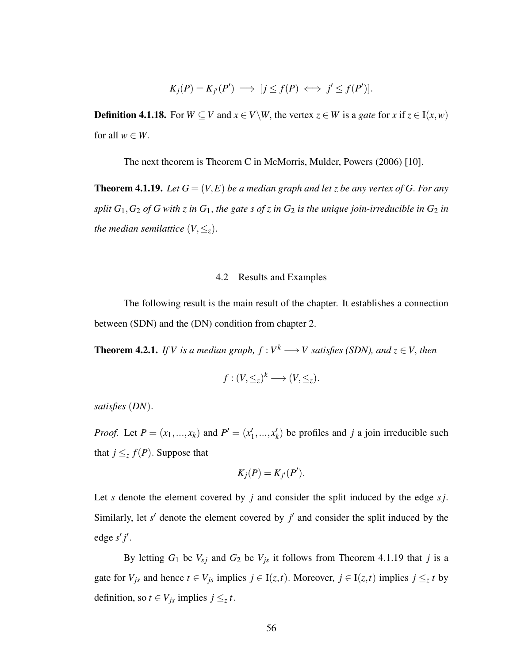$$
K_j(P) = K_{j'}(P') \implies [j \le f(P) \iff j' \le f(P')].
$$

**Definition 4.1.18.** For  $W \subseteq V$  and  $x \in V \setminus W$ , the vertex  $z \in W$  is a *gate* for *x* if  $z \in I(x, w)$ for all  $w \in W$ .

The next theorem is Theorem C in McMorris, Mulder, Powers (2006) [10].

**Theorem 4.1.19.** Let  $G = (V, E)$  be a median graph and let *z* be any vertex of G. For any *split*  $G_1$ ,  $G_2$  *of* G with *z* in  $G_1$ , the gate *s of z* in  $G_2$  *is the unique join-irreducible in*  $G_2$  *in the median semilattice*  $(V, \leq_z)$ .

### 4.2 Results and Examples

The following result is the main result of the chapter. It establishes a connection between (SDN) and the (DN) condition from chapter 2.

**Theorem 4.2.1.** If V is a median graph,  $f: V^k \longrightarrow V$  satisfies (SDN), and  $z \in V$ , then

$$
f:(V,\leq_z)^k\longrightarrow(V,\leq_z).
$$

*satisfies* (*DN*).

*Proof.* Let  $P = (x_1, ..., x_k)$  and  $P' = (x'_1, ..., x'_k)$  $x'_1, \ldots, x'_k$  $h(k)$  be profiles and *j* a join irreducible such that  $j \leq z f(P)$ . Suppose that

$$
K_j(P)=K_{j'}(P').
$$

Let *s* denote the element covered by *j* and consider the split induced by the edge *sj*. Similarly, let  $s'$  denote the element covered by  $j'$  and consider the split induced by the edge *s* ′ *j* ′ .

By letting  $G_1$  be  $V_{sj}$  and  $G_2$  be  $V_{js}$  it follows from Theorem 4.1.19 that *j* is a gate for  $V_{js}$  and hence  $t \in V_{js}$  implies  $j \in I(z,t)$ . Moreover,  $j \in I(z,t)$  implies  $j \leq z$  t by definition, so  $t \in V_{js}$  implies  $j \leq z$   $t$ .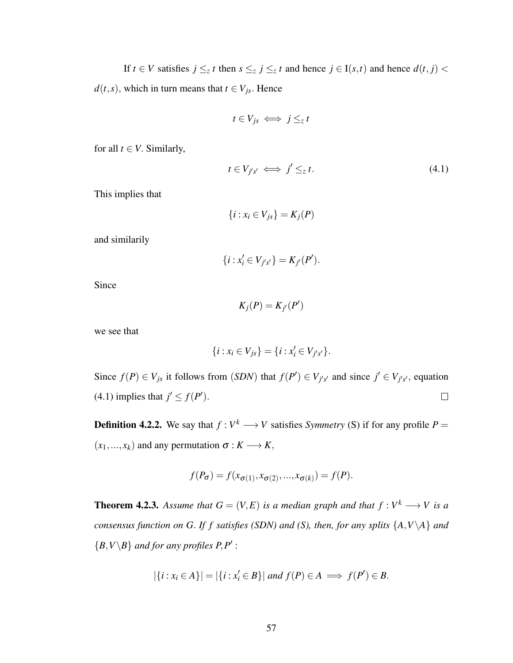If  $t \in V$  satisfies  $j \leq z$  *t* then  $s \leq z$  *j*  $\leq z$  *t* and hence  $j \in I(s,t)$  and hence  $d(t, j)$  $d(t, s)$ , which in turn means that  $t \in V_{js}$ . Hence

$$
t\in V_{js} \iff j\leq_z t
$$

for all  $t \in V$ . Similarly,

$$
t \in V_{j's'} \iff j' \leq_z t. \tag{4.1}
$$

This implies that

$$
\{i: x_i \in V_{js}\}=K_j(P)
$$

and similarily

$$
\{i: x_i' \in V_{j's'}\} = K_{j'}(P').
$$

Since

$$
K_j(P) = K_{j'}(P')
$$

we see that

$$
\{i: x_i \in V_{js}\} = \{i: x'_i \in V_{j's'}\}.
$$

Since  $f(P) \in V_{js}$  it follows from (*SDN*) that  $f(P') \in V_{j's'}$  and since  $j' \in V_{j's'}$ , equation (4.1) implies that  $j' \leq f(P')$ .  $\Box$ 

**Definition 4.2.2.** We say that  $f: V^k \longrightarrow V$  satisfies *Symmetry* (S) if for any profile  $P =$  $(x_1,...,x_k)$  and any permutation  $\sigma: K \longrightarrow K$ ,

$$
f(P_{\sigma}) = f(x_{\sigma(1)}, x_{\sigma(2)}, ..., x_{\sigma(k)}) = f(P).
$$

**Theorem 4.2.3.** Assume that  $G = (V, E)$  is a median graph and that  $f : V^k \longrightarrow V$  is a *consensus function on G*. *If f satisfies (SDN) and (S), then, for any splits* {*A*,*V*\*A*} *and*  ${B, V \setminus B}$  *and for any profiles P,P'*:

$$
|\{i:x_i\in A\}|=|\{i:x'_i\in B\}|\text{ and }f(P)\in A\implies f(P')\in B.
$$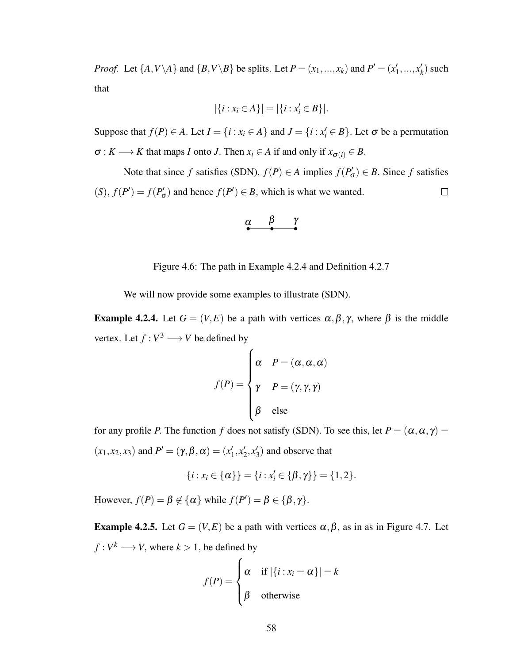*Proof.* Let  $\{A, V \setminus A\}$  and  $\{B, V \setminus B\}$  be splits. Let  $P = (x_1, ..., x_k)$  and  $P' = (x_1')$  $x'_1, \ldots, x'_k$  $'_{k}$ ) such that

$$
|\{i : x_i \in A\}| = |\{i : x'_i \in B\}|.
$$

Suppose that  $f(P) \in A$ . Let  $I = \{i : x_i \in A\}$  and  $J = \{i : x'_i \in B\}$ . Let  $\sigma$  be a permutation  $\sigma: K \longrightarrow K$  that maps *I* onto *J*. Then  $x_i \in A$  if and only if  $x_{\sigma(i)} \in B$ .

Note that since *f* satisfies (SDN),  $f(P) \in A$  implies  $f(P'_c)$  $g'_{\sigma}$ )  $\in$  *B*. Since *f* satisfies  $(f(S), f(P') = f(P'_{c})$  $f'_{\sigma}$ ) and hence  $f(P') \in B$ , which is what we wanted.  $\Box$ 

$$
\alpha \qquad \beta \qquad \gamma
$$

Figure 4.6: The path in Example 4.2.4 and Definition 4.2.7

We will now provide some examples to illustrate (SDN).

**Example 4.2.4.** Let  $G = (V, E)$  be a path with vertices  $\alpha, \beta, \gamma$ , where  $\beta$  is the middle vertex. Let  $f: V^3 \longrightarrow V$  be defined by

$$
f(P) = \begin{cases} \alpha & P = (\alpha, \alpha, \alpha) \\ \gamma & P = (\gamma, \gamma, \gamma) \\ \beta & \text{else} \end{cases}
$$

for any profile *P*. The function *f* does not satisfy (SDN). To see this, let  $P = (\alpha, \alpha, \gamma)$  $(x_1, x_2, x_3)$  and  $P' = (\gamma, \beta, \alpha) = (x_1')$  $'_{1}, x'_{2}$  $'_{2}, x'_{3}$  $_3'$ ) and observe that

$$
\{i: x_i \in \{\alpha\}\} = \{i: x'_i \in \{\beta, \gamma\}\} = \{1, 2\}.
$$

However,  $f(P) = \beta \notin {\{\alpha\}}$  while  $f(P') = \beta \in {\{\beta, \gamma\}}$ .

**Example 4.2.5.** Let  $G = (V, E)$  be a path with vertices  $\alpha, \beta$ , as in as in Figure 4.7. Let  $f: V^k \longrightarrow V$ , where  $k > 1$ , be defined by

$$
f(P) = \begin{cases} \alpha & \text{if } |\{i : x_i = \alpha\}| = k \\ \beta & \text{otherwise} \end{cases}
$$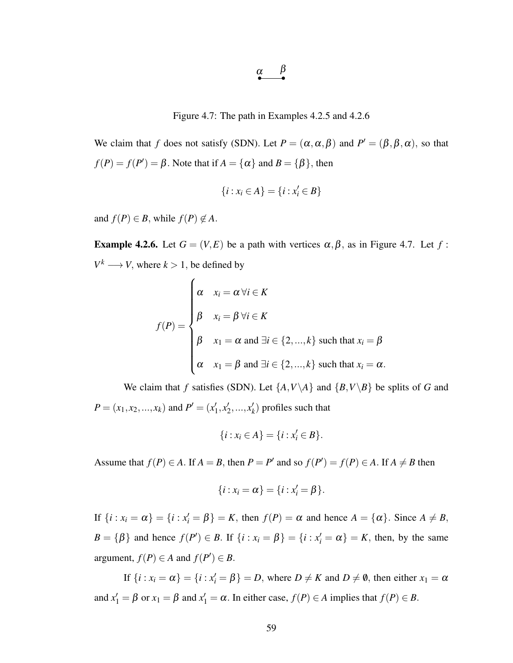$$
\underset{\bullet}{\alpha} \qquad \beta
$$

Figure 4.7: The path in Examples 4.2.5 and 4.2.6

We claim that *f* does not satisfy (SDN). Let  $P = (\alpha, \alpha, \beta)$  and  $P' = (\beta, \beta, \alpha)$ , so that  $f(P) = f(P') = \beta$ . Note that if  $A = \{\alpha\}$  and  $B = \{\beta\}$ , then

$$
\{i: x_i \in A\} = \{i: x'_i \in B\}
$$

and  $f(P) \in B$ , while  $f(P) \notin A$ .

**Example 4.2.6.** Let  $G = (V, E)$  be a path with vertices  $\alpha, \beta$ , as in Figure 4.7. Let  $f$ :  $V^k \longrightarrow V$ , where  $k > 1$ , be defined by

$$
f(P) = \begin{cases} \alpha & x_i = \alpha \forall i \in K \\ \beta & x_i = \beta \forall i \in K \\ \beta & x_1 = \alpha \text{ and } \exists i \in \{2, ..., k\} \text{ such that } x_i = \beta \\ \alpha & x_1 = \beta \text{ and } \exists i \in \{2, ..., k\} \text{ such that } x_i = \alpha. \end{cases}
$$

We claim that *f* satisfies (SDN). Let  $\{A, V \setminus A\}$  and  $\{B, V \setminus B\}$  be splits of *G* and  $P = (x_1, x_2, ..., x_k)$  and  $P' = (x_1')$  $'_{1}, x'_{2}$  $x'_2, ..., x'_k$  $k$ ) profiles such that

$$
\{i : x_i \in A\} = \{i : x'_i \in B\}.
$$

Assume that  $f(P) \in A$ . If  $A = B$ , then  $P = P'$  and so  $f(P') = f(P) \in A$ . If  $A \neq B$  then

$$
\{i : x_i = \alpha\} = \{i : x'_i = \beta\}.
$$

If  $\{i : x_i = \alpha\} = \{i : x'_i = \beta\} = K$ , then  $f(P) = \alpha$  and hence  $A = \{\alpha\}$ . Since  $A \neq B$ ,  $B = \{\beta\}$  and hence  $f(P') \in B$ . If  $\{i : x_i = \beta\} = \{i : x'_i = \alpha\} = K$ , then, by the same argument,  $f(P) \in A$  and  $f(P') \in B$ .

If  $\{i : x_i = \alpha\} = \{i : x'_i = \beta\} = D$ , where  $D \neq K$  and  $D \neq \emptyset$ , then either  $x_1 = \alpha$ and  $x'_1 = \beta$  or  $x_1 = \beta$  and  $x'_1 = \alpha$ . In either case,  $f(P) \in A$  implies that  $f(P) \in B$ .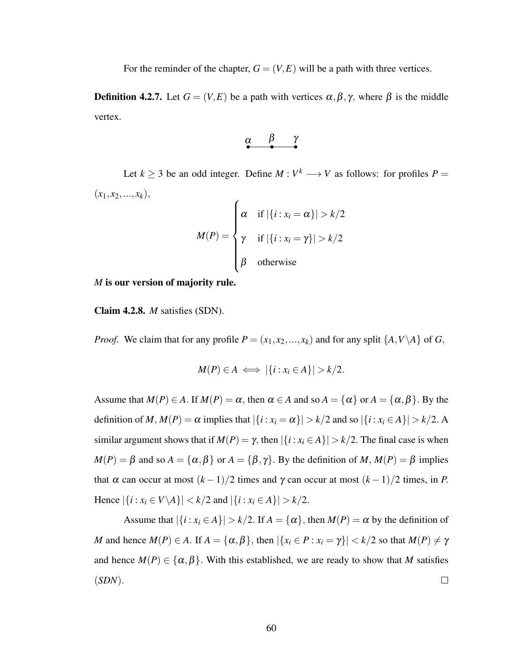For the reminder of the chapter,  $G = (V, E)$  will be a path with three vertices.

**Definition 4.2.7.** Let  $G = (V, E)$  be a path with vertices  $\alpha, \beta, \gamma$ , where  $\beta$  is the middle vertex.

$$
\alpha \qquad \beta \qquad \gamma
$$

Let  $k \ge 3$  be an odd integer. Define  $M : V^k \longrightarrow V$  as follows: for profiles  $P =$  $(x_1, x_2, \ldots, x_k),$  $\epsilon$ 

$$
M(P) = \begin{cases} \alpha & \text{if } |\{i : x_i = \alpha\}| > k/2 \\ \gamma & \text{if } |\{i : x_i = \gamma\}| > k/2 \\ \beta & \text{otherwise} \end{cases}
$$

*M* is our version of majority rule.

Claim 4.2.8. *M* satisfies (SDN).

*Proof.* We claim that for any profile  $P = (x_1, x_2, ..., x_k)$  and for any split  $\{A, V \setminus A\}$  of *G*,

$$
M(P) \in A \iff |\{i : x_i \in A\}| > k/2.
$$

Assume that  $M(P) \in A$ . If  $M(P) = \alpha$ , then  $\alpha \in A$  and so  $A = {\alpha}$  or  $A = {\alpha, \beta}$ . By the definition of *M*,  $M(P) = \alpha$  implies that  $|\{i : x_i = \alpha\}| > k/2$  and so  $|\{i : x_i \in A\}| > k/2$ . A similar argument shows that if  $M(P) = \gamma$ , then  $|\{i : x_i \in A\}| > k/2$ . The final case is when  $M(P) = \beta$  and so  $A = {\alpha, \beta}$  or  $A = {\beta, \gamma}$ . By the definition of *M*,  $M(P) = \beta$  implies that  $\alpha$  can occur at most  $(k-1)/2$  times and  $\gamma$  can occur at most  $(k-1)/2$  times, in *P*. Hence  $|\{i : x_i \in V \setminus A\}| < k/2$  and  $|\{i : x_i \in A\}| > k/2$ .

Assume that  $|\{i : x_i \in A\}| > k/2$ . If  $A = \{\alpha\}$ , then  $M(P) = \alpha$  by the definition of *M* and hence  $M(P) \in A$ . If  $A = {\alpha, \beta}$ , then  $|\{x_i \in P : x_i = \gamma\}| < k/2$  so that  $M(P) \neq \gamma$ and hence  $M(P) \in \{\alpha, \beta\}$ . With this established, we are ready to show that *M* satisfies (*SDN*).  $\Box$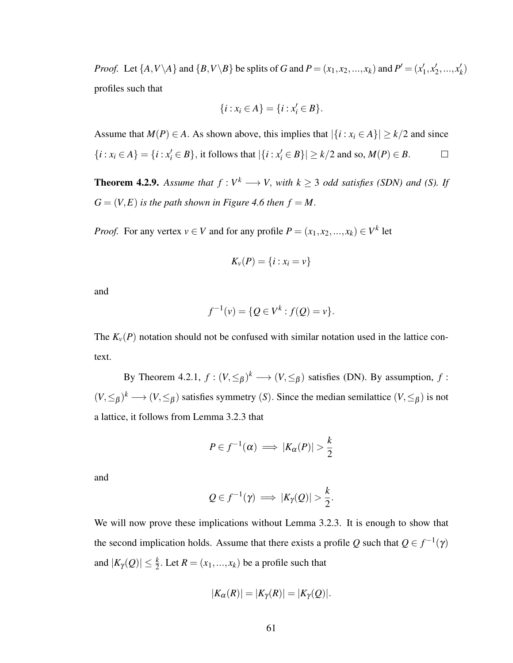*Proof.* Let  $\{A, V \setminus A\}$  and  $\{B, V \setminus B\}$  be splits of *G* and  $P = (x_1, x_2, ..., x_k)$  and  $P' = (x_1'$  $'_{1}, x'_{2}$  $x'_2, ..., x'_k$ *k* ) profiles such that

$$
\{i : x_i \in A\} = \{i : x'_i \in B\}.
$$

Assume that  $M(P) \in A$ . As shown above, this implies that  $|\{i : x_i \in A\}| \ge k/2$  and since  $\{i : x_i \in A\} = \{i : x'_i \in B\}$ , it follows that  $|\{i : x'_i \in B\}| \ge k/2$  and so,  $M(P) \in B$ .  $\Box$ 

**Theorem 4.2.9.** Assume that  $f: V^k \longrightarrow V$ , with  $k \geq 3$  odd satisfies (SDN) and (S). If  $G = (V, E)$  *is the path shown in Figure 4.6 then*  $f = M$ .

*Proof.* For any vertex  $v \in V$  and for any profile  $P = (x_1, x_2, ..., x_k) \in V^k$  let

$$
K_v(P)=\{i:x_i=v\}
$$

and

$$
f^{-1}(v) = \{Q \in V^k : f(Q) = v\}.
$$

The  $K_v(P)$  notation should not be confused with similar notation used in the lattice context.

By Theorem 4.2.1,  $f: (V, \leq_\beta)^k \longrightarrow (V, \leq_\beta)$  satisfies (DN). By assumption,  $f$ :  $(V, \leq_\beta)^k \longrightarrow (V, \leq_\beta)$  satisfies symmetry (*S*). Since the median semilattice  $(V, \leq_\beta)$  is not a lattice, it follows from Lemma 3.2.3 that

$$
P\in f^{-1}(\alpha) \implies |K_{\alpha}(P)| > \frac{k}{2}
$$

and

$$
Q \in f^{-1}(\gamma) \implies |K_{\gamma}(Q)| > \frac{k}{2}.
$$

We will now prove these implications without Lemma 3.2.3. It is enough to show that the second implication holds. Assume that there exists a profile  $Q$  such that  $Q \in f^{-1}(\gamma)$ and  $|K_{\gamma}(Q)| \leq \frac{k}{2}$ . Let  $R = (x_1, ..., x_k)$  be a profile such that

$$
|K_{\alpha}(R)|=|K_{\gamma}(R)|=|K_{\gamma}(Q)|.
$$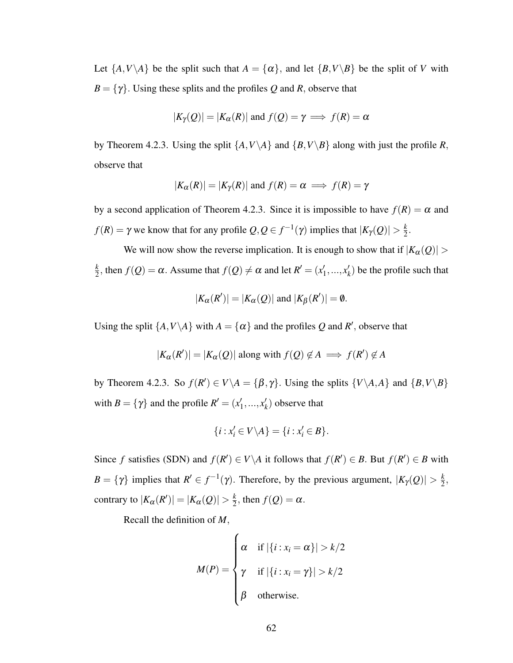Let  $\{A, V \setminus A\}$  be the split such that  $A = \{\alpha\}$ , and let  $\{B, V \setminus B\}$  be the split of *V* with  $B = \{\gamma\}$ . Using these splits and the profiles *Q* and *R*, observe that

$$
|K_{\gamma}(Q)| = |K_{\alpha}(R)|
$$
 and  $f(Q) = \gamma \implies f(R) = \alpha$ 

by Theorem 4.2.3. Using the split  $\{A, V \setminus A\}$  and  $\{B, V \setminus B\}$  along with just the profile *R*, observe that

$$
|K_{\alpha}(R)| = |K_{\gamma}(R)|
$$
 and  $f(R) = \alpha \implies f(R) = \gamma$ 

by a second application of Theorem 4.2.3. Since it is impossible to have  $f(R) = \alpha$  and *f*(*R*) =  $\gamma$  we know that for any profile  $Q, Q \in f^{-1}(\gamma)$  implies that  $|K_{\gamma}(Q)| > \frac{k}{2}$  $\frac{k}{2}$ .

We will now show the reverse implication. It is enough to show that if  $|K_{\alpha}(Q)| >$ *k*  $\frac{k}{2}$ , then  $f(Q) = \alpha$ . Assume that  $f(Q) \neq \alpha$  and let  $R' = (x_1')$  $x'_1, \ldots, x'_k$  $h(k)$  be the profile such that

$$
|K_{\alpha}(R')| = |K_{\alpha}(Q)| \text{ and } |K_{\beta}(R')| = \emptyset.
$$

Using the split  $\{A, V \setminus A\}$  with  $A = \{\alpha\}$  and the profiles Q and R', observe that

$$
|K_{\alpha}(R')| = |K_{\alpha}(Q)|
$$
 along with  $f(Q) \notin A \implies f(R') \notin A$ 

by Theorem 4.2.3. So  $f(R') \in V \setminus A = \{\beta, \gamma\}$ . Using the splits  $\{V \setminus A, A\}$  and  $\{B, V \setminus B\}$ with  $B = \{\gamma\}$  and the profile  $R' = (x_1')$  $x'_1, \ldots, x'_k$ *k* ) observe that

$$
\{i: x'_i \in V \backslash A\} = \{i: x'_i \in B\}.
$$

Since *f* satisfies (SDN) and  $f(R') \in V \setminus A$  it follows that  $f(R') \in B$ . But  $f(R') \in B$  with  $B = \{ \gamma \}$  implies that  $R' \in f^{-1}(\gamma)$ . Therefore, by the previous argument,  $|K_{\gamma}(Q)| > \frac{k}{2}$  $\frac{k}{2}$ , contrary to  $|K_{\alpha}(R')| = |K_{\alpha}(Q)| > \frac{k}{2}$  $\frac{k}{2}$ , then  $f(Q) = \alpha$ .

Recall the definition of *M*,

$$
M(P) = \begin{cases} \alpha & \text{if } |\{i : x_i = \alpha\}| > k/2 \\ \gamma & \text{if } |\{i : x_i = \gamma\}| > k/2 \\ \beta & \text{otherwise.} \end{cases}
$$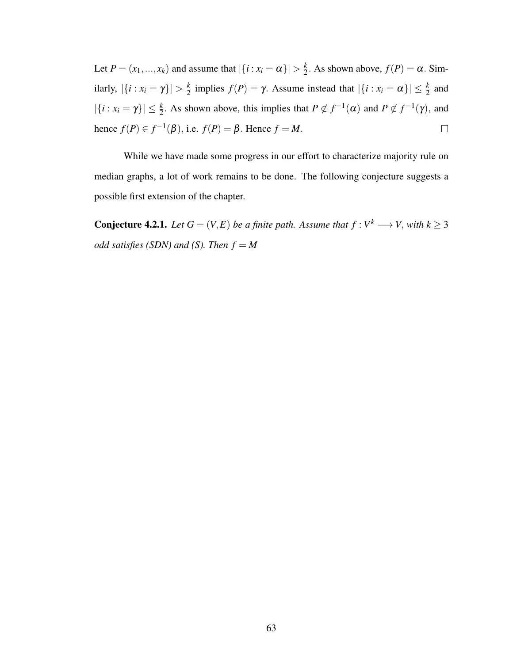Let  $P = (x_1, ..., x_k)$  and assume that  $|\{i : x_i = \alpha\}| > \frac{k}{2}$  $\frac{k}{2}$ . As shown above,  $f(P) = \alpha$ . Similarly,  $|\{i : x_i = \gamma\}| > \frac{k}{2}$  $\frac{k}{2}$  implies  $f(P) = \gamma$ . Assume instead that  $|\{i : x_i = \alpha\}| \leq \frac{k}{2}$  and  $|\{i : x_i = \gamma\}| \leq \frac{k}{2}$ . As shown above, this implies that  $P \notin f^{-1}(\alpha)$  and  $P \notin f^{-1}(\gamma)$ , and hence  $f(P) \in f^{-1}(\beta)$ , i.e.  $f(P) = \beta$ . Hence  $f = M$ .  $\Box$ 

While we have made some progress in our effort to characterize majority rule on median graphs, a lot of work remains to be done. The following conjecture suggests a possible first extension of the chapter.

**Conjecture 4.2.1.** *Let*  $G = (V, E)$  *be a finite path. Assume that*  $f : V^k \longrightarrow V$ *, with*  $k \geq 3$ *odd satisfies (SDN) and (S). Then*  $f = M$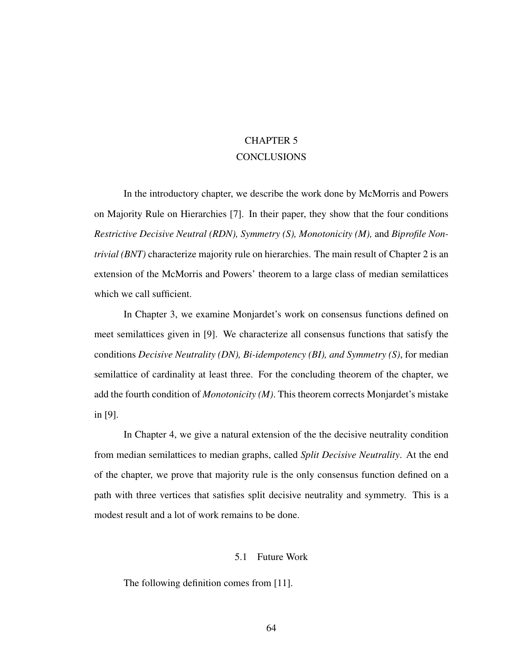#### CHAPTER 5 **CONCLUSIONS**

In the introductory chapter, we describe the work done by McMorris and Powers on Majority Rule on Hierarchies [7]. In their paper, they show that the four conditions *Restrictive Decisive Neutral (RDN), Symmetry (S), Monotonicity (M),* and *Biprofile Nontrivial (BNT)* characterize majority rule on hierarchies. The main result of Chapter 2 is an extension of the McMorris and Powers' theorem to a large class of median semilattices which we call sufficient.

In Chapter 3, we examine Monjardet's work on consensus functions defined on meet semilattices given in [9]. We characterize all consensus functions that satisfy the conditions *Decisive Neutrality (DN), Bi-idempotency (BI), and Symmetry (S)*, for median semilattice of cardinality at least three. For the concluding theorem of the chapter, we add the fourth condition of *Monotonicity (M)*. This theorem corrects Monjardet's mistake in [9].

In Chapter 4, we give a natural extension of the the decisive neutrality condition from median semilattices to median graphs, called *Split Decisive Neutrality*. At the end of the chapter, we prove that majority rule is the only consensus function defined on a path with three vertices that satisfies split decisive neutrality and symmetry. This is a modest result and a lot of work remains to be done.

#### 5.1 Future Work

The following definition comes from [11].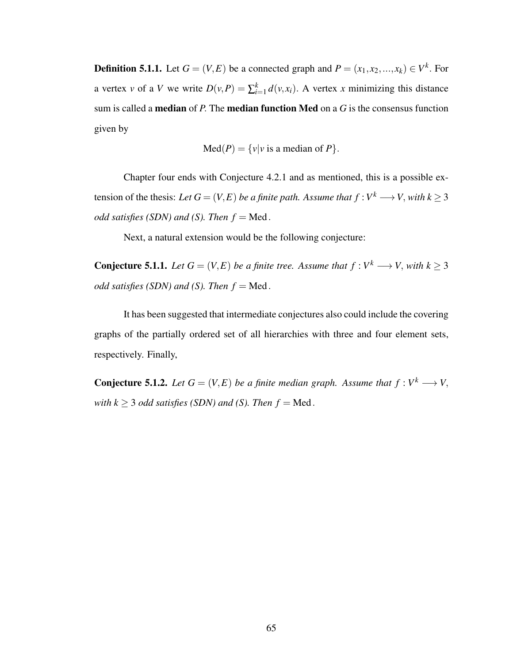**Definition 5.1.1.** Let  $G = (V, E)$  be a connected graph and  $P = (x_1, x_2, ..., x_k) \in V^k$ . For a vertex *v* of a *V* we write  $D(v, P) = \sum_{i=1}^{k} d(v, x_i)$ . A vertex *x* minimizing this distance sum is called a median of *P*. The median function Med on a *G* is the consensus function given by

$$
Med(P) = \{v|v \text{ is a median of } P\}.
$$

Chapter four ends with Conjecture 4.2.1 and as mentioned, this is a possible extension of the thesis: *Let*  $G = (V, E)$  *be a finite path. Assume that*  $f : V^k \longrightarrow V$ , *with*  $k \geq 3$ *odd satisfies (SDN) and (S). Then*  $f = Med$ .

Next, a natural extension would be the following conjecture:

**Conjecture 5.1.1.** Let  $G = (V, E)$  be a finite tree. Assume that  $f : V^k \longrightarrow V$ , with  $k \geq 3$ *odd satisfies (SDN) and (S). Then*  $f = Med$ .

It has been suggested that intermediate conjectures also could include the covering graphs of the partially ordered set of all hierarchies with three and four element sets, respectively. Finally,

**Conjecture 5.1.2.** Let  $G = (V, E)$  be a finite median graph. Assume that  $f : V^k \longrightarrow V$ , *with k*  $\geq$  3 *odd satisfies (SDN) and (S). Then f* = Med.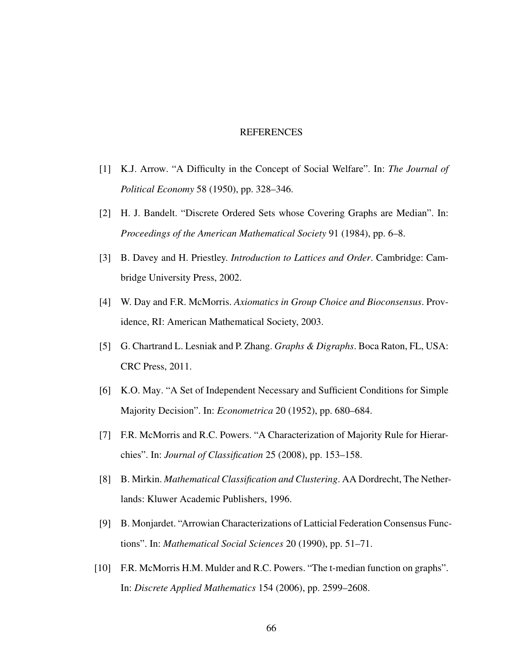#### REFERENCES

- [1] K.J. Arrow. "A Difficulty in the Concept of Social Welfare". In: *The Journal of Political Economy* 58 (1950), pp. 328–346.
- [2] H. J. Bandelt. "Discrete Ordered Sets whose Covering Graphs are Median". In: *Proceedings of the American Mathematical Society* 91 (1984), pp. 6–8.
- [3] B. Davey and H. Priestley. *Introduction to Lattices and Order*. Cambridge: Cambridge University Press, 2002.
- [4] W. Day and F.R. McMorris. *Axiomatics in Group Choice and Bioconsensus*. Providence, RI: American Mathematical Society, 2003.
- [5] G. Chartrand L. Lesniak and P. Zhang. *Graphs & Digraphs*. Boca Raton, FL, USA: CRC Press, 2011.
- [6] K.O. May. "A Set of Independent Necessary and Sufficient Conditions for Simple Majority Decision". In: *Econometrica* 20 (1952), pp. 680–684.
- [7] F.R. McMorris and R.C. Powers. "A Characterization of Majority Rule for Hierarchies". In: *Journal of Classification* 25 (2008), pp. 153–158.
- [8] B. Mirkin. *Mathematical Classification and Clustering*. AA Dordrecht, The Netherlands: Kluwer Academic Publishers, 1996.
- [9] B. Monjardet. "Arrowian Characterizations of Latticial Federation Consensus Functions". In: *Mathematical Social Sciences* 20 (1990), pp. 51–71.
- [10] F.R. McMorris H.M. Mulder and R.C. Powers. "The t-median function on graphs". In: *Discrete Applied Mathematics* 154 (2006), pp. 2599–2608.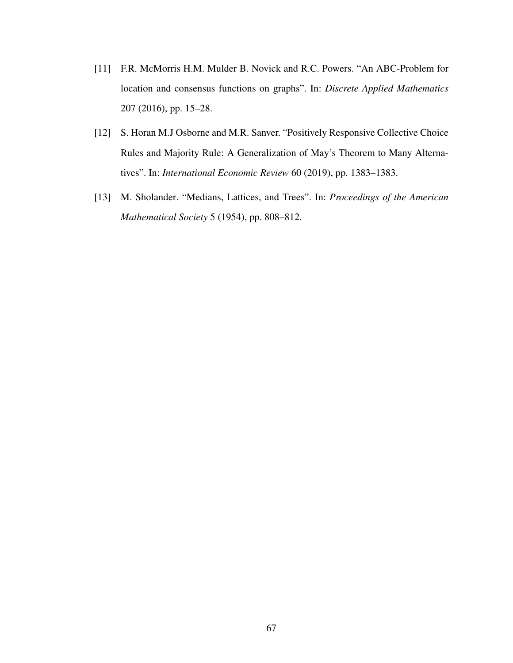- [11] F.R. McMorris H.M. Mulder B. Novick and R.C. Powers. "An ABC-Problem for location and consensus functions on graphs". In: *Discrete Applied Mathematics* 207 (2016), pp. 15–28.
- [12] S. Horan M.J Osborne and M.R. Sanver. "Positively Responsive Collective Choice Rules and Majority Rule: A Generalization of May's Theorem to Many Alternatives". In: *International Economic Review* 60 (2019), pp. 1383–1383.
- [13] M. Sholander. "Medians, Lattices, and Trees". In: *Proceedings of the American Mathematical Society* 5 (1954), pp. 808–812.